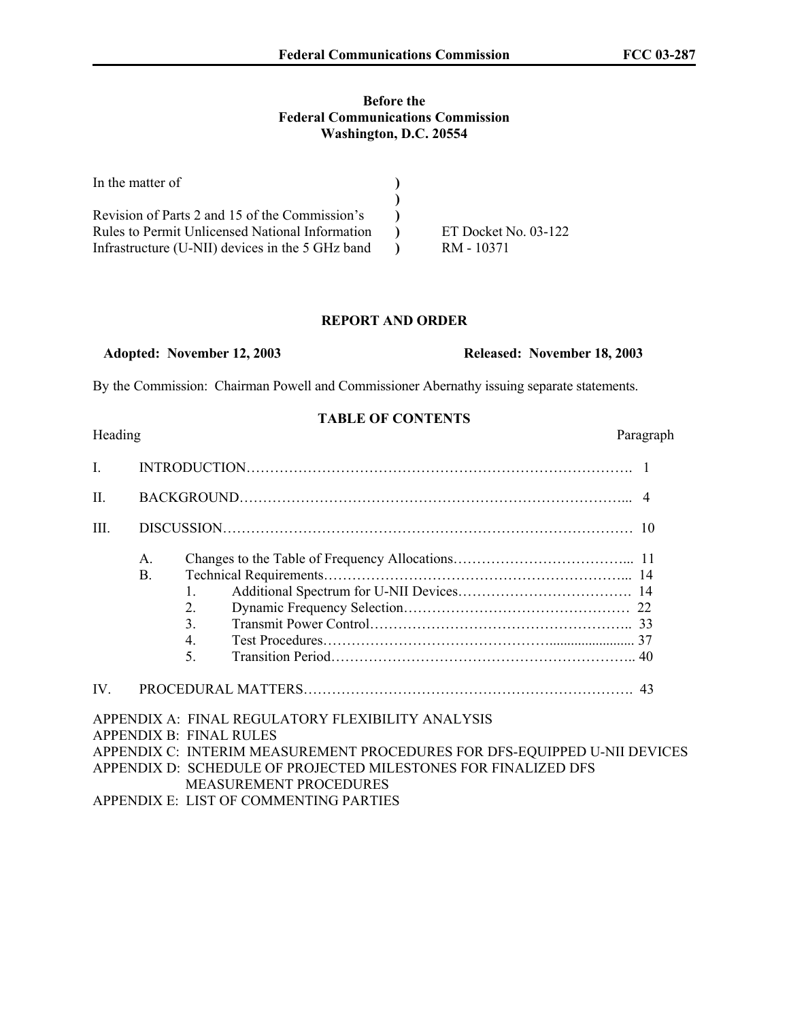### **Before the Federal Communications Commission Washington, D.C. 20554**

| In the matter of                                       |                      |
|--------------------------------------------------------|----------------------|
|                                                        |                      |
| Revision of Parts 2 and 15 of the Commission's         |                      |
| <b>Rules to Permit Unlicensed National Information</b> | ET Docket No. 03-122 |
| Infrastructure (U-NII) devices in the 5 GHz band       | RM - 10371           |

### **REPORT AND ORDER**

## **Adopted: November 12, 2003 Released: November 18, 2003**

By the Commission: Chairman Powell and Commissioner Abernathy issuing separate statements.

## **TABLE OF CONTENTS**

Heading Paragraph

| $\mathbf{I}$ |                |                                                                           |  |
|--------------|----------------|---------------------------------------------------------------------------|--|
| Π.           |                |                                                                           |  |
| Ш.           |                |                                                                           |  |
|              | $\mathsf{A}$ . |                                                                           |  |
|              | <b>B.</b>      |                                                                           |  |
|              |                | 1.                                                                        |  |
|              |                | 2.                                                                        |  |
|              |                | 3.                                                                        |  |
|              |                | $\overline{4}$ .                                                          |  |
|              |                | 5.                                                                        |  |
| IV.          |                |                                                                           |  |
|              |                | APPENDIX A: FINAL REGULATORY FLEXIBILITY ANALYSIS                         |  |
|              |                | <b>APPENDIX B: FINAL RULES</b>                                            |  |
|              |                | APPENDIX C: INTERIM MEASUREMENT PROCEDURES FOR DFS-EQUIPPED U-NII DEVICES |  |
|              |                | APPENDIX D: SCHEDULE OF PROJECTED MILESTONES FOR FINALIZED DFS            |  |
|              |                | <b>MEASUREMENT PROCEDURES</b>                                             |  |

APPENDIX E: LIST OF COMMENTING PARTIES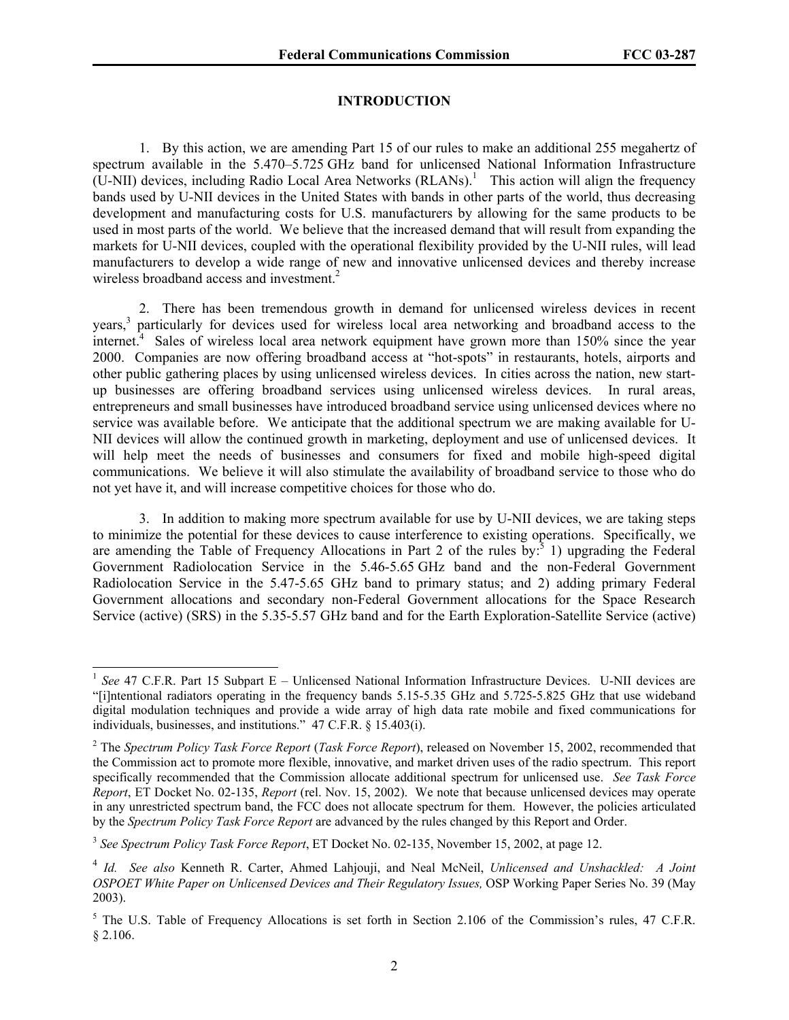#### **INTRODUCTION**

1. By this action, we are amending Part 15 of our rules to make an additional 255 megahertz of spectrum available in the 5.470–5.725 GHz band for unlicensed National Information Infrastructure  $(U-NII)$  devices, including Radio Local Area Networks  $(RLANs)$ .<sup>1</sup> This action will align the frequency bands used by U-NII devices in the United States with bands in other parts of the world, thus decreasing development and manufacturing costs for U.S. manufacturers by allowing for the same products to be used in most parts of the world. We believe that the increased demand that will result from expanding the markets for U-NII devices, coupled with the operational flexibility provided by the U-NII rules, will lead manufacturers to develop a wide range of new and innovative unlicensed devices and thereby increase wireless broadband access and investment.<sup>2</sup>

2. There has been tremendous growth in demand for unlicensed wireless devices in recent years,<sup>3</sup> particularly for devices used for wireless local area networking and broadband access to the  $\text{internet}^4$  Sales of wireless local area network equipment have grown more than 150% since the year 2000. Companies are now offering broadband access at "hot-spots" in restaurants, hotels, airports and other public gathering places by using unlicensed wireless devices. In cities across the nation, new startup businesses are offering broadband services using unlicensed wireless devices. In rural areas, entrepreneurs and small businesses have introduced broadband service using unlicensed devices where no service was available before. We anticipate that the additional spectrum we are making available for U-NII devices will allow the continued growth in marketing, deployment and use of unlicensed devices. It will help meet the needs of businesses and consumers for fixed and mobile high-speed digital communications. We believe it will also stimulate the availability of broadband service to those who do not yet have it, and will increase competitive choices for those who do.

3. In addition to making more spectrum available for use by U-NII devices, we are taking steps to minimize the potential for these devices to cause interference to existing operations. Specifically, we are amending the Table of Frequency Allocations in Part 2 of the rules by: $3$  1) upgrading the Federal Government Radiolocation Service in the 5.46-5.65 GHz band and the non-Federal Government Radiolocation Service in the 5.47-5.65 GHz band to primary status; and 2) adding primary Federal Government allocations and secondary non-Federal Government allocations for the Space Research Service (active) (SRS) in the 5.35-5.57 GHz band and for the Earth Exploration-Satellite Service (active)

<sup>&</sup>lt;sup>1</sup> See 47 C.F.R. Part 15 Subpart E – Unlicensed National Information Infrastructure Devices. U-NII devices are "[i]ntentional radiators operating in the frequency bands 5.15-5.35 GHz and 5.725-5.825 GHz that use wideband digital modulation techniques and provide a wide array of high data rate mobile and fixed communications for individuals, businesses, and institutions." 47 C.F.R. § 15.403(i).

<sup>&</sup>lt;sup>2</sup> The *Spectrum Policy Task Force Report (Task Force Report)*, released on November 15, 2002, recommended that the Commission act to promote more flexible, innovative, and market driven uses of the radio spectrum. This report specifically recommended that the Commission allocate additional spectrum for unlicensed use. *See Task Force Report*, ET Docket No. 02-135, *Report* (rel. Nov. 15, 2002). We note that because unlicensed devices may operate in any unrestricted spectrum band, the FCC does not allocate spectrum for them. However, the policies articulated by the *Spectrum Policy Task Force Report* are advanced by the rules changed by this Report and Order.

<sup>3</sup>  *See Spectrum Policy Task Force Report*, ET Docket No. 02-135, November 15, 2002, at page 12.

<sup>4</sup> *Id. See also* Kenneth R. Carter, Ahmed Lahjouji, and Neal McNeil, *Unlicensed and Unshackled: A Joint OSPOET White Paper on Unlicensed Devices and Their Regulatory Issues,* OSP Working Paper Series No. 39 (May 2003).

<sup>&</sup>lt;sup>5</sup> The U.S. Table of Frequency Allocations is set forth in Section 2.106 of the Commission's rules, 47 C.F.R. § 2.106.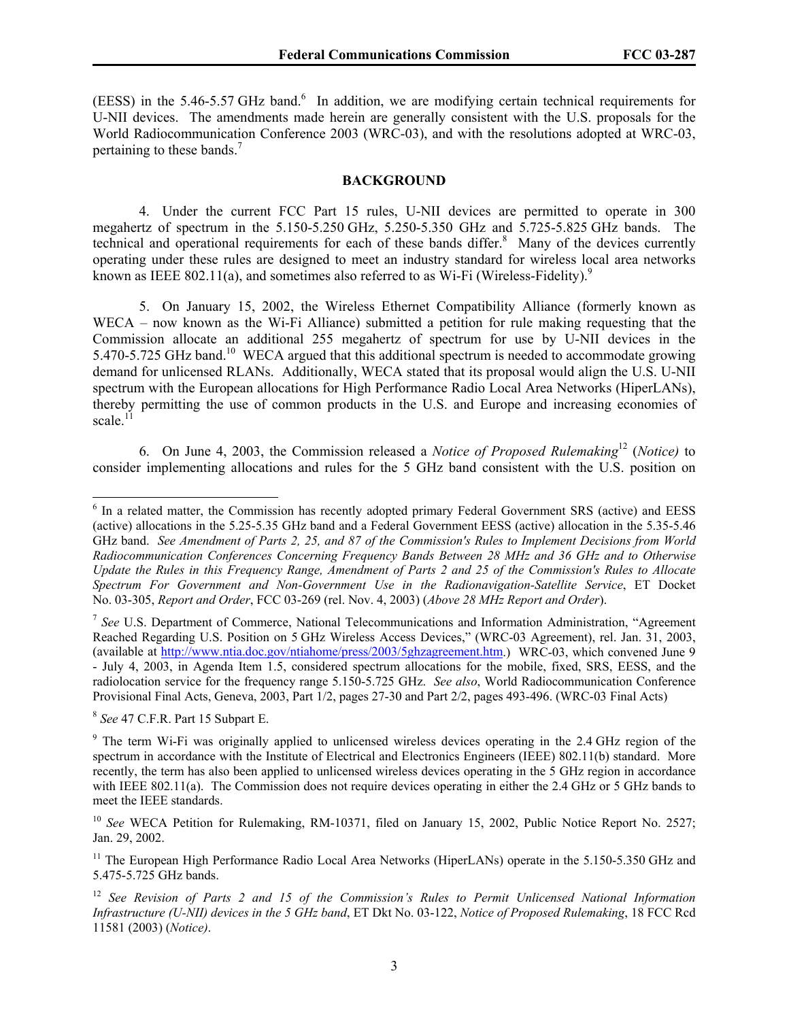(EESS) in the 5.46-5.57 GHz band.<sup>6</sup> In addition, we are modifying certain technical requirements for U-NII devices. The amendments made herein are generally consistent with the U.S. proposals for the World Radiocommunication Conference 2003 (WRC-03), and with the resolutions adopted at WRC-03, pertaining to these bands.<sup>7</sup>

#### **BACKGROUND**

4. Under the current FCC Part 15 rules, U-NII devices are permitted to operate in 300 megahertz of spectrum in the 5.150-5.250 GHz, 5.250-5.350 GHz and 5.725-5.825 GHz bands. The technical and operational requirements for each of these bands differ.<sup>8</sup> Many of the devices currently operating under these rules are designed to meet an industry standard for wireless local area networks known as IEEE 802.11(a), and sometimes also referred to as Wi-Fi (Wireless-Fidelity).<sup>9</sup>

5. On January 15, 2002, the Wireless Ethernet Compatibility Alliance (formerly known as WECA – now known as the Wi-Fi Alliance) submitted a petition for rule making requesting that the Commission allocate an additional 255 megahertz of spectrum for use by U-NII devices in the 5.470-5.725 GHz band.<sup>10</sup> WECA argued that this additional spectrum is needed to accommodate growing demand for unlicensed RLANs. Additionally, WECA stated that its proposal would align the U.S. U-NII spectrum with the European allocations for High Performance Radio Local Area Networks (HiperLANs), thereby permitting the use of common products in the U.S. and Europe and increasing economies of scale. $^{11}$ 

6. On June 4, 2003, the Commission released a *Notice of Proposed Rulemaking*12 (*Notice)* to consider implementing allocations and rules for the 5 GHz band consistent with the U.S. position on

<sup>8</sup> *See* 47 C.F.R. Part 15 Subpart E.

<sup>&</sup>lt;sup>6</sup> In a related matter, the Commission has recently adopted primary Federal Government SRS (active) and EESS (active) allocations in the 5.25-5.35 GHz band and a Federal Government EESS (active) allocation in the 5.35-5.46 GHz band. *See Amendment of Parts 2, 25, and 87 of the Commission's Rules to Implement Decisions from World Radiocommunication Conferences Concerning Frequency Bands Between 28 MHz and 36 GHz and to Otherwise Update the Rules in this Frequency Range, Amendment of Parts 2 and 25 of the Commission's Rules to Allocate Spectrum For Government and Non-Government Use in the Radionavigation-Satellite Service*, ET Docket No. 03-305, *Report and Order*, FCC 03-269 (rel. Nov. 4, 2003) (*Above 28 MHz Report and Order*).

<sup>7</sup> *See* U.S. Department of Commerce, National Telecommunications and Information Administration, "Agreement Reached Regarding U.S. Position on 5 GHz Wireless Access Devices," (WRC-03 Agreement), rel. Jan. 31, 2003, (available at http://www.ntia.doc.gov/ntiahome/press/2003/5ghzagreement.htm.) WRC-03, which convened June 9 - July 4, 2003, in Agenda Item 1.5, considered spectrum allocations for the mobile, fixed, SRS, EESS, and the radiolocation service for the frequency range 5.150-5.725 GHz. *See also*, World Radiocommunication Conference Provisional Final Acts, Geneva, 2003, Part 1/2, pages 27-30 and Part 2/2, pages 493-496. (WRC-03 Final Acts)

<sup>&</sup>lt;sup>9</sup> The term Wi-Fi was originally applied to unlicensed wireless devices operating in the 2.4 GHz region of the spectrum in accordance with the Institute of Electrical and Electronics Engineers (IEEE) 802.11(b) standard. More recently, the term has also been applied to unlicensed wireless devices operating in the 5 GHz region in accordance with IEEE 802.11(a). The Commission does not require devices operating in either the 2.4 GHz or 5 GHz bands to meet the IEEE standards.

<sup>&</sup>lt;sup>10</sup> *See* WECA Petition for Rulemaking, RM-10371, filed on January 15, 2002, Public Notice Report No. 2527; Jan. 29, 2002.

<sup>&</sup>lt;sup>11</sup> The European High Performance Radio Local Area Networks (HiperLANs) operate in the 5.150-5.350 GHz and 5.475-5.725 GHz bands.

<sup>12</sup> *See Revision of Parts 2 and 15 of the Commission's Rules to Permit Unlicensed National Information Infrastructure (U-NII) devices in the 5 GHz band*, ET Dkt No. 03-122, *Notice of Proposed Rulemaking*, 18 FCC Rcd 11581 (2003) (*Notice)*.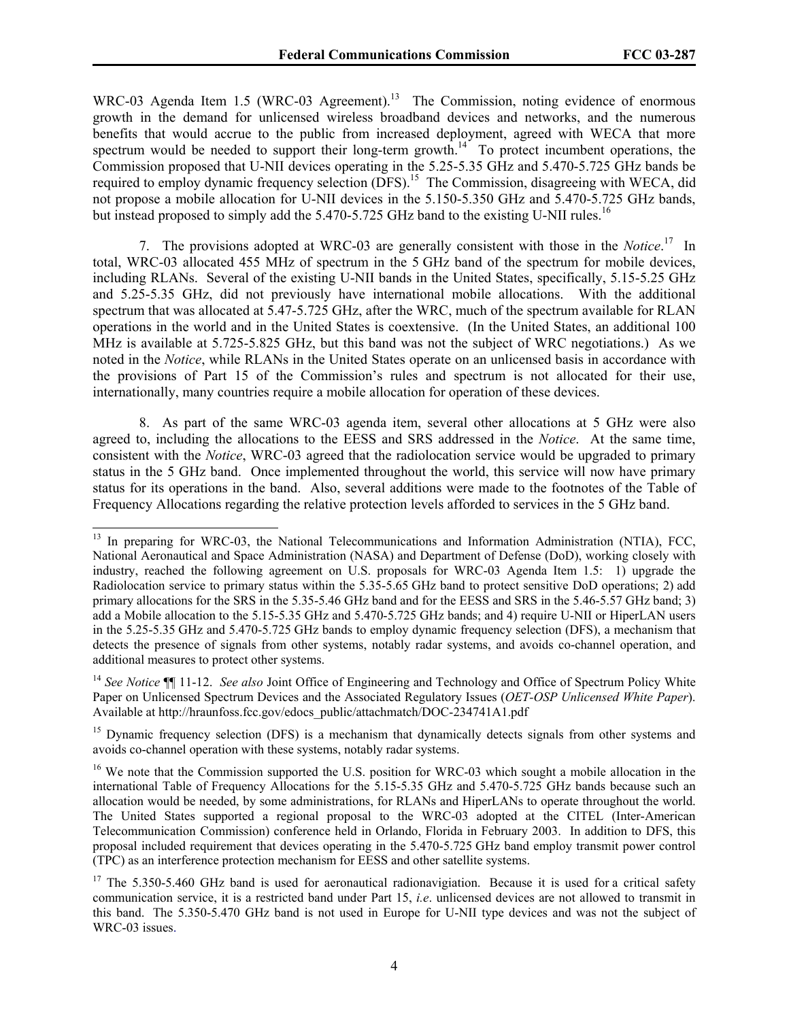WRC-03 Agenda Item 1.5 (WRC-03 Agreement).<sup>13</sup> The Commission, noting evidence of enormous growth in the demand for unlicensed wireless broadband devices and networks, and the numerous benefits that would accrue to the public from increased deployment, agreed with WECA that more spectrum would be needed to support their long-term growth.<sup>14</sup> To protect incumbent operations, the Commission proposed that U-NII devices operating in the 5.25-5.35 GHz and 5.470-5.725 GHz bands be required to employ dynamic frequency selection (DFS).<sup>15</sup> The Commission, disagreeing with WECA, did not propose a mobile allocation for U-NII devices in the 5.150-5.350 GHz and 5.470-5.725 GHz bands, but instead proposed to simply add the 5.470-5.725 GHz band to the existing U-NII rules.<sup>16</sup>

7. The provisions adopted at WRC-03 are generally consistent with those in the *Notice*. 17 In total, WRC-03 allocated 455 MHz of spectrum in the 5 GHz band of the spectrum for mobile devices, including RLANs. Several of the existing U-NII bands in the United States, specifically, 5.15-5.25 GHz and 5.25-5.35 GHz, did not previously have international mobile allocations. With the additional spectrum that was allocated at 5.47-5.725 GHz, after the WRC, much of the spectrum available for RLAN operations in the world and in the United States is coextensive. (In the United States, an additional 100 MHz is available at 5.725-5.825 GHz, but this band was not the subject of WRC negotiations.) As we noted in the *Notice*, while RLANs in the United States operate on an unlicensed basis in accordance with the provisions of Part 15 of the Commission's rules and spectrum is not allocated for their use, internationally, many countries require a mobile allocation for operation of these devices.

8. As part of the same WRC-03 agenda item, several other allocations at 5 GHz were also agreed to, including the allocations to the EESS and SRS addressed in the *Notice*. At the same time, consistent with the *Notice*, WRC-03 agreed that the radiolocation service would be upgraded to primary status in the 5 GHz band. Once implemented throughout the world, this service will now have primary status for its operations in the band. Also, several additions were made to the footnotes of the Table of Frequency Allocations regarding the relative protection levels afforded to services in the 5 GHz band.

<sup>&</sup>lt;sup>13</sup> In preparing for WRC-03, the National Telecommunications and Information Administration (NTIA), FCC, National Aeronautical and Space Administration (NASA) and Department of Defense (DoD), working closely with industry, reached the following agreement on U.S. proposals for WRC-03 Agenda Item 1.5: 1) upgrade the Radiolocation service to primary status within the 5.35-5.65 GHz band to protect sensitive DoD operations; 2) add primary allocations for the SRS in the 5.35-5.46 GHz band and for the EESS and SRS in the 5.46-5.57 GHz band; 3) add a Mobile allocation to the 5.15-5.35 GHz and 5.470-5.725 GHz bands; and 4) require U-NII or HiperLAN users in the 5.25-5.35 GHz and 5.470-5.725 GHz bands to employ dynamic frequency selection (DFS), a mechanism that detects the presence of signals from other systems, notably radar systems, and avoids co-channel operation, and additional measures to protect other systems.

<sup>14</sup> *See Notice* ¶¶ 11-12. *See also* Joint Office of Engineering and Technology and Office of Spectrum Policy White Paper on Unlicensed Spectrum Devices and the Associated Regulatory Issues (*OET-OSP Unlicensed White Paper*). Available at http://hraunfoss.fcc.gov/edocs\_public/attachmatch/DOC-234741A1.pdf

<sup>&</sup>lt;sup>15</sup> Dynamic frequency selection (DFS) is a mechanism that dynamically detects signals from other systems and avoids co-channel operation with these systems, notably radar systems.

<sup>&</sup>lt;sup>16</sup> We note that the Commission supported the U.S. position for WRC-03 which sought a mobile allocation in the international Table of Frequency Allocations for the 5.15-5.35 GHz and 5.470-5.725 GHz bands because such an allocation would be needed, by some administrations, for RLANs and HiperLANs to operate throughout the world. The United States supported a regional proposal to the WRC-03 adopted at the CITEL (Inter-American Telecommunication Commission) conference held in Orlando, Florida in February 2003. In addition to DFS, this proposal included requirement that devices operating in the 5.470-5.725 GHz band employ transmit power control (TPC) as an interference protection mechanism for EESS and other satellite systems.

 $17$  The 5.350-5.460 GHz band is used for aeronautical radionavigiation. Because it is used for a critical safety communication service, it is a restricted band under Part 15, *i.e*. unlicensed devices are not allowed to transmit in this band. The 5.350-5.470 GHz band is not used in Europe for U-NII type devices and was not the subject of WRC-03 issues.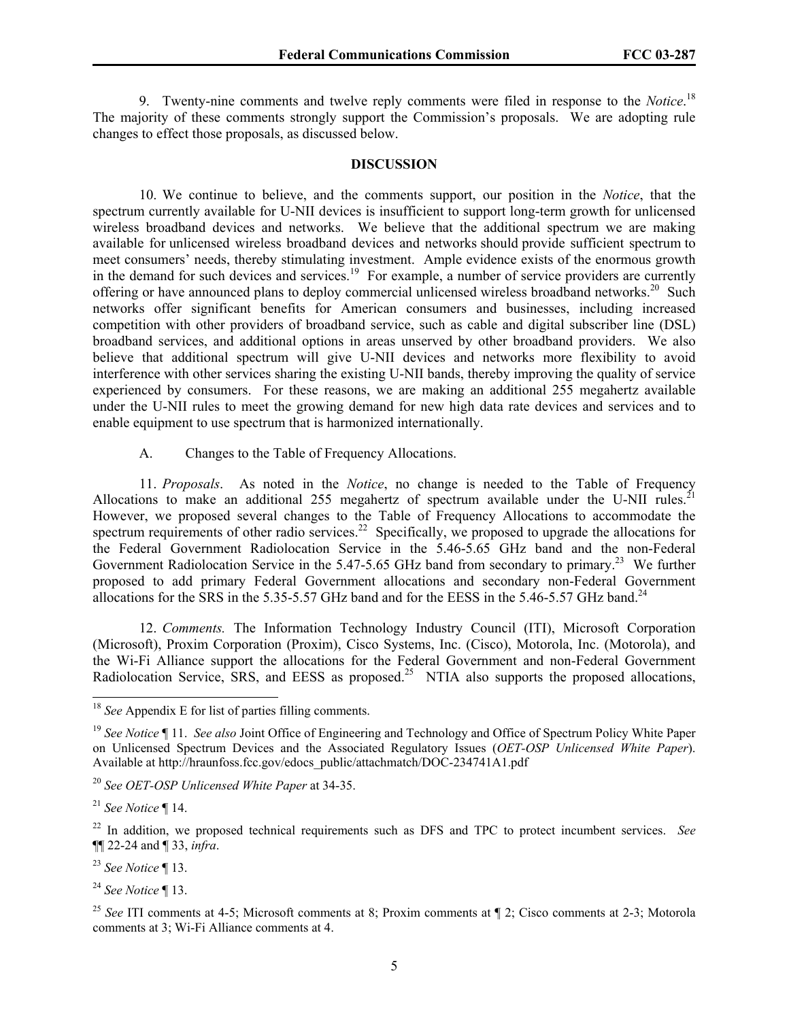9. Twenty-nine comments and twelve reply comments were filed in response to the *Notice*. 18 The majority of these comments strongly support the Commission's proposals. We are adopting rule changes to effect those proposals, as discussed below.

#### **DISCUSSION**

10. We continue to believe, and the comments support, our position in the *Notice*, that the spectrum currently available for U-NII devices is insufficient to support long-term growth for unlicensed wireless broadband devices and networks. We believe that the additional spectrum we are making available for unlicensed wireless broadband devices and networks should provide sufficient spectrum to meet consumers' needs, thereby stimulating investment. Ample evidence exists of the enormous growth in the demand for such devices and services.<sup>19</sup> For example, a number of service providers are currently offering or have announced plans to deploy commercial unlicensed wireless broadband networks.<sup>20</sup> Such networks offer significant benefits for American consumers and businesses, including increased competition with other providers of broadband service, such as cable and digital subscriber line (DSL) broadband services, and additional options in areas unserved by other broadband providers. We also believe that additional spectrum will give U-NII devices and networks more flexibility to avoid interference with other services sharing the existing U-NII bands, thereby improving the quality of service experienced by consumers. For these reasons, we are making an additional 255 megahertz available under the U-NII rules to meet the growing demand for new high data rate devices and services and to enable equipment to use spectrum that is harmonized internationally.

A. Changes to the Table of Frequency Allocations.

11. *Proposals*. As noted in the *Notice*, no change is needed to the Table of Frequency Allocations to make an additional 255 megahertz of spectrum available under the U-NII rules.<sup>21</sup> However, we proposed several changes to the Table of Frequency Allocations to accommodate the spectrum requirements of other radio services.<sup>22</sup> Specifically, we proposed to upgrade the allocations for the Federal Government Radiolocation Service in the 5.46-5.65 GHz band and the non-Federal Government Radiolocation Service in the 5.47-5.65 GHz band from secondary to primary.<sup>23</sup> We further proposed to add primary Federal Government allocations and secondary non-Federal Government allocations for the SRS in the 5.35-5.57 GHz band and for the EESS in the 5.46-5.57 GHz band.<sup>24</sup>

12. *Comments.* The Information Technology Industry Council (ITI), Microsoft Corporation (Microsoft), Proxim Corporation (Proxim), Cisco Systems, Inc. (Cisco), Motorola, Inc. (Motorola), and the Wi-Fi Alliance support the allocations for the Federal Government and non-Federal Government Radiolocation Service, SRS, and EESS as proposed.<sup>25</sup> NTIA also supports the proposed allocations,

<sup>20</sup> *See OET-OSP Unlicensed White Paper* at 34-35.

<sup>21</sup> *See Notice* ¶ 14.

 $\overline{a}$ 

22 In addition, we proposed technical requirements such as DFS and TPC to protect incumbent services. *See* ¶¶ 22-24 and ¶ 33, *infra*.

<sup>23</sup> *See Notice* ¶ 13.

<sup>24</sup> *See Notice* ¶ 13.

<sup>25</sup> *See* ITI comments at 4-5; Microsoft comments at 8; Proxim comments at ¶ 2; Cisco comments at 2-3; Motorola comments at 3; Wi-Fi Alliance comments at 4.

<sup>18</sup> *See* Appendix E for list of parties filling comments.

<sup>19</sup> *See Notice* ¶ 11. *See also* Joint Office of Engineering and Technology and Office of Spectrum Policy White Paper on Unlicensed Spectrum Devices and the Associated Regulatory Issues (*OET-OSP Unlicensed White Paper*). Available at http://hraunfoss.fcc.gov/edocs\_public/attachmatch/DOC-234741A1.pdf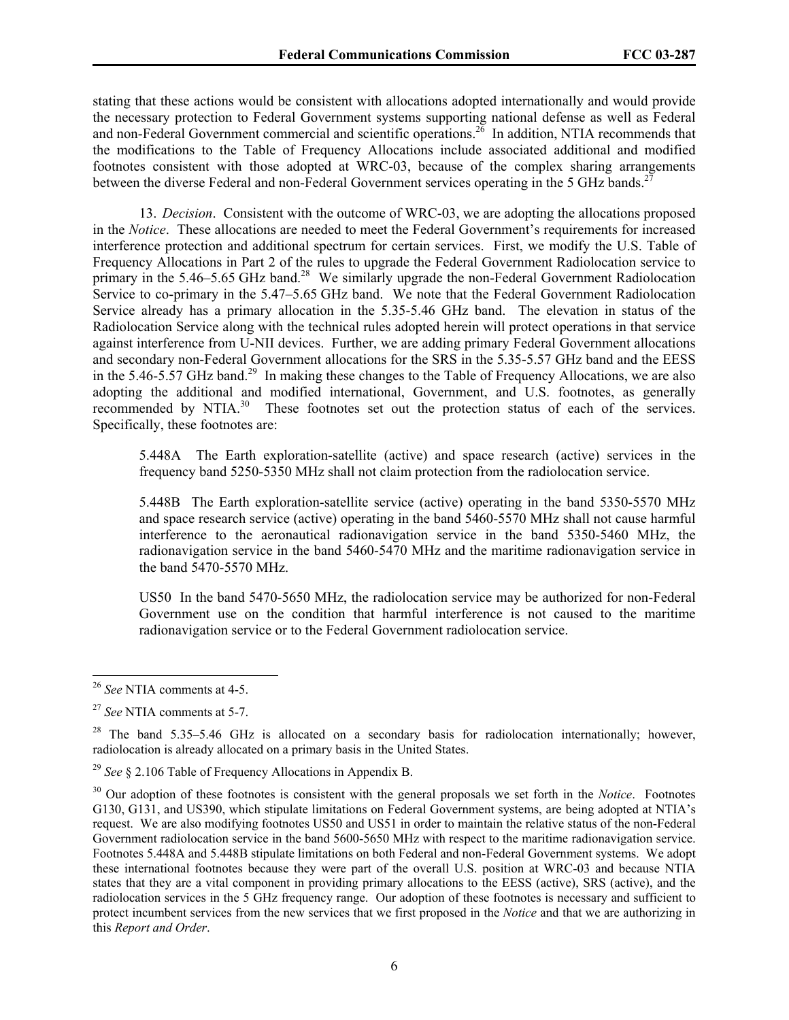stating that these actions would be consistent with allocations adopted internationally and would provide the necessary protection to Federal Government systems supporting national defense as well as Federal and non-Federal Government commercial and scientific operations.<sup>26</sup> In addition, NTIA recommends that the modifications to the Table of Frequency Allocations include associated additional and modified footnotes consistent with those adopted at WRC-03, because of the complex sharing arrangements between the diverse Federal and non-Federal Government services operating in the 5 GHz bands.<sup>27</sup>

13. *Decision*. Consistent with the outcome of WRC-03, we are adopting the allocations proposed in the *Notice*. These allocations are needed to meet the Federal Government's requirements for increased interference protection and additional spectrum for certain services. First, we modify the U.S. Table of Frequency Allocations in Part 2 of the rules to upgrade the Federal Government Radiolocation service to primary in the 5.46–5.65 GHz band.<sup>28</sup> We similarly upgrade the non-Federal Government Radiolocation Service to co-primary in the 5.47–5.65 GHz band. We note that the Federal Government Radiolocation Service already has a primary allocation in the 5.35-5.46 GHz band. The elevation in status of the Radiolocation Service along with the technical rules adopted herein will protect operations in that service against interference from U-NII devices. Further, we are adding primary Federal Government allocations and secondary non-Federal Government allocations for the SRS in the 5.35-5.57 GHz band and the EESS in the 5.46-5.57 GHz band.<sup>29</sup> In making these changes to the Table of Frequency Allocations, we are also adopting the additional and modified international, Government, and U.S. footnotes, as generally recommended by NTIA.<sup>30</sup> These footnotes set out the protection status of each of the services. Specifically, these footnotes are:

5.448A The Earth exploration-satellite (active) and space research (active) services in the frequency band 5250-5350 MHz shall not claim protection from the radiolocation service.

5.448B The Earth exploration-satellite service (active) operating in the band 5350-5570 MHz and space research service (active) operating in the band 5460-5570 MHz shall not cause harmful interference to the aeronautical radionavigation service in the band 5350-5460 MHz, the radionavigation service in the band 5460-5470 MHz and the maritime radionavigation service in the band 5470-5570 MHz.

US50 In the band 5470-5650 MHz, the radiolocation service may be authorized for non-Federal Government use on the condition that harmful interference is not caused to the maritime radionavigation service or to the Federal Government radiolocation service.

<sup>26</sup> *See* NTIA comments at 4-5.

<sup>27</sup> *See* NTIA comments at 5-7.

<sup>&</sup>lt;sup>28</sup> The band 5.35–5.46 GHz is allocated on a secondary basis for radiolocation internationally; however, radiolocation is already allocated on a primary basis in the United States.

<sup>29</sup> *See* § 2.106 Table of Frequency Allocations in Appendix B.

<sup>&</sup>lt;sup>30</sup> Our adoption of these footnotes is consistent with the general proposals we set forth in the *Notice*. Footnotes G130, G131, and US390, which stipulate limitations on Federal Government systems, are being adopted at NTIA's request. We are also modifying footnotes US50 and US51 in order to maintain the relative status of the non-Federal Government radiolocation service in the band 5600-5650 MHz with respect to the maritime radionavigation service. Footnotes 5.448A and 5.448B stipulate limitations on both Federal and non-Federal Government systems. We adopt these international footnotes because they were part of the overall U.S. position at WRC-03 and because NTIA states that they are a vital component in providing primary allocations to the EESS (active), SRS (active), and the radiolocation services in the 5 GHz frequency range. Our adoption of these footnotes is necessary and sufficient to protect incumbent services from the new services that we first proposed in the *Notice* and that we are authorizing in this *Report and Order*.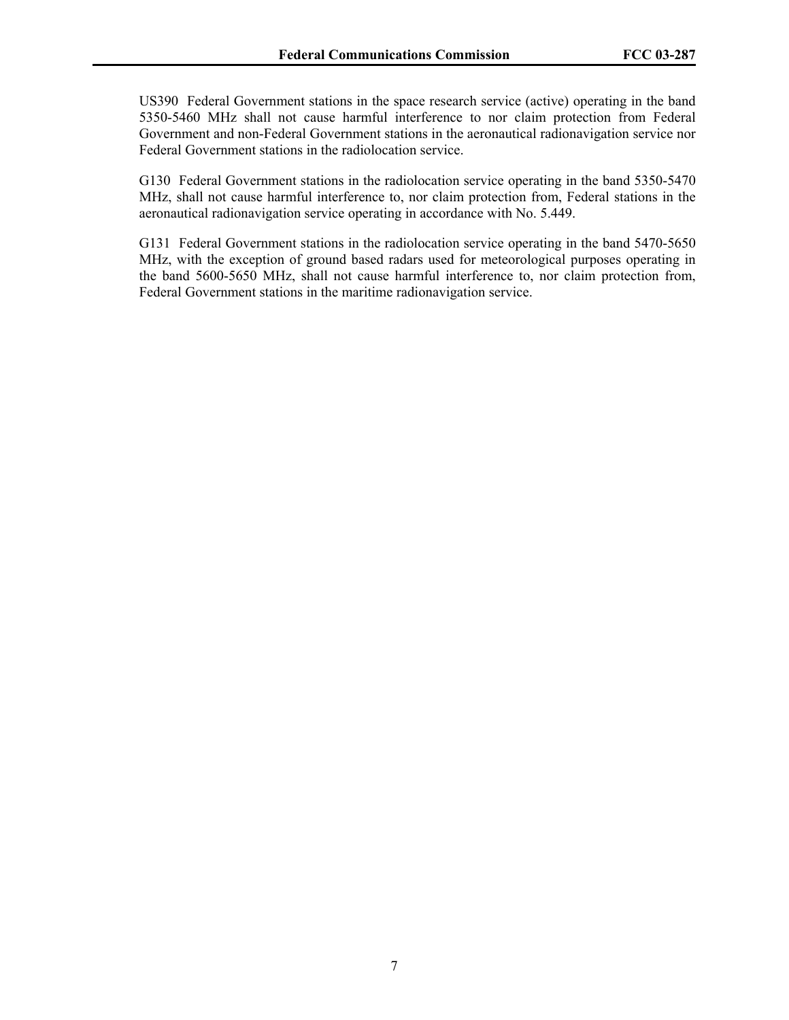US390 Federal Government stations in the space research service (active) operating in the band 5350-5460 MHz shall not cause harmful interference to nor claim protection from Federal Government and non-Federal Government stations in the aeronautical radionavigation service nor Federal Government stations in the radiolocation service.

G130 Federal Government stations in the radiolocation service operating in the band 5350-5470 MHz, shall not cause harmful interference to, nor claim protection from, Federal stations in the aeronautical radionavigation service operating in accordance with No. 5.449.

G131 Federal Government stations in the radiolocation service operating in the band 5470-5650 MHz, with the exception of ground based radars used for meteorological purposes operating in the band 5600-5650 MHz, shall not cause harmful interference to, nor claim protection from, Federal Government stations in the maritime radionavigation service.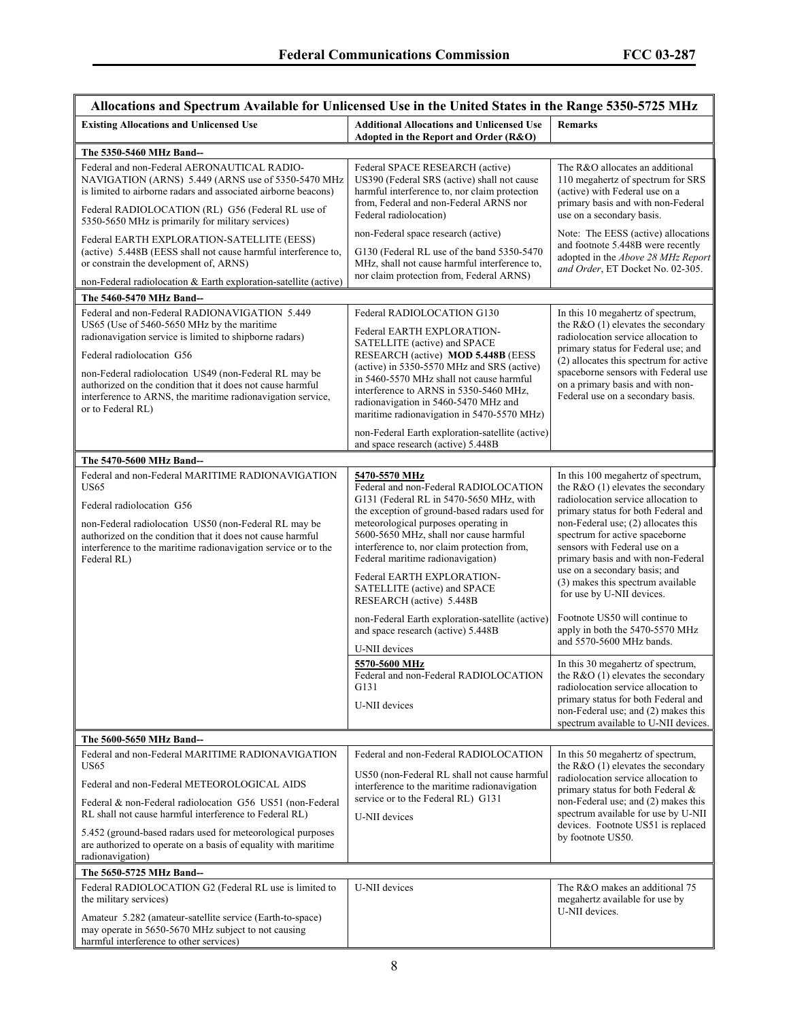| Allocations and Spectrum Available for Unlicensed Use in the United States in the Range 5350-5725 MHz                                                                                                                                                                                                                                                                                          |                                                                                                                                                                                                                                                                                                                                                                                                                                                                                                                                                                                         |                                                                                                                                                                                                                                                                                                                                                                                                                                                                                                                                                                                         |  |  |  |
|------------------------------------------------------------------------------------------------------------------------------------------------------------------------------------------------------------------------------------------------------------------------------------------------------------------------------------------------------------------------------------------------|-----------------------------------------------------------------------------------------------------------------------------------------------------------------------------------------------------------------------------------------------------------------------------------------------------------------------------------------------------------------------------------------------------------------------------------------------------------------------------------------------------------------------------------------------------------------------------------------|-----------------------------------------------------------------------------------------------------------------------------------------------------------------------------------------------------------------------------------------------------------------------------------------------------------------------------------------------------------------------------------------------------------------------------------------------------------------------------------------------------------------------------------------------------------------------------------------|--|--|--|
| <b>Existing Allocations and Unlicensed Use</b>                                                                                                                                                                                                                                                                                                                                                 | <b>Additional Allocations and Unlicensed Use</b><br>Adopted in the Report and Order (R&O)                                                                                                                                                                                                                                                                                                                                                                                                                                                                                               | <b>Remarks</b>                                                                                                                                                                                                                                                                                                                                                                                                                                                                                                                                                                          |  |  |  |
| The 5350-5460 MHz Band--                                                                                                                                                                                                                                                                                                                                                                       |                                                                                                                                                                                                                                                                                                                                                                                                                                                                                                                                                                                         |                                                                                                                                                                                                                                                                                                                                                                                                                                                                                                                                                                                         |  |  |  |
| Federal and non-Federal AERONAUTICAL RADIO-<br>NAVIGATION (ARNS) 5.449 (ARNS use of 5350-5470 MHz<br>is limited to airborne radars and associated airborne beacons)<br>Federal RADIOLOCATION (RL) G56 (Federal RL use of                                                                                                                                                                       | Federal SPACE RESEARCH (active)<br>US390 (Federal SRS (active) shall not cause<br>harmful interference to, nor claim protection<br>from, Federal and non-Federal ARNS nor<br>Federal radiolocation)                                                                                                                                                                                                                                                                                                                                                                                     | The R&O allocates an additional<br>110 megahertz of spectrum for SRS<br>(active) with Federal use on a<br>primary basis and with non-Federal<br>use on a secondary basis.                                                                                                                                                                                                                                                                                                                                                                                                               |  |  |  |
| 5350-5650 MHz is primarily for military services)<br>Federal EARTH EXPLORATION-SATELLITE (EESS)<br>(active) 5.448B (EESS shall not cause harmful interference to,<br>or constrain the development of, ARNS)<br>non-Federal radiolocation & Earth exploration-satellite (active)                                                                                                                | non-Federal space research (active)<br>G130 (Federal RL use of the band 5350-5470)<br>MHz, shall not cause harmful interference to,<br>nor claim protection from, Federal ARNS)                                                                                                                                                                                                                                                                                                                                                                                                         | Note: The EESS (active) allocations<br>and footnote 5.448B were recently<br>adopted in the <i>Above 28 MHz Report</i><br>and Order, ET Docket No. 02-305.                                                                                                                                                                                                                                                                                                                                                                                                                               |  |  |  |
| The 5460-5470 MHz Band--                                                                                                                                                                                                                                                                                                                                                                       |                                                                                                                                                                                                                                                                                                                                                                                                                                                                                                                                                                                         |                                                                                                                                                                                                                                                                                                                                                                                                                                                                                                                                                                                         |  |  |  |
| Federal and non-Federal RADIONAVIGATION 5.449<br>US65 (Use of 5460-5650 MHz by the maritime<br>radionavigation service is limited to shipborne radars)<br>Federal radiolocation G56<br>non-Federal radiolocation US49 (non-Federal RL may be<br>authorized on the condition that it does not cause harmful<br>interference to ARNS, the maritime radionavigation service,<br>or to Federal RL) | Federal RADIOLOCATION G130<br>Federal EARTH EXPLORATION-<br>SATELLITE (active) and SPACE<br>RESEARCH (active) MOD 5.448B (EESS<br>(active) in 5350-5570 MHz and SRS (active)<br>in 5460-5570 MHz shall not cause harmful<br>interference to ARNS in 5350-5460 MHz,<br>radionavigation in 5460-5470 MHz and<br>maritime radionavigation in 5470-5570 MHz)<br>non-Federal Earth exploration-satellite (active)<br>and space research (active) 5.448B                                                                                                                                      | In this 10 megahertz of spectrum,<br>the R&O $(1)$ elevates the secondary<br>radiolocation service allocation to<br>primary status for Federal use; and<br>(2) allocates this spectrum for active<br>spaceborne sensors with Federal use<br>on a primary basis and with non-<br>Federal use on a secondary basis.                                                                                                                                                                                                                                                                       |  |  |  |
| The 5470-5600 MHz Band--                                                                                                                                                                                                                                                                                                                                                                       |                                                                                                                                                                                                                                                                                                                                                                                                                                                                                                                                                                                         |                                                                                                                                                                                                                                                                                                                                                                                                                                                                                                                                                                                         |  |  |  |
| Federal and non-Federal MARITIME RADIONAVIGATION<br><b>US65</b><br>Federal radiolocation G56<br>non-Federal radiolocation US50 (non-Federal RL may be<br>authorized on the condition that it does not cause harmful<br>interference to the maritime radionavigation service or to the<br>Federal RL)                                                                                           | 5470-5570 MHz<br>Federal and non-Federal RADIOLOCATION<br>G131 (Federal RL in 5470-5650 MHz, with<br>the exception of ground-based radars used for<br>meteorological purposes operating in<br>5600-5650 MHz, shall nor cause harmful<br>interference to, nor claim protection from,<br>Federal maritime radionavigation)<br>Federal EARTH EXPLORATION-<br>SATELLITE (active) and SPACE<br>RESEARCH (active) 5.448B<br>non-Federal Earth exploration-satellite (active)<br>and space research (active) 5.448B<br>U-NII devices<br>5570-5600 MHz<br>Federal and non-Federal RADIOLOCATION | In this 100 megahertz of spectrum,<br>the R&O $(1)$ elevates the secondary<br>radiolocation service allocation to<br>primary status for both Federal and<br>non-Federal use; (2) allocates this<br>spectrum for active spaceborne<br>sensors with Federal use on a<br>primary basis and with non-Federal<br>use on a secondary basis; and<br>(3) makes this spectrum available<br>for use by U-NII devices.<br>Footnote US50 will continue to<br>apply in both the 5470-5570 MHz<br>and 5570-5600 MHz bands.<br>In this 30 megahertz of spectrum,<br>the R&O (1) elevates the secondary |  |  |  |
|                                                                                                                                                                                                                                                                                                                                                                                                | G131<br>U-NII devices                                                                                                                                                                                                                                                                                                                                                                                                                                                                                                                                                                   | radiolocation service allocation to<br>primary status for both Federal and<br>non-Federal use; and (2) makes this<br>spectrum available to U-NII devices.                                                                                                                                                                                                                                                                                                                                                                                                                               |  |  |  |
| The 5600-5650 MHz Band--                                                                                                                                                                                                                                                                                                                                                                       |                                                                                                                                                                                                                                                                                                                                                                                                                                                                                                                                                                                         |                                                                                                                                                                                                                                                                                                                                                                                                                                                                                                                                                                                         |  |  |  |
| Federal and non-Federal MARITIME RADIONAVIGATION<br>US65<br>Federal and non-Federal METEOROLOGICAL AIDS<br>Federal & non-Federal radiolocation G56 US51 (non-Federal<br>RL shall not cause harmful interference to Federal RL)<br>5.452 (ground-based radars used for meteorological purposes<br>are authorized to operate on a basis of equality with maritime<br>radionavigation)            | Federal and non-Federal RADIOLOCATION<br>US50 (non-Federal RL shall not cause harmful<br>interference to the maritime radionavigation<br>service or to the Federal RL) G131<br>U-NII devices                                                                                                                                                                                                                                                                                                                                                                                            | In this 50 megahertz of spectrum,<br>the R&O $(1)$ elevates the secondary<br>radiolocation service allocation to<br>primary status for both Federal $\&$<br>non-Federal use; and (2) makes this<br>spectrum available for use by U-NII<br>devices. Footnote US51 is replaced<br>by footnote US50.                                                                                                                                                                                                                                                                                       |  |  |  |
| The 5650-5725 MHz Band--                                                                                                                                                                                                                                                                                                                                                                       |                                                                                                                                                                                                                                                                                                                                                                                                                                                                                                                                                                                         |                                                                                                                                                                                                                                                                                                                                                                                                                                                                                                                                                                                         |  |  |  |
| Federal RADIOLOCATION G2 (Federal RL use is limited to<br>the military services)<br>Amateur 5.282 (amateur-satellite service (Earth-to-space)<br>may operate in 5650-5670 MHz subject to not causing<br>harmful interference to other services)                                                                                                                                                | U-NII devices                                                                                                                                                                                                                                                                                                                                                                                                                                                                                                                                                                           | The R&O makes an additional 75<br>megahertz available for use by<br>U-NII devices.                                                                                                                                                                                                                                                                                                                                                                                                                                                                                                      |  |  |  |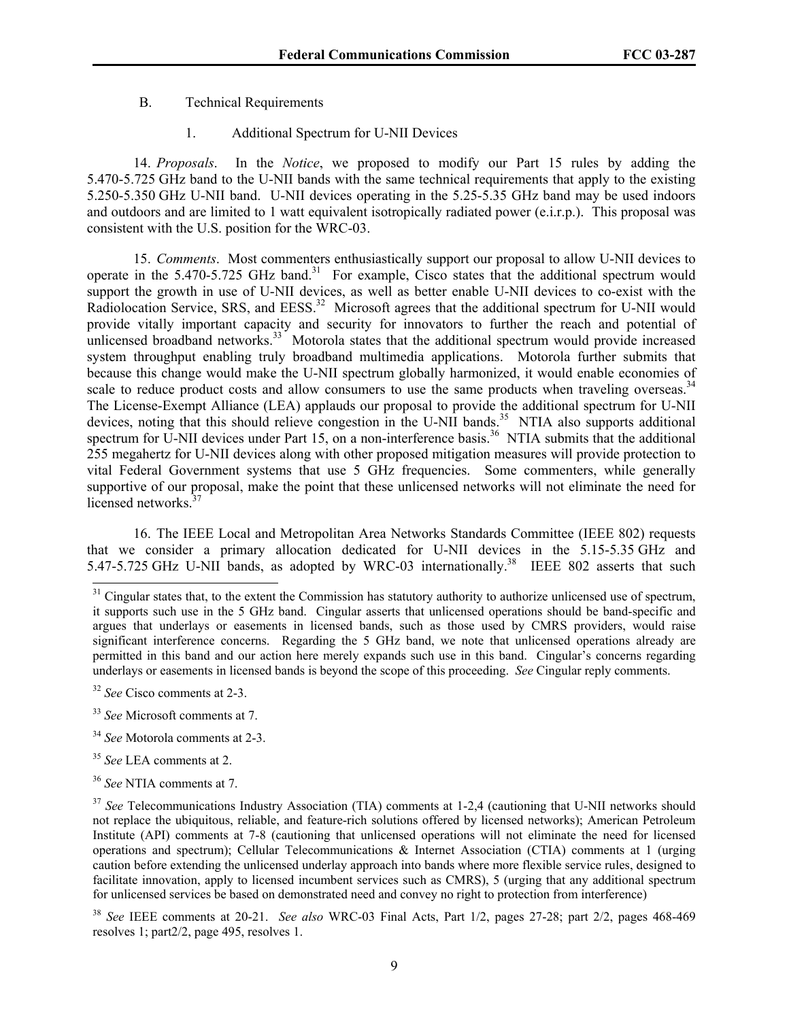#### B. Technical Requirements

1. Additional Spectrum for U-NII Devices

14. *Proposals*. In the *Notice*, we proposed to modify our Part 15 rules by adding the 5.470-5.725 GHz band to the U-NII bands with the same technical requirements that apply to the existing 5.250-5.350 GHz U-NII band. U-NII devices operating in the 5.25-5.35 GHz band may be used indoors and outdoors and are limited to 1 watt equivalent isotropically radiated power (e.i.r.p.). This proposal was consistent with the U.S. position for the WRC-03.

15. *Comments*. Most commenters enthusiastically support our proposal to allow U-NII devices to operate in the 5.470-5.725 GHz band.<sup>31</sup> For example, Cisco states that the additional spectrum would support the growth in use of U-NII devices, as well as better enable U-NII devices to co-exist with the Radiolocation Service, SRS, and EESS.<sup>32</sup> Microsoft agrees that the additional spectrum for U-NII would provide vitally important capacity and security for innovators to further the reach and potential of unlicensed broadband networks.<sup>33</sup> Motorola states that the additional spectrum would provide increased system throughput enabling truly broadband multimedia applications. Motorola further submits that because this change would make the U-NII spectrum globally harmonized, it would enable economies of scale to reduce product costs and allow consumers to use the same products when traveling overseas.<sup>34</sup> The License-Exempt Alliance (LEA) applauds our proposal to provide the additional spectrum for U-NII devices, noting that this should relieve congestion in the U-NII bands.<sup>35</sup> NTIA also supports additional spectrum for U-NII devices under Part 15, on a non-interference basis.<sup>36</sup> NTIA submits that the additional 255 megahertz for U-NII devices along with other proposed mitigation measures will provide protection to vital Federal Government systems that use 5 GHz frequencies. Some commenters, while generally supportive of our proposal, make the point that these unlicensed networks will not eliminate the need for licensed networks.<sup>3</sup>

16. The IEEE Local and Metropolitan Area Networks Standards Committee (IEEE 802) requests that we consider a primary allocation dedicated for U-NII devices in the 5.15-5.35 GHz and 5.47-5.725 GHz U-NII bands, as adopted by WRC-03 internationally.<sup>38</sup> IEEE 802 asserts that such

- <sup>34</sup> *See* Motorola comments at 2-3.
- <sup>35</sup> *See* LEA comments at 2.
- <sup>36</sup> *See* NTIA comments at 7.

 $31$  Cingular states that, to the extent the Commission has statutory authority to authorize unlicensed use of spectrum, it supports such use in the 5 GHz band. Cingular asserts that unlicensed operations should be band-specific and argues that underlays or easements in licensed bands, such as those used by CMRS providers, would raise significant interference concerns. Regarding the 5 GHz band, we note that unlicensed operations already are permitted in this band and our action here merely expands such use in this band. Cingular's concerns regarding underlays or easements in licensed bands is beyond the scope of this proceeding. *See* Cingular reply comments.

<sup>32</sup> *See* Cisco comments at 2-3.

<sup>33</sup> *See* Microsoft comments at 7.

<sup>&</sup>lt;sup>37</sup> See Telecommunications Industry Association (TIA) comments at 1-2,4 (cautioning that U-NII networks should not replace the ubiquitous, reliable, and feature-rich solutions offered by licensed networks); American Petroleum Institute (API) comments at 7-8 (cautioning that unlicensed operations will not eliminate the need for licensed operations and spectrum); Cellular Telecommunications & Internet Association (CTIA) comments at 1 (urging caution before extending the unlicensed underlay approach into bands where more flexible service rules, designed to facilitate innovation, apply to licensed incumbent services such as CMRS), 5 (urging that any additional spectrum for unlicensed services be based on demonstrated need and convey no right to protection from interference)

<sup>38</sup> *See* IEEE comments at 20-21. *See also* WRC-03 Final Acts, Part 1/2, pages 27-28; part 2/2, pages 468-469 resolves 1; part2/2, page 495, resolves 1.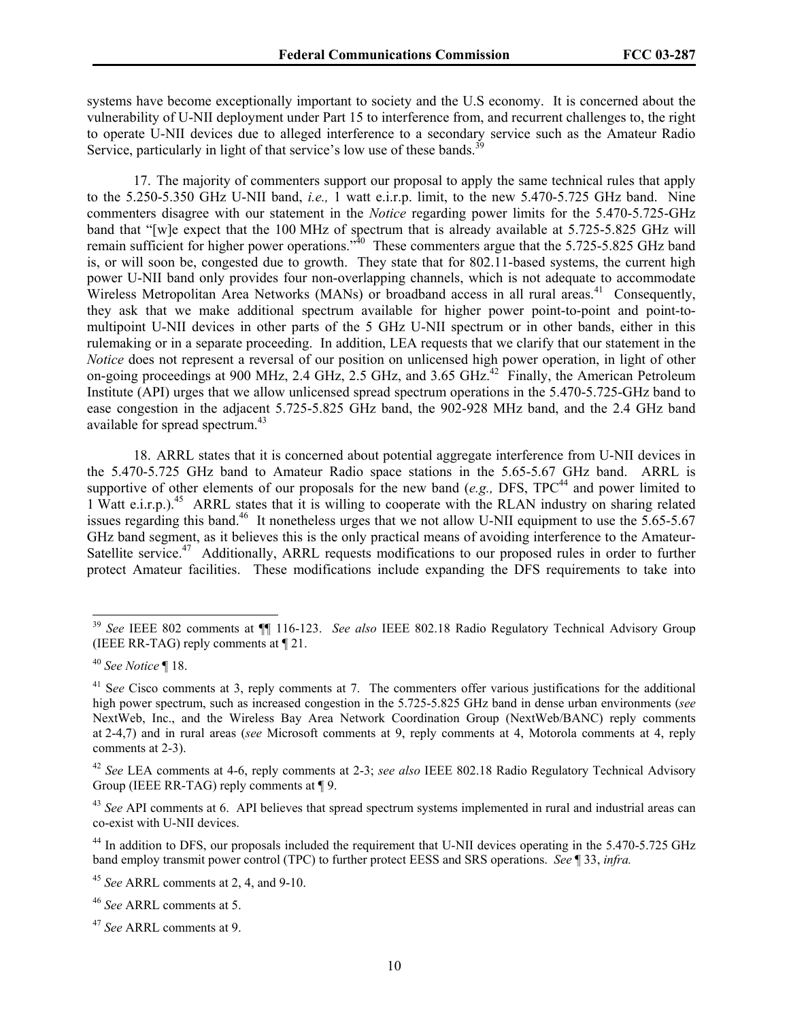systems have become exceptionally important to society and the U.S economy. It is concerned about the vulnerability of U-NII deployment under Part 15 to interference from, and recurrent challenges to, the right to operate U-NII devices due to alleged interference to a secondary service such as the Amateur Radio Service, particularly in light of that service's low use of these bands.<sup>39</sup>

17. The majority of commenters support our proposal to apply the same technical rules that apply to the 5.250-5.350 GHz U-NII band, *i.e.,* 1 watt e.i.r.p. limit, to the new 5.470-5.725 GHz band. Nine commenters disagree with our statement in the *Notice* regarding power limits for the 5.470-5.725-GHz band that "[w]e expect that the 100 MHz of spectrum that is already available at 5.725-5.825 GHz will remain sufficient for higher power operations.<sup>340</sup> These commenters argue that the 5.725-5.825 GHz band is, or will soon be, congested due to growth. They state that for 802.11-based systems, the current high power U-NII band only provides four non-overlapping channels, which is not adequate to accommodate Wireless Metropolitan Area Networks (MANs) or broadband access in all rural areas.<sup>41</sup> Consequently, they ask that we make additional spectrum available for higher power point-to-point and point-tomultipoint U-NII devices in other parts of the 5 GHz U-NII spectrum or in other bands, either in this rulemaking or in a separate proceeding. In addition, LEA requests that we clarify that our statement in the *Notice* does not represent a reversal of our position on unlicensed high power operation, in light of other on-going proceedings at 900 MHz, 2.4 GHz, 2.5 GHz, and 3.65 GHz.<sup>42</sup> Finally, the American Petroleum Institute (API) urges that we allow unlicensed spread spectrum operations in the 5.470-5.725-GHz band to ease congestion in the adjacent 5.725-5.825 GHz band, the 902-928 MHz band, and the 2.4 GHz band available for spread spectrum.<sup>43</sup>

18. ARRL states that it is concerned about potential aggregate interference from U-NII devices in the 5.470-5.725 GHz band to Amateur Radio space stations in the 5.65-5.67 GHz band. ARRL is supportive of other elements of our proposals for the new band ( $e.g.,$  DFS,  $TPC<sup>44</sup>$  and power limited to 1 Watt e.i.r.p.)<sup>45</sup> ARRL states that it is willing to cooperate with the RLAN industry on sharing related issues regarding this band.<sup>46</sup> It nonetheless urges that we not allow U-NII equipment to use the 5.65-5.67 GHz band segment, as it believes this is the only practical means of avoiding interference to the Amateur-Satellite service.<sup>47</sup> Additionally, ARRL requests modifications to our proposed rules in order to further protect Amateur facilities. These modifications include expanding the DFS requirements to take into

<sup>39</sup> *See* IEEE 802 comments at ¶¶ 116-123. *See also* IEEE 802.18 Radio Regulatory Technical Advisory Group (IEEE RR-TAG) reply comments at  $\P$  21.

<sup>40</sup> *See Notice* ¶ 18.

<sup>&</sup>lt;sup>41</sup> See Cisco comments at 3, reply comments at 7. The commenters offer various justifications for the additional high power spectrum, such as increased congestion in the 5.725-5.825 GHz band in dense urban environments (*see* NextWeb, Inc., and the Wireless Bay Area Network Coordination Group (NextWeb/BANC) reply comments at 2-4,7) and in rural areas (*see* Microsoft comments at 9, reply comments at 4, Motorola comments at 4, reply comments at 2-3).

<sup>42</sup> *See* LEA comments at 4-6, reply comments at 2-3; *see also* IEEE 802.18 Radio Regulatory Technical Advisory Group (IEEE RR-TAG) reply comments at ¶ 9.

<sup>43</sup> *See* API comments at 6. API believes that spread spectrum systems implemented in rural and industrial areas can co-exist with U-NII devices.

<sup>&</sup>lt;sup>44</sup> In addition to DFS, our proposals included the requirement that U-NII devices operating in the 5.470-5.725 GHz band employ transmit power control (TPC) to further protect EESS and SRS operations. *See* ¶ 33, *infra.*

<sup>45</sup> *See* ARRL comments at 2, 4, and 9-10.

<sup>46</sup> *See* ARRL comments at 5.

<sup>47</sup> *See* ARRL comments at 9.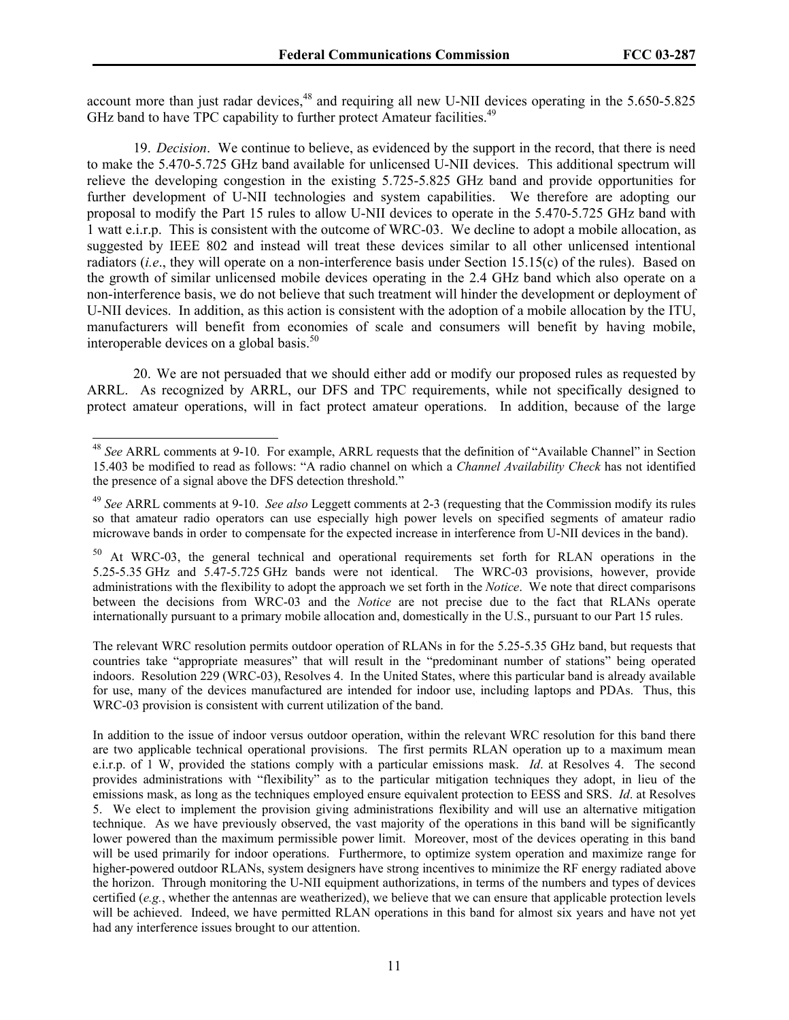account more than just radar devices,<sup>48</sup> and requiring all new U-NII devices operating in the 5.650-5.825 GHz band to have TPC capability to further protect Amateur facilities.<sup>49</sup>

19. *Decision*. We continue to believe, as evidenced by the support in the record, that there is need to make the 5.470-5.725 GHz band available for unlicensed U-NII devices. This additional spectrum will relieve the developing congestion in the existing 5.725-5.825 GHz band and provide opportunities for further development of U-NII technologies and system capabilities. We therefore are adopting our proposal to modify the Part 15 rules to allow U-NII devices to operate in the 5.470-5.725 GHz band with 1 watt e.i.r.p. This is consistent with the outcome of WRC-03. We decline to adopt a mobile allocation, as suggested by IEEE 802 and instead will treat these devices similar to all other unlicensed intentional radiators (*i.e*., they will operate on a non-interference basis under Section 15.15(c) of the rules). Based on the growth of similar unlicensed mobile devices operating in the 2.4 GHz band which also operate on a non-interference basis, we do not believe that such treatment will hinder the development or deployment of U-NII devices. In addition, as this action is consistent with the adoption of a mobile allocation by the ITU, manufacturers will benefit from economies of scale and consumers will benefit by having mobile, interoperable devices on a global basis.<sup>50</sup>

20. We are not persuaded that we should either add or modify our proposed rules as requested by ARRL. As recognized by ARRL, our DFS and TPC requirements, while not specifically designed to protect amateur operations, will in fact protect amateur operations. In addition, because of the large

 $\overline{a}$ 

<sup>50</sup> At WRC-03, the general technical and operational requirements set forth for RLAN operations in the 5.25-5.35 GHz and 5.47-5.725 GHz bands were not identical. The WRC-03 provisions, however, provide administrations with the flexibility to adopt the approach we set forth in the *Notice*. We note that direct comparisons between the decisions from WRC-03 and the *Notice* are not precise due to the fact that RLANs operate internationally pursuant to a primary mobile allocation and, domestically in the U.S., pursuant to our Part 15 rules.

The relevant WRC resolution permits outdoor operation of RLANs in for the 5.25-5.35 GHz band, but requests that countries take "appropriate measures" that will result in the "predominant number of stations" being operated indoors. Resolution 229 (WRC-03), Resolves 4. In the United States, where this particular band is already available for use, many of the devices manufactured are intended for indoor use, including laptops and PDAs. Thus, this WRC-03 provision is consistent with current utilization of the band.

In addition to the issue of indoor versus outdoor operation, within the relevant WRC resolution for this band there are two applicable technical operational provisions. The first permits RLAN operation up to a maximum mean e.i.r.p. of 1 W, provided the stations comply with a particular emissions mask. *Id*. at Resolves 4. The second provides administrations with "flexibility" as to the particular mitigation techniques they adopt, in lieu of the emissions mask, as long as the techniques employed ensure equivalent protection to EESS and SRS. *Id*. at Resolves 5. We elect to implement the provision giving administrations flexibility and will use an alternative mitigation technique. As we have previously observed, the vast majority of the operations in this band will be significantly lower powered than the maximum permissible power limit. Moreover, most of the devices operating in this band will be used primarily for indoor operations. Furthermore, to optimize system operation and maximize range for higher-powered outdoor RLANs, system designers have strong incentives to minimize the RF energy radiated above the horizon. Through monitoring the U-NII equipment authorizations, in terms of the numbers and types of devices certified (*e.g.*, whether the antennas are weatherized), we believe that we can ensure that applicable protection levels will be achieved. Indeed, we have permitted RLAN operations in this band for almost six years and have not yet had any interference issues brought to our attention.

<sup>48</sup> *See* ARRL comments at 9-10. For example, ARRL requests that the definition of "Available Channel" in Section 15.403 be modified to read as follows: "A radio channel on which a *Channel Availability Check* has not identified the presence of a signal above the DFS detection threshold."

<sup>49</sup> *See* ARRL comments at 9-10. *See also* Leggett comments at 2-3 (requesting that the Commission modify its rules so that amateur radio operators can use especially high power levels on specified segments of amateur radio microwave bands in order to compensate for the expected increase in interference from U-NII devices in the band).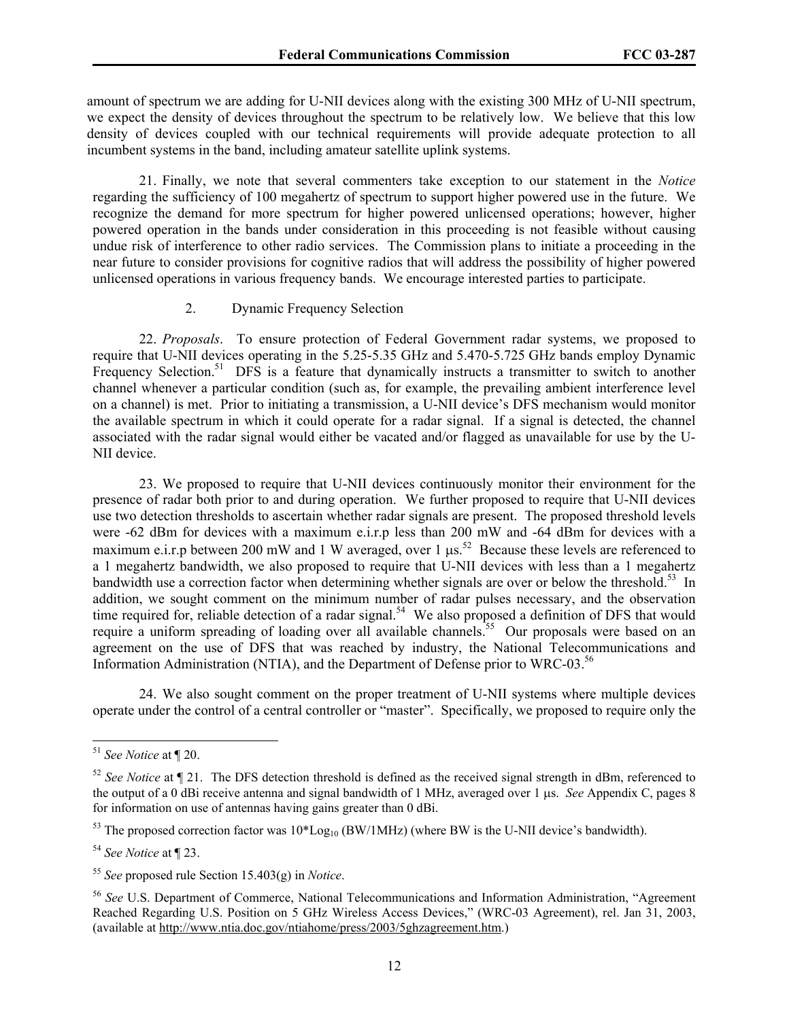amount of spectrum we are adding for U-NII devices along with the existing 300 MHz of U-NII spectrum, we expect the density of devices throughout the spectrum to be relatively low. We believe that this low density of devices coupled with our technical requirements will provide adequate protection to all incumbent systems in the band, including amateur satellite uplink systems.

21. Finally, we note that several commenters take exception to our statement in the *Notice* regarding the sufficiency of 100 megahertz of spectrum to support higher powered use in the future. We recognize the demand for more spectrum for higher powered unlicensed operations; however, higher powered operation in the bands under consideration in this proceeding is not feasible without causing undue risk of interference to other radio services. The Commission plans to initiate a proceeding in the near future to consider provisions for cognitive radios that will address the possibility of higher powered unlicensed operations in various frequency bands. We encourage interested parties to participate.

#### 2. Dynamic Frequency Selection

22. *Proposals*. To ensure protection of Federal Government radar systems, we proposed to require that U-NII devices operating in the 5.25-5.35 GHz and 5.470-5.725 GHz bands employ Dynamic Frequency Selection.<sup>51</sup> DFS is a feature that dynamically instructs a transmitter to switch to another channel whenever a particular condition (such as, for example, the prevailing ambient interference level on a channel) is met. Prior to initiating a transmission, a U-NII device's DFS mechanism would monitor the available spectrum in which it could operate for a radar signal. If a signal is detected, the channel associated with the radar signal would either be vacated and/or flagged as unavailable for use by the U-NII device.

23. We proposed to require that U-NII devices continuously monitor their environment for the presence of radar both prior to and during operation. We further proposed to require that U-NII devices use two detection thresholds to ascertain whether radar signals are present. The proposed threshold levels were -62 dBm for devices with a maximum e.i.r.p less than 200 mW and -64 dBm for devices with a maximum e.i.r.p between 200 mW and 1 W averaged, over 1  $\mu$ s.<sup>52</sup> Because these levels are referenced to a 1 megahertz bandwidth, we also proposed to require that U-NII devices with less than a 1 megahertz bandwidth use a correction factor when determining whether signals are over or below the threshold.<sup>53</sup> In addition, we sought comment on the minimum number of radar pulses necessary, and the observation time required for, reliable detection of a radar signal.<sup>54</sup> We also proposed a definition of DFS that would require a uniform spreading of loading over all available channels.<sup>55</sup> Our proposals were based on an agreement on the use of DFS that was reached by industry, the National Telecommunications and Information Administration (NTIA), and the Department of Defense prior to WRC-03.<sup>56</sup>

24. We also sought comment on the proper treatment of U-NII systems where multiple devices operate under the control of a central controller or "master". Specifically, we proposed to require only the

<sup>51</sup> *See Notice* at ¶ 20.

<sup>52</sup> *See Notice* at ¶ 21. The DFS detection threshold is defined as the received signal strength in dBm, referenced to the output of a 0 dBi receive antenna and signal bandwidth of 1 MHz, averaged over 1 µs. *See* Appendix C, pages 8 for information on use of antennas having gains greater than 0 dBi.

<sup>&</sup>lt;sup>53</sup> The proposed correction factor was  $10*Log_{10} (BW/1MHz)$  (where BW is the U-NII device's bandwidth).

<sup>54</sup> *See Notice* at ¶ 23.

<sup>55</sup> *See* proposed rule Section 15.403(g) in *Notice*.

<sup>56</sup> *See* U.S. Department of Commerce, National Telecommunications and Information Administration, "Agreement Reached Regarding U.S. Position on 5 GHz Wireless Access Devices," (WRC-03 Agreement), rel. Jan 31, 2003, (available at http://www.ntia.doc.gov/ntiahome/press/2003/5ghzagreement.htm.)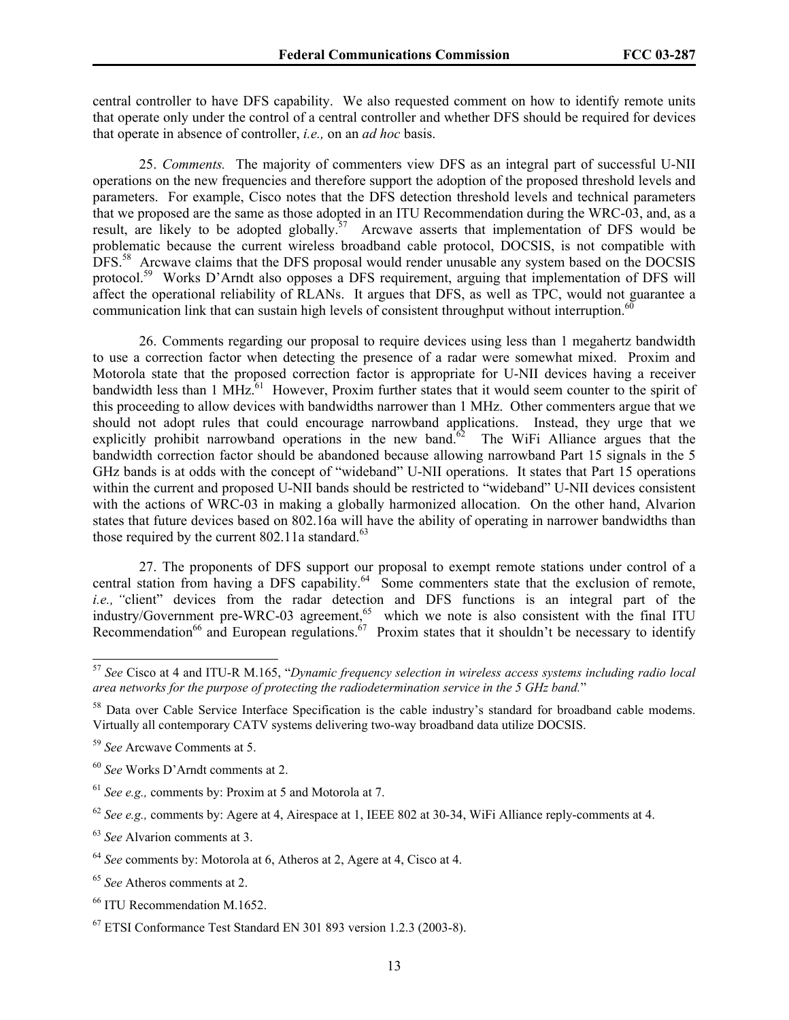central controller to have DFS capability. We also requested comment on how to identify remote units that operate only under the control of a central controller and whether DFS should be required for devices that operate in absence of controller, *i.e.,* on an *ad hoc* basis.

25. *Comments.* The majority of commenters view DFS as an integral part of successful U-NII operations on the new frequencies and therefore support the adoption of the proposed threshold levels and parameters. For example, Cisco notes that the DFS detection threshold levels and technical parameters that we proposed are the same as those adopted in an ITU Recommendation during the WRC-03, and, as a result, are likely to be adopted globally.<sup>57</sup> Arcwave asserts that implementation of DFS would be problematic because the current wireless broadband cable protocol, DOCSIS, is not compatible with DFS.<sup>58</sup> Arcwave claims that the DFS proposal would render unusable any system based on the DOCSIS protocol.<sup>59</sup> Works D'Arndt also opposes a DFS requirement, arguing that implementation of DFS will affect the operational reliability of RLANs. It argues that DFS, as well as TPC, would not guarantee a communication link that can sustain high levels of consistent throughput without interruption.<sup>60</sup>

26. Comments regarding our proposal to require devices using less than 1 megahertz bandwidth to use a correction factor when detecting the presence of a radar were somewhat mixed. Proxim and Motorola state that the proposed correction factor is appropriate for U-NII devices having a receiver bandwidth less than 1 MHz.<sup>61</sup> However, Proxim further states that it would seem counter to the spirit of this proceeding to allow devices with bandwidths narrower than 1 MHz. Other commenters argue that we should not adopt rules that could encourage narrowband applications. Instead, they urge that we explicitly prohibit narrowband operations in the new band.<sup>62</sup> The WiFi Alliance argues that the bandwidth correction factor should be abandoned because allowing narrowband Part 15 signals in the 5 GHz bands is at odds with the concept of "wideband" U-NII operations. It states that Part 15 operations within the current and proposed U-NII bands should be restricted to "wideband" U-NII devices consistent with the actions of WRC-03 in making a globally harmonized allocation. On the other hand, Alvarion states that future devices based on 802.16a will have the ability of operating in narrower bandwidths than those required by the current  $802.11a$  standard.<sup>63</sup>

27. The proponents of DFS support our proposal to exempt remote stations under control of a central station from having a DFS capability.<sup>64</sup> Some commenters state that the exclusion of remote, *i.e., "*client" devices from the radar detection and DFS functions is an integral part of the industry/Government pre-WRC-03 agreement,<sup>65</sup> which we note is also consistent with the final ITU Recommendation<sup>66</sup> and European regulations.<sup>67</sup> Proxim states that it shouldn't be necessary to identify

<sup>57</sup> *See* Cisco at 4 and ITU-R M.165, "*Dynamic frequency selection in wireless access systems including radio local area networks for the purpose of protecting the radiodetermination service in the 5 GHz band.*"

<sup>&</sup>lt;sup>58</sup> Data over Cable Service Interface Specification is the cable industry's standard for broadband cable modems. Virtually all contemporary CATV systems delivering two-way broadband data utilize DOCSIS.

<sup>59</sup> *See* Arcwave Comments at 5.

<sup>60</sup> *See* Works D'Arndt comments at 2.

<sup>61</sup> *See e.g.,* comments by: Proxim at 5 and Motorola at 7.

<sup>62</sup> *See e.g.,* comments by: Agere at 4, Airespace at 1, IEEE 802 at 30-34, WiFi Alliance reply-comments at 4.

<sup>63</sup> *See* Alvarion comments at 3.

<sup>64</sup> *See* comments by: Motorola at 6, Atheros at 2, Agere at 4, Cisco at 4.

<sup>65</sup> *See* Atheros comments at 2.

<sup>66</sup> ITU Recommendation M.1652.

<sup>67</sup> ETSI Conformance Test Standard EN 301 893 version 1.2.3 (2003-8).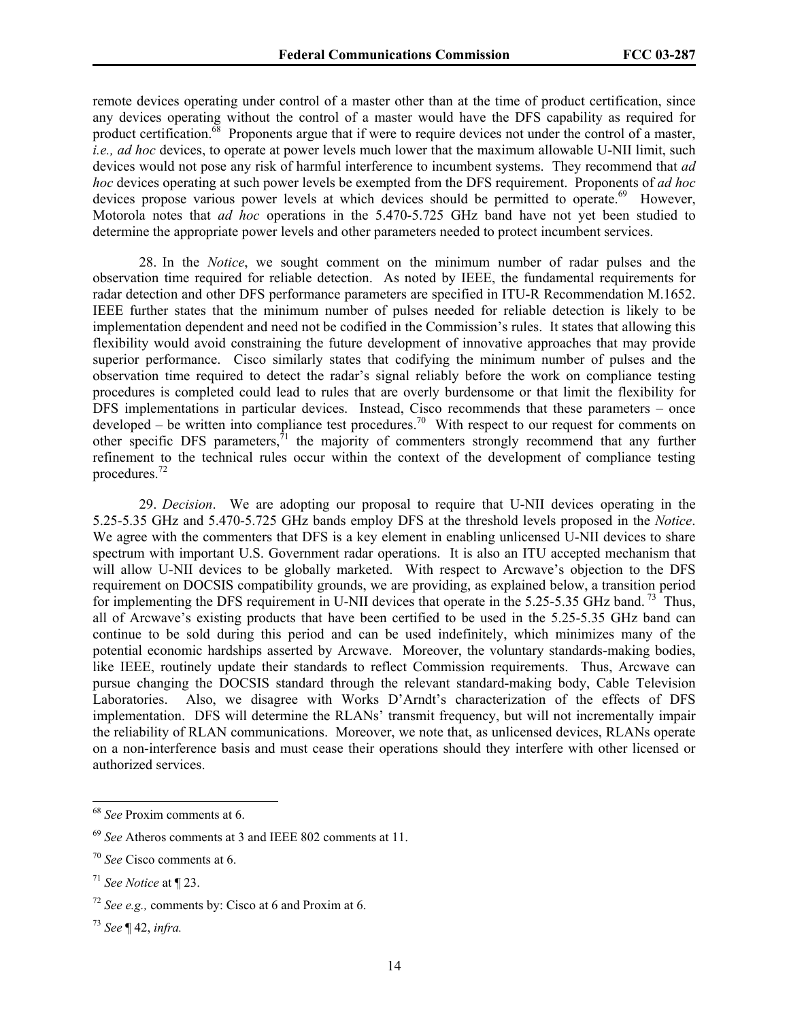remote devices operating under control of a master other than at the time of product certification, since any devices operating without the control of a master would have the DFS capability as required for product certification.<sup>68</sup> Proponents argue that if were to require devices not under the control of a master, *i.e., ad hoc* devices, to operate at power levels much lower that the maximum allowable U-NII limit, such devices would not pose any risk of harmful interference to incumbent systems. They recommend that *ad hoc* devices operating at such power levels be exempted from the DFS requirement. Proponents of *ad hoc* devices propose various power levels at which devices should be permitted to operate.<sup>69</sup> However, Motorola notes that *ad hoc* operations in the 5.470-5.725 GHz band have not yet been studied to determine the appropriate power levels and other parameters needed to protect incumbent services.

28. In the *Notice*, we sought comment on the minimum number of radar pulses and the observation time required for reliable detection. As noted by IEEE, the fundamental requirements for radar detection and other DFS performance parameters are specified in ITU-R Recommendation M.1652. IEEE further states that the minimum number of pulses needed for reliable detection is likely to be implementation dependent and need not be codified in the Commission's rules. It states that allowing this flexibility would avoid constraining the future development of innovative approaches that may provide superior performance. Cisco similarly states that codifying the minimum number of pulses and the observation time required to detect the radar's signal reliably before the work on compliance testing procedures is completed could lead to rules that are overly burdensome or that limit the flexibility for DFS implementations in particular devices. Instead, Cisco recommends that these parameters – once developed – be written into compliance test procedures.<sup>70</sup> With respect to our request for comments on other specific DFS parameters, $\hat{z}$ <sup>1</sup> the majority of commenters strongly recommend that any further refinement to the technical rules occur within the context of the development of compliance testing procedures.<sup>72</sup>

29. *Decision*. We are adopting our proposal to require that U-NII devices operating in the 5.25-5.35 GHz and 5.470-5.725 GHz bands employ DFS at the threshold levels proposed in the *Notice*. We agree with the commenters that DFS is a key element in enabling unlicensed U-NII devices to share spectrum with important U.S. Government radar operations. It is also an ITU accepted mechanism that will allow U-NII devices to be globally marketed. With respect to Arcwave's objection to the DFS requirement on DOCSIS compatibility grounds, we are providing, as explained below, a transition period for implementing the DFS requirement in U-NII devices that operate in the 5.25-5.35 GHz band.<sup>73</sup> Thus, all of Arcwave's existing products that have been certified to be used in the 5.25-5.35 GHz band can continue to be sold during this period and can be used indefinitely, which minimizes many of the potential economic hardships asserted by Arcwave. Moreover, the voluntary standards-making bodies, like IEEE, routinely update their standards to reflect Commission requirements. Thus, Arcwave can pursue changing the DOCSIS standard through the relevant standard-making body, Cable Television Laboratories. Also, we disagree with Works D'Arndt's characterization of the effects of DFS implementation. DFS will determine the RLANs' transmit frequency, but will not incrementally impair the reliability of RLAN communications. Moreover, we note that, as unlicensed devices, RLANs operate on a non-interference basis and must cease their operations should they interfere with other licensed or authorized services.

<sup>68</sup> *See* Proxim comments at 6.

<sup>69</sup> *See* Atheros comments at 3 and IEEE 802 comments at 11.

<sup>70</sup> *See* Cisco comments at 6.

<sup>71</sup> *See Notice* at ¶ 23.

<sup>72</sup> *See e.g.,* comments by: Cisco at 6 and Proxim at 6.

<sup>73</sup> *See* ¶ 42, *infra.*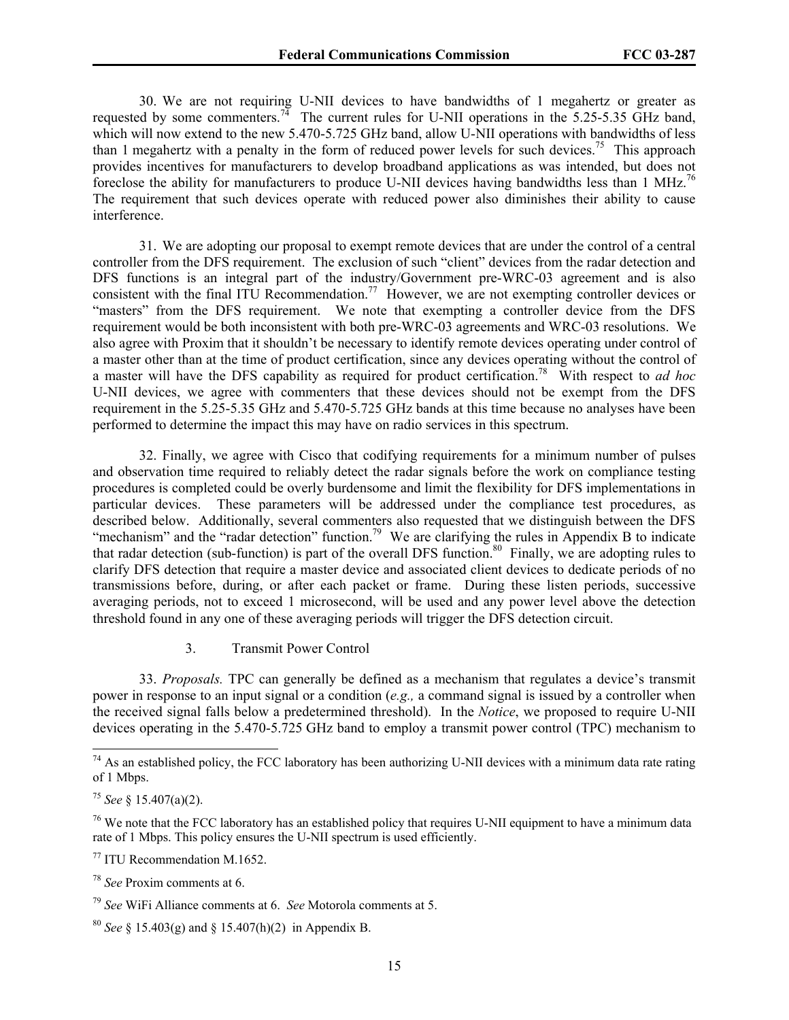30. We are not requiring U-NII devices to have bandwidths of 1 megahertz or greater as requested by some commenters.<sup>74</sup> The current rules for U-NII operations in the 5.25-5.35 GHz band, which will now extend to the new 5.470-5.725 GHz band, allow U-NII operations with bandwidths of less than 1 megahertz with a penalty in the form of reduced power levels for such devices.<sup>75</sup> This approach provides incentives for manufacturers to develop broadband applications as was intended, but does not foreclose the ability for manufacturers to produce U-NII devices having bandwidths less than 1 MHz.<sup>76</sup> The requirement that such devices operate with reduced power also diminishes their ability to cause interference.

31. We are adopting our proposal to exempt remote devices that are under the control of a central controller from the DFS requirement. The exclusion of such "client" devices from the radar detection and DFS functions is an integral part of the industry/Government pre-WRC-03 agreement and is also consistent with the final ITU Recommendation.<sup>77</sup> However, we are not exempting controller devices or "masters" from the DFS requirement. We note that exempting a controller device from the DFS requirement would be both inconsistent with both pre-WRC-03 agreements and WRC-03 resolutions. We also agree with Proxim that it shouldn't be necessary to identify remote devices operating under control of a master other than at the time of product certification, since any devices operating without the control of a master will have the DFS capability as required for product certification.78 With respect to *ad hoc* U-NII devices, we agree with commenters that these devices should not be exempt from the DFS requirement in the 5.25-5.35 GHz and 5.470-5.725 GHz bands at this time because no analyses have been performed to determine the impact this may have on radio services in this spectrum.

32. Finally, we agree with Cisco that codifying requirements for a minimum number of pulses and observation time required to reliably detect the radar signals before the work on compliance testing procedures is completed could be overly burdensome and limit the flexibility for DFS implementations in particular devices. These parameters will be addressed under the compliance test procedures, as described below. Additionally, several commenters also requested that we distinguish between the DFS "mechanism" and the "radar detection" function.<sup>79</sup> We are clarifying the rules in Appendix B to indicate that radar detection (sub-function) is part of the overall DFS function.<sup>80</sup> Finally, we are adopting rules to clarify DFS detection that require a master device and associated client devices to dedicate periods of no transmissions before, during, or after each packet or frame. During these listen periods, successive averaging periods, not to exceed 1 microsecond, will be used and any power level above the detection threshold found in any one of these averaging periods will trigger the DFS detection circuit.

3. Transmit Power Control

33. *Proposals.* TPC can generally be defined as a mechanism that regulates a device's transmit power in response to an input signal or a condition (*e.g.,* a command signal is issued by a controller when the received signal falls below a predetermined threshold). In the *Notice*, we proposed to require U-NII devices operating in the 5.470-5.725 GHz band to employ a transmit power control (TPC) mechanism to

 $74$  As an established policy, the FCC laboratory has been authorizing U-NII devices with a minimum data rate rating of 1 Mbps.

<sup>75</sup> *See* § 15.407(a)(2).

 $76$  We note that the FCC laboratory has an established policy that requires U-NII equipment to have a minimum data rate of 1 Mbps. This policy ensures the U-NII spectrum is used efficiently.

<sup>77</sup> ITU Recommendation M.1652.

<sup>78</sup> *See* Proxim comments at 6.

<sup>79</sup> *See* WiFi Alliance comments at 6. *See* Motorola comments at 5.

<sup>80</sup> *See* § 15.403(g) and § 15.407(h)(2) in Appendix B.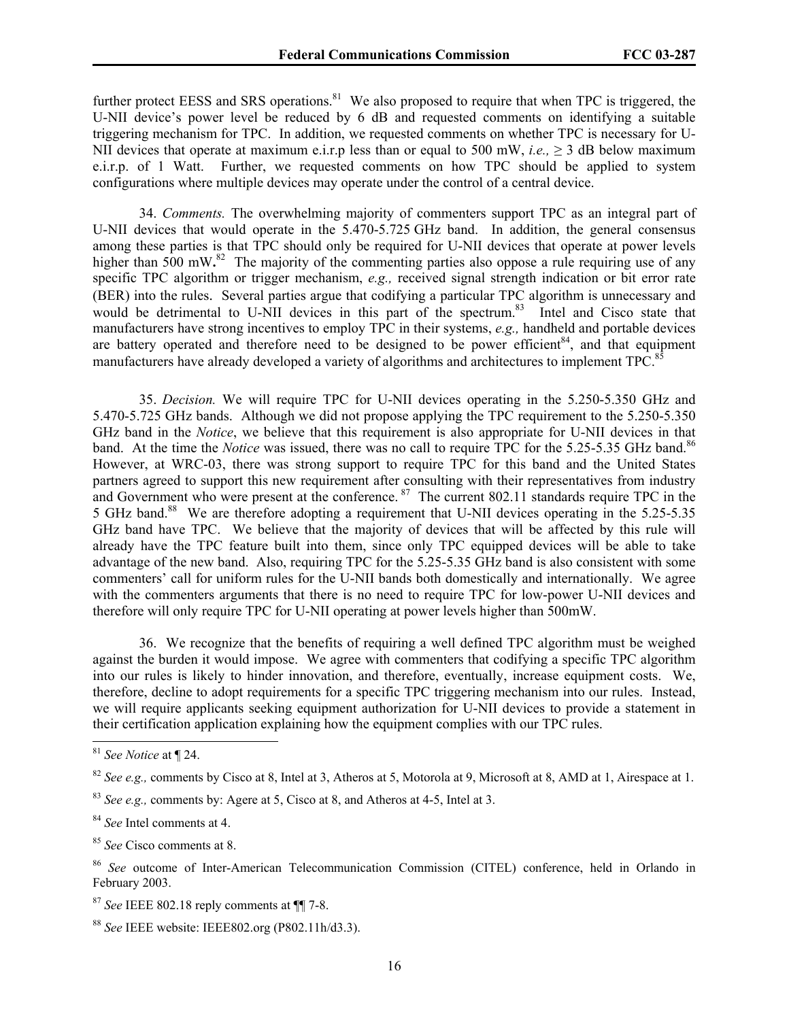further protect EESS and SRS operations.<sup>81</sup> We also proposed to require that when TPC is triggered, the U-NII device's power level be reduced by 6 dB and requested comments on identifying a suitable triggering mechanism for TPC. In addition, we requested comments on whether TPC is necessary for U-NII devices that operate at maximum e.i.r.p less than or equal to 500 mW, *i.e.*,  $\geq$  3 dB below maximum e.i.r.p. of 1 Watt. Further, we requested comments on how TPC should be applied to system configurations where multiple devices may operate under the control of a central device.

34. *Comments.* The overwhelming majority of commenters support TPC as an integral part of U-NII devices that would operate in the 5.470-5.725 GHz band. In addition, the general consensus among these parties is that TPC should only be required for U-NII devices that operate at power levels higher than 500 mW.<sup>82</sup> The majority of the commenting parties also oppose a rule requiring use of any specific TPC algorithm or trigger mechanism, *e.g.,* received signal strength indication or bit error rate (BER) into the rules. Several parties argue that codifying a particular TPC algorithm is unnecessary and would be detrimental to U-NII devices in this part of the spectrum.<sup>83</sup> Intel and Cisco state that manufacturers have strong incentives to employ TPC in their systems, *e.g.,* handheld and portable devices are battery operated and therefore need to be designed to be power efficient<sup>84</sup>, and that equipment manufacturers have already developed a variety of algorithms and architectures to implement TPC.<sup>85</sup>

35. *Decision.* We will require TPC for U-NII devices operating in the 5.250-5.350 GHz and 5.470-5.725 GHz bands. Although we did not propose applying the TPC requirement to the 5.250-5.350 GHz band in the *Notice*, we believe that this requirement is also appropriate for U-NII devices in that band. At the time the *Notice* was issued, there was no call to require TPC for the 5.25-5.35 GHz band.<sup>86</sup> However, at WRC-03, there was strong support to require TPC for this band and the United States partners agreed to support this new requirement after consulting with their representatives from industry and Government who were present at the conference. <sup>87</sup> The current 802.11 standards require TPC in the 5 GHz band.<sup>88</sup> We are therefore adopting a requirement that U-NII devices operating in the 5.25-5.35 GHz band have TPC. We believe that the majority of devices that will be affected by this rule will already have the TPC feature built into them, since only TPC equipped devices will be able to take advantage of the new band. Also, requiring TPC for the 5.25-5.35 GHz band is also consistent with some commenters' call for uniform rules for the U-NII bands both domestically and internationally. We agree with the commenters arguments that there is no need to require TPC for low-power U-NII devices and therefore will only require TPC for U-NII operating at power levels higher than 500mW.

36. We recognize that the benefits of requiring a well defined TPC algorithm must be weighed against the burden it would impose. We agree with commenters that codifying a specific TPC algorithm into our rules is likely to hinder innovation, and therefore, eventually, increase equipment costs. We, therefore, decline to adopt requirements for a specific TPC triggering mechanism into our rules. Instead, we will require applicants seeking equipment authorization for U-NII devices to provide a statement in their certification application explaining how the equipment complies with our TPC rules.

<sup>81</sup> *See Notice* at ¶ 24.

<sup>82</sup> *See e.g.,* comments by Cisco at 8, Intel at 3, Atheros at 5, Motorola at 9, Microsoft at 8, AMD at 1, Airespace at 1.

<sup>83</sup> *See e.g.,* comments by: Agere at 5, Cisco at 8, and Atheros at 4-5, Intel at 3.

<sup>84</sup> *See* Intel comments at 4.

<sup>85</sup> *See* Cisco comments at 8.

<sup>86</sup> *See* outcome of Inter-American Telecommunication Commission (CITEL) conference, held in Orlando in February 2003.

<sup>87</sup> *See* IEEE 802.18 reply comments at ¶¶ 7-8.

<sup>88</sup> *See* IEEE website: IEEE802.org (P802.11h/d3.3).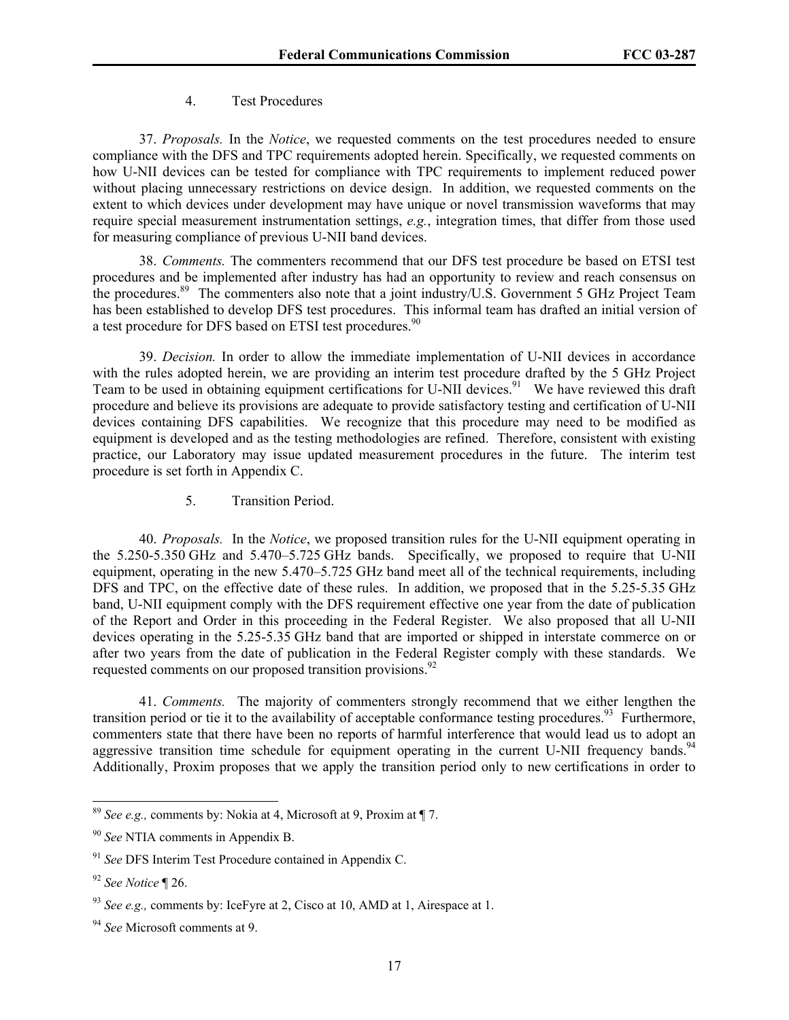#### 4. Test Procedures

37. *Proposals.* In the *Notice*, we requested comments on the test procedures needed to ensure compliance with the DFS and TPC requirements adopted herein. Specifically, we requested comments on how U-NII devices can be tested for compliance with TPC requirements to implement reduced power without placing unnecessary restrictions on device design. In addition, we requested comments on the extent to which devices under development may have unique or novel transmission waveforms that may require special measurement instrumentation settings, *e.g.*, integration times, that differ from those used for measuring compliance of previous U-NII band devices.

38. *Comments.* The commenters recommend that our DFS test procedure be based on ETSI test procedures and be implemented after industry has had an opportunity to review and reach consensus on the procedures.89 The commenters also note that a joint industry/U.S. Government 5 GHz Project Team has been established to develop DFS test procedures. This informal team has drafted an initial version of a test procedure for DFS based on ETSI test procedures.<sup>90</sup>

39. *Decision.* In order to allow the immediate implementation of U-NII devices in accordance with the rules adopted herein, we are providing an interim test procedure drafted by the 5 GHz Project Team to be used in obtaining equipment certifications for U-NII devices.<sup>91</sup> We have reviewed this draft procedure and believe its provisions are adequate to provide satisfactory testing and certification of U-NII devices containing DFS capabilities. We recognize that this procedure may need to be modified as equipment is developed and as the testing methodologies are refined. Therefore, consistent with existing practice, our Laboratory may issue updated measurement procedures in the future. The interim test procedure is set forth in Appendix C.

5. Transition Period.

40. *Proposals.* In the *Notice*, we proposed transition rules for the U-NII equipment operating in the 5.250-5.350 GHz and 5.470–5.725 GHz bands. Specifically, we proposed to require that U-NII equipment, operating in the new 5.470–5.725 GHz band meet all of the technical requirements, including DFS and TPC, on the effective date of these rules. In addition, we proposed that in the 5.25-5.35 GHz band, U-NII equipment comply with the DFS requirement effective one year from the date of publication of the Report and Order in this proceeding in the Federal Register. We also proposed that all U-NII devices operating in the 5.25-5.35 GHz band that are imported or shipped in interstate commerce on or after two years from the date of publication in the Federal Register comply with these standards. We requested comments on our proposed transition provisions.<sup>92</sup>

41. *Comments.* The majority of commenters strongly recommend that we either lengthen the transition period or tie it to the availability of acceptable conformance testing procedures.<sup>93</sup> Furthermore, commenters state that there have been no reports of harmful interference that would lead us to adopt an aggressive transition time schedule for equipment operating in the current U-NII frequency bands.<sup>94</sup> Additionally, Proxim proposes that we apply the transition period only to new certifications in order to

<sup>89</sup> *See e.g.,* comments by: Nokia at 4, Microsoft at 9, Proxim at ¶ 7.

<sup>90</sup> *See* NTIA comments in Appendix B.

<sup>91</sup> *See* DFS Interim Test Procedure contained in Appendix C.

<sup>92</sup> *See Notice* ¶ 26.

<sup>93</sup> *See e.g.,* comments by: IceFyre at 2, Cisco at 10, AMD at 1, Airespace at 1.

<sup>94</sup> *See* Microsoft comments at 9.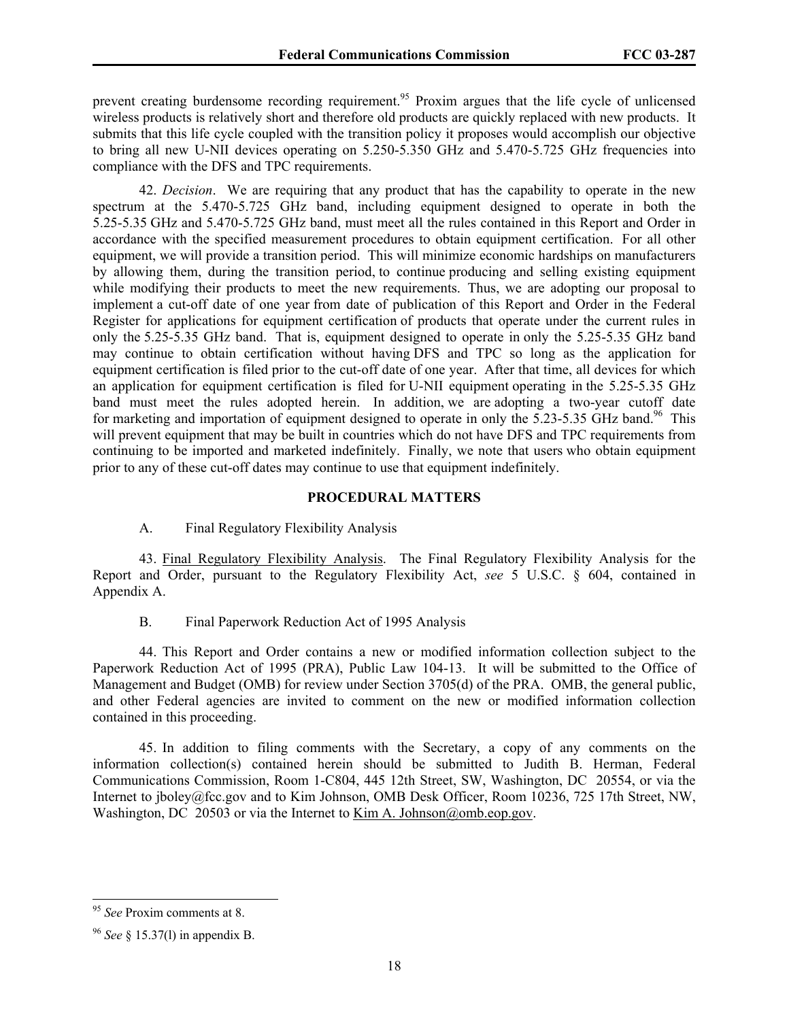prevent creating burdensome recording requirement.<sup>95</sup> Proxim argues that the life cycle of unlicensed wireless products is relatively short and therefore old products are quickly replaced with new products. It submits that this life cycle coupled with the transition policy it proposes would accomplish our objective to bring all new U-NII devices operating on 5.250-5.350 GHz and 5.470-5.725 GHz frequencies into compliance with the DFS and TPC requirements.

42. *Decision*. We are requiring that any product that has the capability to operate in the new spectrum at the 5.470-5.725 GHz band, including equipment designed to operate in both the 5.25-5.35 GHz and 5.470-5.725 GHz band, must meet all the rules contained in this Report and Order in accordance with the specified measurement procedures to obtain equipment certification. For all other equipment, we will provide a transition period. This will minimize economic hardships on manufacturers by allowing them, during the transition period, to continue producing and selling existing equipment while modifying their products to meet the new requirements. Thus, we are adopting our proposal to implement a cut-off date of one year from date of publication of this Report and Order in the Federal Register for applications for equipment certification of products that operate under the current rules in only the 5.25-5.35 GHz band. That is, equipment designed to operate in only the 5.25-5.35 GHz band may continue to obtain certification without having DFS and TPC so long as the application for equipment certification is filed prior to the cut-off date of one year. After that time, all devices for which an application for equipment certification is filed for U-NII equipment operating in the 5.25-5.35 GHz band must meet the rules adopted herein. In addition, we are adopting a two-year cutoff date for marketing and importation of equipment designed to operate in only the 5.23-5.35 GHz band.<sup>96</sup> This will prevent equipment that may be built in countries which do not have DFS and TPC requirements from continuing to be imported and marketed indefinitely. Finally, we note that users who obtain equipment prior to any of these cut-off dates may continue to use that equipment indefinitely.

#### **PROCEDURAL MATTERS**

A. Final Regulatory Flexibility Analysis

43. Final Regulatory Flexibility Analysis. The Final Regulatory Flexibility Analysis for the Report and Order, pursuant to the Regulatory Flexibility Act, *see* 5 U.S.C. § 604, contained in Appendix A.

B. Final Paperwork Reduction Act of 1995 Analysis

44. This Report and Order contains a new or modified information collection subject to the Paperwork Reduction Act of 1995 (PRA), Public Law 104-13. It will be submitted to the Office of Management and Budget (OMB) for review under Section 3705(d) of the PRA. OMB, the general public, and other Federal agencies are invited to comment on the new or modified information collection contained in this proceeding.

45. In addition to filing comments with the Secretary, a copy of any comments on the information collection(s) contained herein should be submitted to Judith B. Herman, Federal Communications Commission, Room 1-C804, 445 12th Street, SW, Washington, DC 20554, or via the Internet to jboley@fcc.gov and to Kim Johnson, OMB Desk Officer, Room 10236, 725 17th Street, NW, Washington, DC 20503 or via the Internet to Kim A. Johnson@omb.eop.gov.

<sup>95</sup> *See* Proxim comments at 8.

<sup>96</sup> *See* § 15.37(l) in appendix B.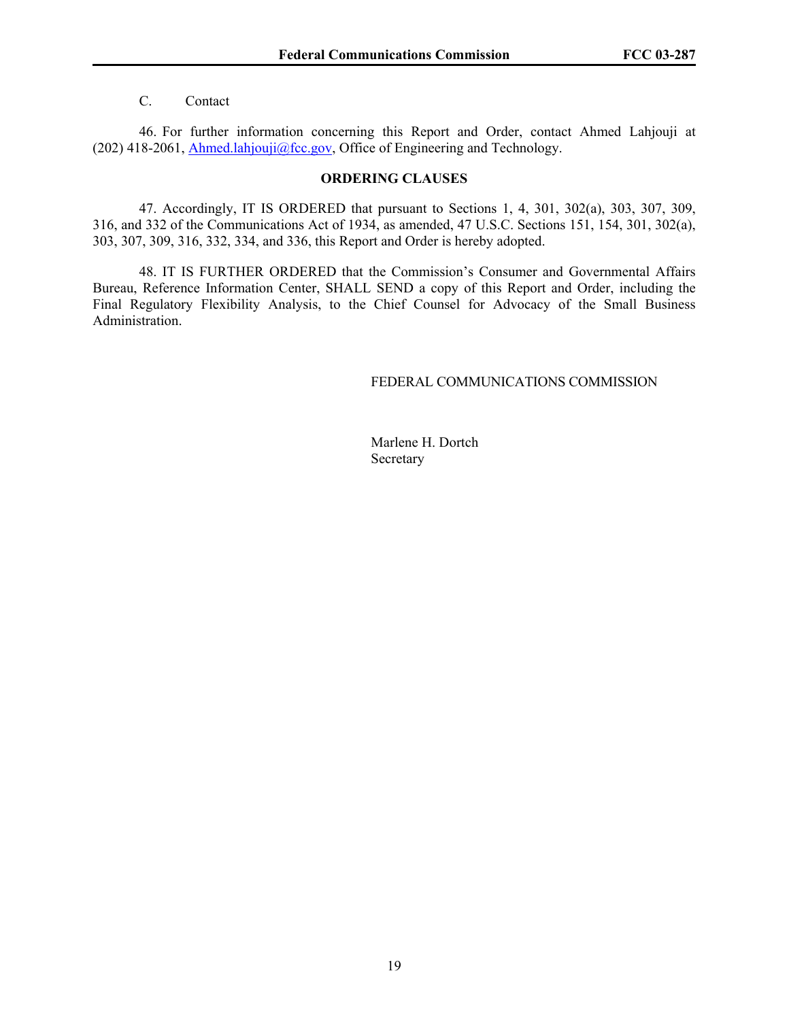## C. Contact

46. For further information concerning this Report and Order, contact Ahmed Lahjouji at (202) 418-2061, *Ahmed.lahjouji@fcc.gov*, Office of Engineering and Technology.

#### **ORDERING CLAUSES**

47. Accordingly, IT IS ORDERED that pursuant to Sections 1, 4, 301, 302(a), 303, 307, 309, 316, and 332 of the Communications Act of 1934, as amended, 47 U.S.C. Sections 151, 154, 301, 302(a), 303, 307, 309, 316, 332, 334, and 336, this Report and Order is hereby adopted.

48. IT IS FURTHER ORDERED that the Commission's Consumer and Governmental Affairs Bureau, Reference Information Center, SHALL SEND a copy of this Report and Order, including the Final Regulatory Flexibility Analysis, to the Chief Counsel for Advocacy of the Small Business Administration.

#### FEDERAL COMMUNICATIONS COMMISSION

 Marlene H. Dortch Secretary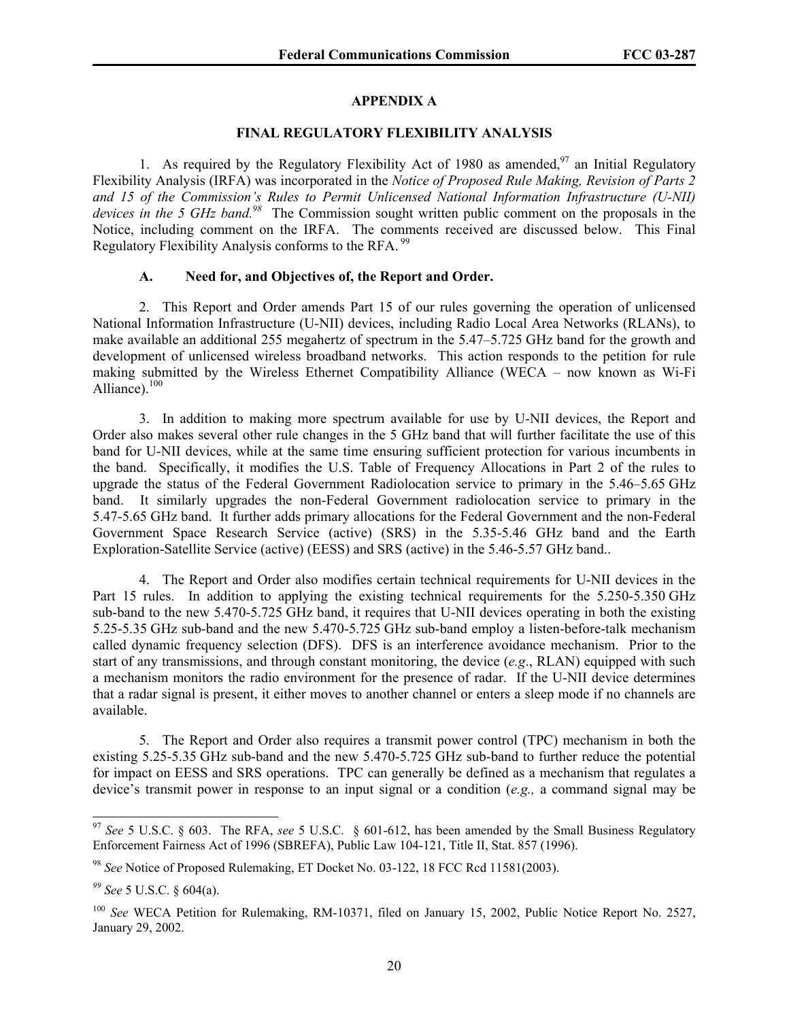#### **APPENDIX A**

#### **FINAL REGULATORY FLEXIBILITY ANALYSIS**

1. As required by the Regulatory Flexibility Act of 1980 as amended,  $\frac{97}{97}$  an Initial Regulatory Flexibility Analysis (IRFA) was incorporated in the *Notice of Proposed Rule Making, Revision of Parts 2 and 15 of the Commission's Rules to Permit Unlicensed National Information Infrastructure (U-NII)*  devices in the 5 GHz band.<sup>98</sup> The Commission sought written public comment on the proposals in the Notice, including comment on the IRFA. The comments received are discussed below. This Final Regulatory Flexibility Analysis conforms to the RFA.<sup>99</sup>

### **A. Need for, and Objectives of, the Report and Order.**

2. This Report and Order amends Part 15 of our rules governing the operation of unlicensed National Information Infrastructure (U-NII) devices, including Radio Local Area Networks (RLANs), to make available an additional 255 megahertz of spectrum in the 5.47–5.725 GHz band for the growth and development of unlicensed wireless broadband networks. This action responds to the petition for rule making submitted by the Wireless Ethernet Compatibility Alliance (WECA – now known as Wi-Fi Alliance).<sup>100</sup>

3. In addition to making more spectrum available for use by U-NII devices, the Report and Order also makes several other rule changes in the 5 GHz band that will further facilitate the use of this band for U-NII devices, while at the same time ensuring sufficient protection for various incumbents in the band. Specifically, it modifies the U.S. Table of Frequency Allocations in Part 2 of the rules to upgrade the status of the Federal Government Radiolocation service to primary in the 5.46–5.65 GHz band. It similarly upgrades the non-Federal Government radiolocation service to primary in the 5.47-5.65 GHz band. It further adds primary allocations for the Federal Government and the non-Federal Government Space Research Service (active) (SRS) in the 5.35-5.46 GHz band and the Earth Exploration-Satellite Service (active) (EESS) and SRS (active) in the 5.46-5.57 GHz band..

4. The Report and Order also modifies certain technical requirements for U-NII devices in the Part 15 rules. In addition to applying the existing technical requirements for the 5.250-5.350 GHz sub-band to the new 5.470-5.725 GHz band, it requires that U-NII devices operating in both the existing 5.25-5.35 GHz sub-band and the new 5.470-5.725 GHz sub-band employ a listen-before-talk mechanism called dynamic frequency selection (DFS). DFS is an interference avoidance mechanism. Prior to the start of any transmissions, and through constant monitoring, the device (*e.g*., RLAN) equipped with such a mechanism monitors the radio environment for the presence of radar. If the U-NII device determines that a radar signal is present, it either moves to another channel or enters a sleep mode if no channels are available.

5. The Report and Order also requires a transmit power control (TPC) mechanism in both the existing 5.25-5.35 GHz sub-band and the new 5.470-5.725 GHz sub-band to further reduce the potential for impact on EESS and SRS operations. TPC can generally be defined as a mechanism that regulates a device's transmit power in response to an input signal or a condition (*e.g.,* a command signal may be

<sup>97</sup> *See* 5 U.S.C. § 603. The RFA, *see* 5 U.S.C. § 601-612, has been amended by the Small Business Regulatory Enforcement Fairness Act of 1996 (SBREFA), Public Law 104-121, Title II, Stat. 857 (1996).

<sup>98</sup> *See* Notice of Proposed Rulemaking, ET Docket No. 03-122, 18 FCC Rcd 11581(2003).

*<sup>99</sup> See* 5 U.S.C. § 604(a).

<sup>100</sup> *See* WECA Petition for Rulemaking, RM-10371, filed on January 15, 2002, Public Notice Report No. 2527, January 29, 2002.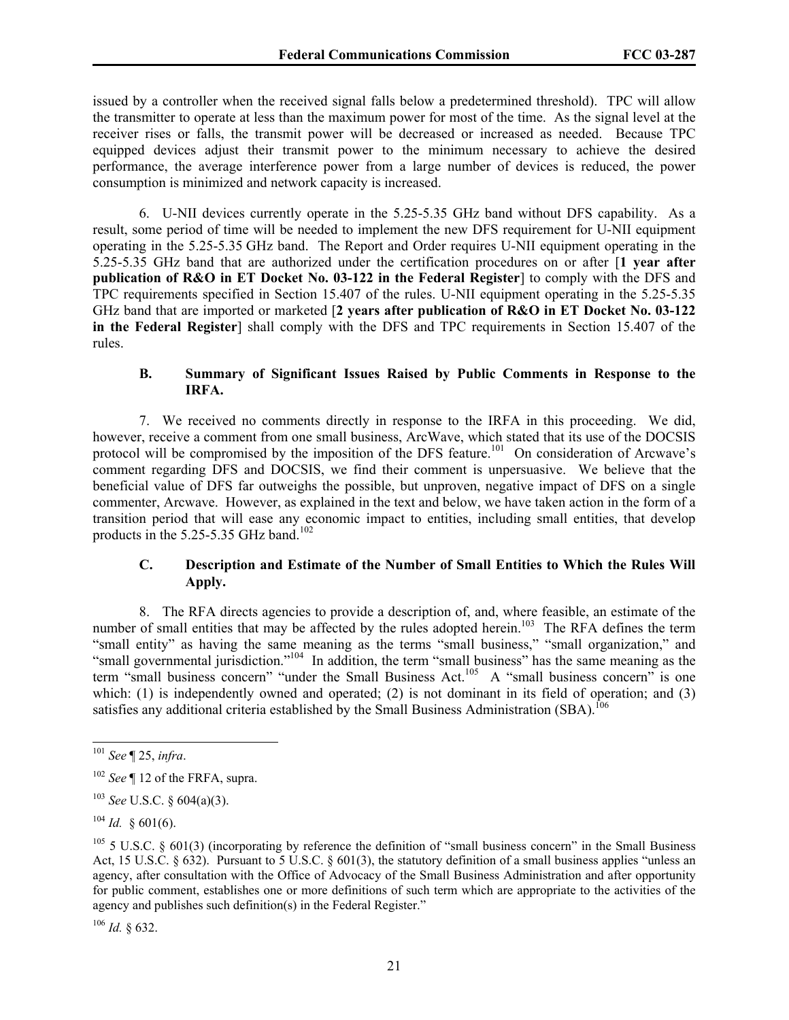issued by a controller when the received signal falls below a predetermined threshold). TPC will allow the transmitter to operate at less than the maximum power for most of the time. As the signal level at the receiver rises or falls, the transmit power will be decreased or increased as needed. Because TPC equipped devices adjust their transmit power to the minimum necessary to achieve the desired performance, the average interference power from a large number of devices is reduced, the power consumption is minimized and network capacity is increased.

6. U-NII devices currently operate in the 5.25-5.35 GHz band without DFS capability. As a result, some period of time will be needed to implement the new DFS requirement for U-NII equipment operating in the 5.25-5.35 GHz band. The Report and Order requires U-NII equipment operating in the 5.25-5.35 GHz band that are authorized under the certification procedures on or after [**1 year after publication of R&O in ET Docket No. 03-122 in the Federal Register**] to comply with the DFS and TPC requirements specified in Section 15.407 of the rules. U-NII equipment operating in the 5.25-5.35 GHz band that are imported or marketed [**2 years after publication of R&O in ET Docket No. 03-122 in the Federal Register**] shall comply with the DFS and TPC requirements in Section 15.407 of the rules.

#### **B. Summary of Significant Issues Raised by Public Comments in Response to the IRFA.**

7. We received no comments directly in response to the IRFA in this proceeding. We did, however, receive a comment from one small business, ArcWave, which stated that its use of the DOCSIS protocol will be compromised by the imposition of the DFS feature.<sup>101</sup> On consideration of Arcwave's comment regarding DFS and DOCSIS, we find their comment is unpersuasive. We believe that the beneficial value of DFS far outweighs the possible, but unproven, negative impact of DFS on a single commenter, Arcwave. However, as explained in the text and below, we have taken action in the form of a transition period that will ease any economic impact to entities, including small entities, that develop products in the  $5.25$ -5.35 GHz band.<sup>102</sup>

## **C. Description and Estimate of the Number of Small Entities to Which the Rules Will Apply.**

8. The RFA directs agencies to provide a description of, and, where feasible, an estimate of the number of small entities that may be affected by the rules adopted herein.<sup>103</sup> The RFA defines the term "small entity" as having the same meaning as the terms "small business," "small organization," and "small governmental jurisdiction."<sup>104</sup> In addition, the term "small business" has the same meaning as the term "small business concern" "under the Small Business Act.<sup>105</sup> A "small business concern" is one which: (1) is independently owned and operated; (2) is not dominant in its field of operation; and (3) satisfies any additional criteria established by the Small Business Administration (SBA).<sup>106</sup>

 $\overline{a}$ 

<sup>106</sup> *Id.* § 632.

<sup>101</sup> *See* ¶ 25, *infra*.

<sup>102</sup> *See* ¶ 12 of the FRFA, supra.

<sup>103</sup> *See* U.S.C. § 604(a)(3).

 $104$  *Id.* § 601(6).

<sup>&</sup>lt;sup>105</sup> 5 U.S.C. § 601(3) (incorporating by reference the definition of "small business concern" in the Small Business Act, 15 U.S.C.  $\S 632$ ). Pursuant to 5 U.S.C.  $\S 601(3)$ , the statutory definition of a small business applies "unless an agency, after consultation with the Office of Advocacy of the Small Business Administration and after opportunity for public comment, establishes one or more definitions of such term which are appropriate to the activities of the agency and publishes such definition(s) in the Federal Register."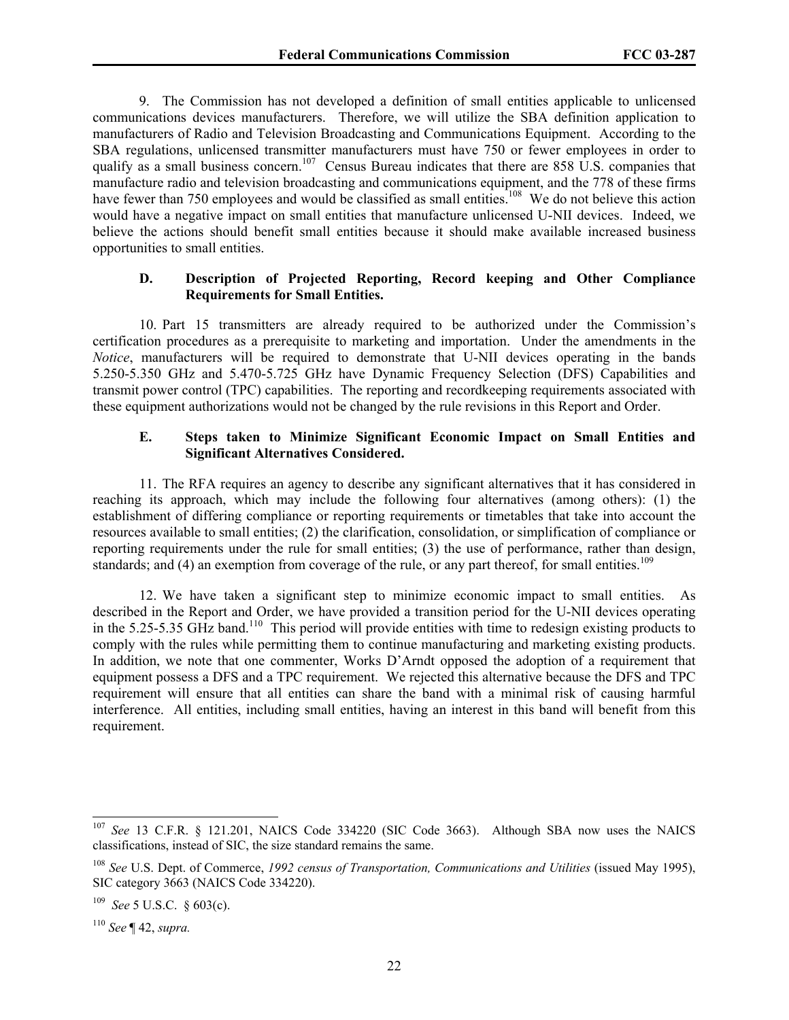9. The Commission has not developed a definition of small entities applicable to unlicensed communications devices manufacturers. Therefore, we will utilize the SBA definition application to manufacturers of Radio and Television Broadcasting and Communications Equipment. According to the SBA regulations, unlicensed transmitter manufacturers must have 750 or fewer employees in order to qualify as a small business concern.<sup>107</sup> Census Bureau indicates that there are 858 U.S. companies that manufacture radio and television broadcasting and communications equipment, and the 778 of these firms have fewer than 750 employees and would be classified as small entities.<sup>108</sup> We do not believe this action would have a negative impact on small entities that manufacture unlicensed U-NII devices. Indeed, we believe the actions should benefit small entities because it should make available increased business opportunities to small entities.

## **D. Description of Projected Reporting, Record keeping and Other Compliance Requirements for Small Entities.**

10. Part 15 transmitters are already required to be authorized under the Commission's certification procedures as a prerequisite to marketing and importation. Under the amendments in the *Notice*, manufacturers will be required to demonstrate that U-NII devices operating in the bands 5.250-5.350 GHz and 5.470-5.725 GHz have Dynamic Frequency Selection (DFS) Capabilities and transmit power control (TPC) capabilities. The reporting and recordkeeping requirements associated with these equipment authorizations would not be changed by the rule revisions in this Report and Order.

### **E. Steps taken to Minimize Significant Economic Impact on Small Entities and Significant Alternatives Considered.**

11. The RFA requires an agency to describe any significant alternatives that it has considered in reaching its approach, which may include the following four alternatives (among others): (1) the establishment of differing compliance or reporting requirements or timetables that take into account the resources available to small entities; (2) the clarification, consolidation, or simplification of compliance or reporting requirements under the rule for small entities; (3) the use of performance, rather than design, standards; and (4) an exemption from coverage of the rule, or any part thereof, for small entities.<sup>109</sup>

12. We have taken a significant step to minimize economic impact to small entities. As described in the Report and Order, we have provided a transition period for the U-NII devices operating in the 5.25-5.35 GHz band.<sup>110</sup> This period will provide entities with time to redesign existing products to comply with the rules while permitting them to continue manufacturing and marketing existing products. In addition, we note that one commenter, Works D'Arndt opposed the adoption of a requirement that equipment possess a DFS and a TPC requirement. We rejected this alternative because the DFS and TPC requirement will ensure that all entities can share the band with a minimal risk of causing harmful interference. All entities, including small entities, having an interest in this band will benefit from this requirement.

<sup>107</sup> *See* 13 C.F.R. § 121.201, NAICS Code 334220 (SIC Code 3663). Although SBA now uses the NAICS classifications, instead of SIC, the size standard remains the same.

<sup>108</sup> *See* U.S. Dept. of Commerce, *1992 census of Transportation, Communications and Utilities* (issued May 1995), SIC category 3663 (NAICS Code 334220).

<sup>109</sup> *See* 5 U.S.C. § 603(c).

<sup>110</sup> *See* ¶ 42, *supra.*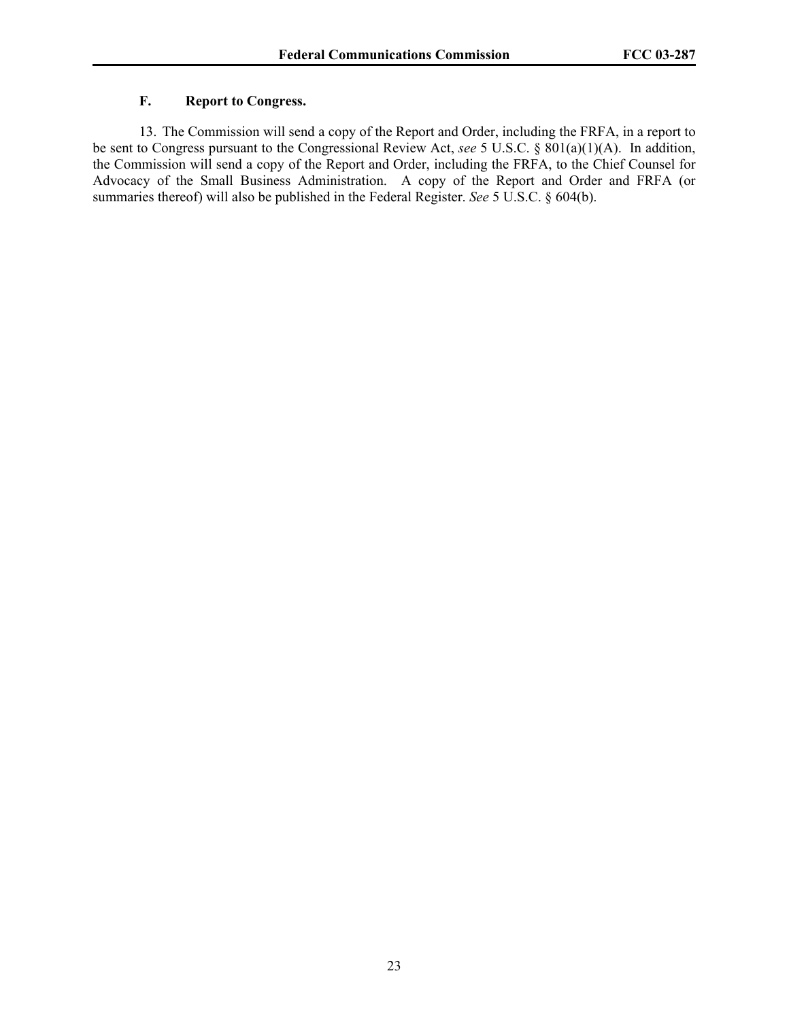## **F. Report to Congress.**

13. The Commission will send a copy of the Report and Order, including the FRFA, in a report to be sent to Congress pursuant to the Congressional Review Act, *see* 5 U.S.C. § 801(a)(1)(A). In addition, the Commission will send a copy of the Report and Order, including the FRFA, to the Chief Counsel for Advocacy of the Small Business Administration. A copy of the Report and Order and FRFA (or summaries thereof) will also be published in the Federal Register. *See* 5 U.S.C. § 604(b).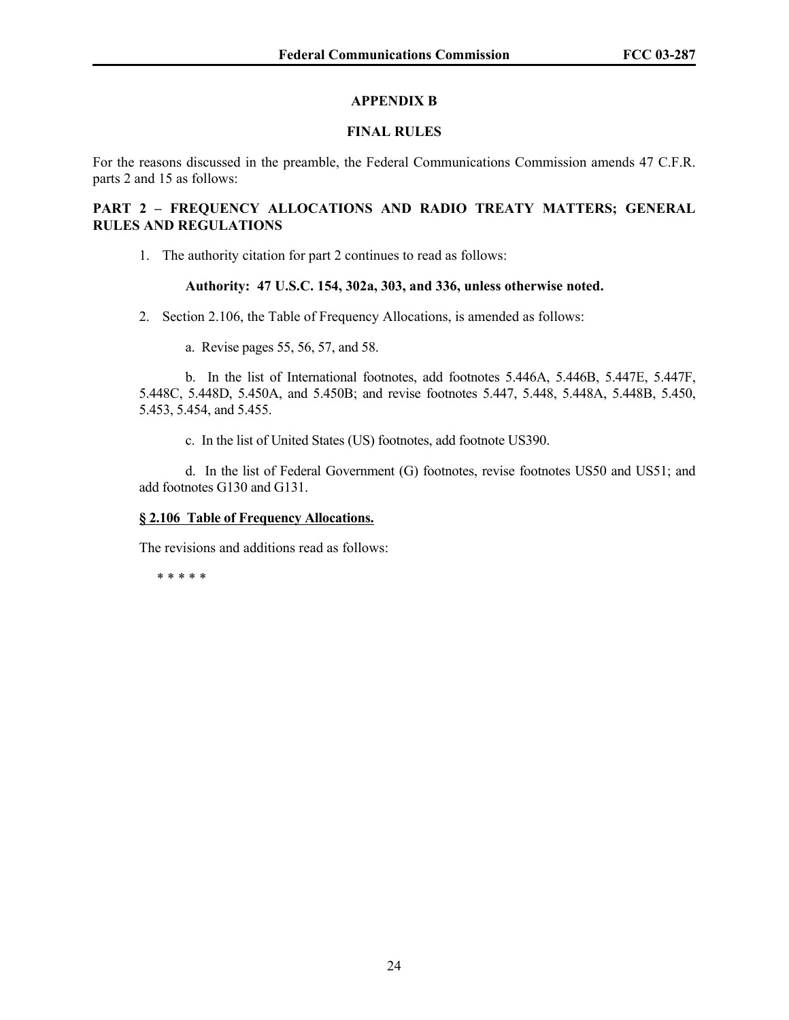#### **APPENDIX B**

### **FINAL RULES**

For the reasons discussed in the preamble, the Federal Communications Commission amends 47 C.F.R. parts 2 and 15 as follows:

#### **PART 2 – FREQUENCY ALLOCATIONS AND RADIO TREATY MATTERS; GENERAL RULES AND REGULATIONS**

1. The authority citation for part 2 continues to read as follows:

#### **Authority: 47 U.S.C. 154, 302a, 303, and 336, unless otherwise noted.**

- 2. Section 2.106, the Table of Frequency Allocations, is amended as follows:
	- a. Revise pages 55, 56, 57, and 58.

b. In the list of International footnotes, add footnotes 5.446A, 5.446B, 5.447E, 5.447F, 5.448C, 5.448D, 5.450A, and 5.450B; and revise footnotes 5.447, 5.448, 5.448A, 5.448B, 5.450, 5.453, 5.454, and 5.455.

c. In the list of United States (US) footnotes, add footnote US390.

d. In the list of Federal Government (G) footnotes, revise footnotes US50 and US51; and add footnotes G130 and G131.

#### **§ 2.106 Table of Frequency Allocations.**

The revisions and additions read as follows:

\* \* \* \* \*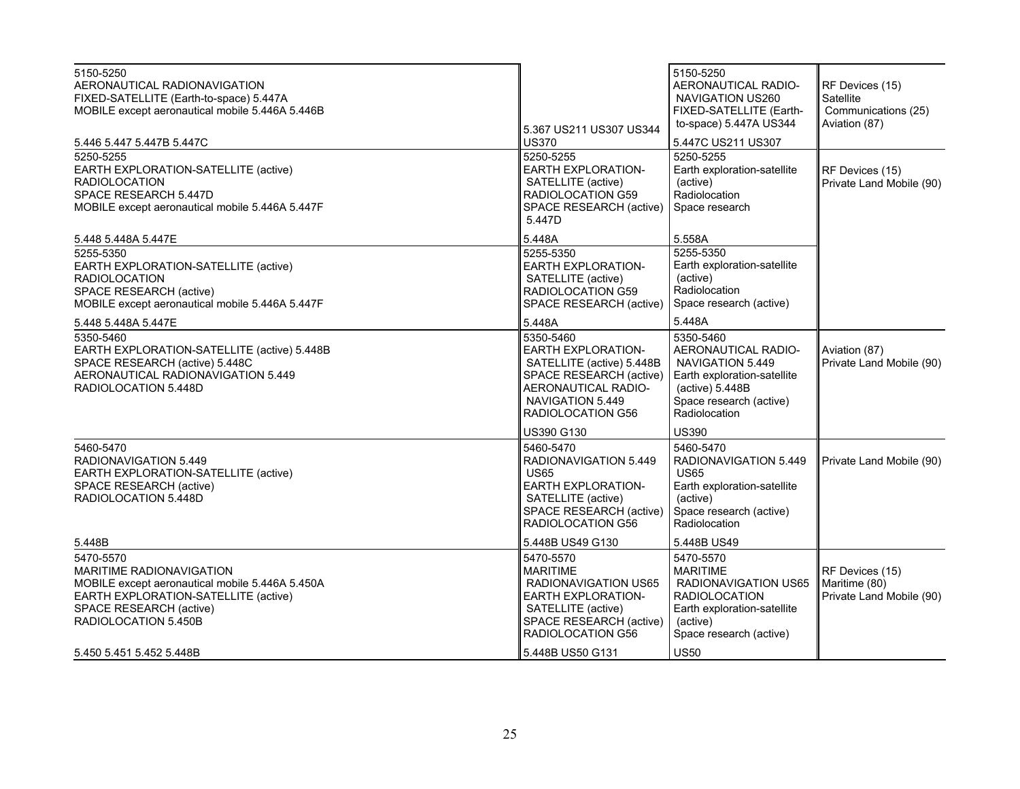| 5150-5250<br>AERONAUTICAL RADIONAVIGATION<br>FIXED-SATELLITE (Earth-to-space) 5.447A<br>MOBILE except aeronautical mobile 5.446A 5.446B<br>5.446 5.447 5.447B 5.447C<br>5250-5255                                                | 5.367 US211 US307 US344<br><b>US370</b><br>5250-5255                                                                                                                                            | 5150-5250<br>AERONAUTICAL RADIO-<br>NAVIGATION US260<br>FIXED-SATELLITE (Earth-<br>to-space) 5.447A US344<br>5.447C US211 US307<br>5250-5255                                     | RF Devices (15)<br>Satellite<br>Communications (25)<br>Aviation (87) |
|----------------------------------------------------------------------------------------------------------------------------------------------------------------------------------------------------------------------------------|-------------------------------------------------------------------------------------------------------------------------------------------------------------------------------------------------|----------------------------------------------------------------------------------------------------------------------------------------------------------------------------------|----------------------------------------------------------------------|
| EARTH EXPLORATION-SATELLITE (active)<br><b>RADIOLOCATION</b><br>SPACE RESEARCH 5.447D<br>MOBILE except aeronautical mobile 5.446A 5.447F                                                                                         | <b>EARTH EXPLORATION-</b><br>SATELLITE (active)<br>RADIOLOCATION G59<br>SPACE RESEARCH (active)<br>5.447D<br>5.448A                                                                             | Earth exploration-satellite<br>(active)<br>Radiolocation<br>Space research<br>5.558A                                                                                             | RF Devices (15)<br>Private Land Mobile (90)                          |
| 5.448 5.448A 5.447E<br>5255-5350<br>EARTH EXPLORATION-SATELLITE (active)<br><b>RADIOLOCATION</b><br>SPACE RESEARCH (active)<br>MOBILE except aeronautical mobile 5.446A 5.447F                                                   | 5255-5350<br><b>EARTH EXPLORATION-</b><br>SATELLITE (active)<br>RADIOLOCATION G59<br>SPACE RESEARCH (active)                                                                                    | 5255-5350<br>Earth exploration-satellite<br>(active)<br>Radiolocation<br>Space research (active)                                                                                 |                                                                      |
| 5.448 5.448A 5.447E<br>5350-5460<br>EARTH EXPLORATION-SATELLITE (active) 5.448B<br>SPACE RESEARCH (active) 5.448C<br>AERONAUTICAL RADIONAVIGATION 5.449<br>RADIOLOCATION 5.448D                                                  | 5.448A<br>5350-5460<br><b>EARTH EXPLORATION-</b><br>SATELLITE (active) 5.448B<br>SPACE RESEARCH (active)<br>AERONAUTICAL RADIO-<br>NAVIGATION 5.449<br>RADIOLOCATION G56                        | 5.448A<br>5350-5460<br>AERONAUTICAL RADIO-<br>NAVIGATION 5.449<br>Earth exploration-satellite<br>(active) 5.448B<br>Space research (active)<br>Radiolocation                     | Aviation (87)<br>Private Land Mobile (90)                            |
| 5460-5470<br>RADIONAVIGATION 5.449<br>EARTH EXPLORATION-SATELLITE (active)<br>SPACE RESEARCH (active)<br>RADIOLOCATION 5.448D                                                                                                    | US390 G130<br>5460-5470<br>RADIONAVIGATION 5.449<br><b>US65</b><br><b>EARTH EXPLORATION-</b><br>SATELLITE (active)<br>SPACE RESEARCH (active)<br>RADIOLOCATION G56                              | <b>US390</b><br>5460-5470<br>RADIONAVIGATION 5.449<br><b>US65</b><br>Earth exploration-satellite<br>(active)<br>Space research (active)<br>Radiolocation                         | Private Land Mobile (90)                                             |
| 5.448B<br>5470-5570<br><b>MARITIME RADIONAVIGATION</b><br>MOBILE except aeronautical mobile 5.446A 5.450A<br>EARTH EXPLORATION-SATELLITE (active)<br>SPACE RESEARCH (active)<br>RADIOLOCATION 5.450B<br>5.450 5.451 5.452 5.448B | 5.448B US49 G130<br>5470-5570<br><b>MARITIME</b><br>RADIONAVIGATION US65<br><b>EARTH EXPLORATION-</b><br>SATELLITE (active)<br>SPACE RESEARCH (active)<br>RADIOLOCATION G56<br>5.448B US50 G131 | 5.448B US49<br>5470-5570<br><b>MARITIME</b><br>RADIONAVIGATION US65<br><b>RADIOLOCATION</b><br>Earth exploration-satellite<br>(active)<br>Space research (active)<br><b>US50</b> | RF Devices (15)<br>Maritime (80)<br>Private Land Mobile (90)         |
|                                                                                                                                                                                                                                  |                                                                                                                                                                                                 |                                                                                                                                                                                  |                                                                      |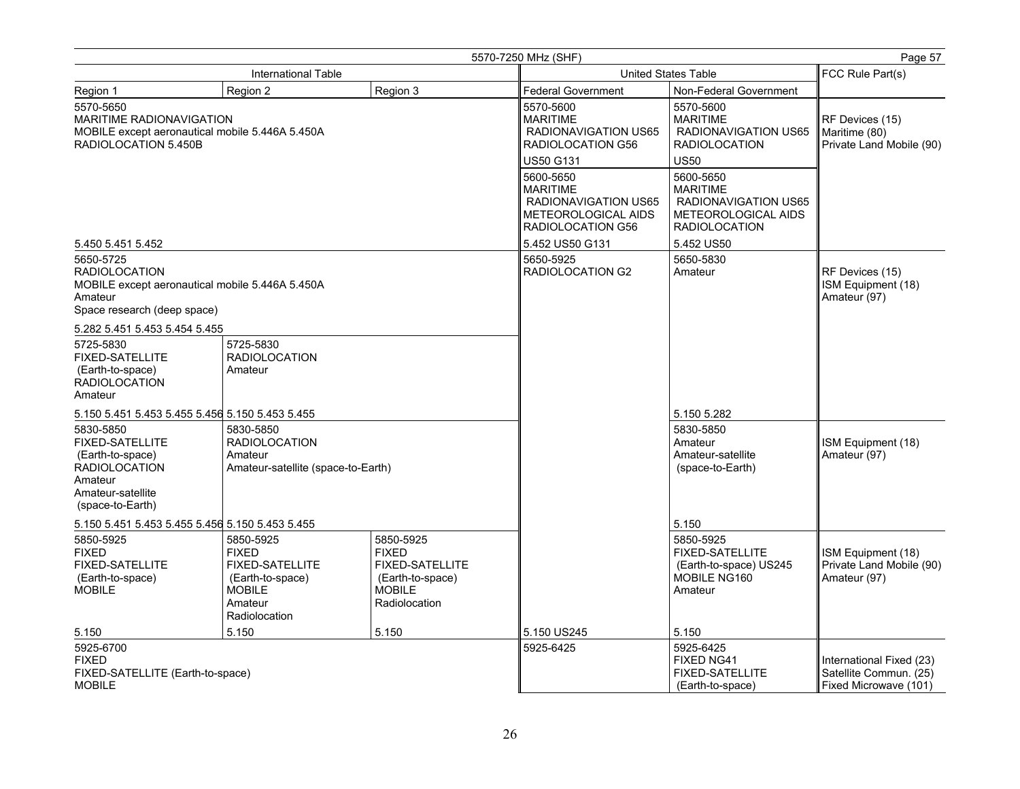| 5570-7250 MHz (SHF)                                                                                                                 |                                                                                                                      |                                                                                                           |                                                                                                  |                                                                                                            | Page 57                                                                     |
|-------------------------------------------------------------------------------------------------------------------------------------|----------------------------------------------------------------------------------------------------------------------|-----------------------------------------------------------------------------------------------------------|--------------------------------------------------------------------------------------------------|------------------------------------------------------------------------------------------------------------|-----------------------------------------------------------------------------|
| <b>International Table</b>                                                                                                          |                                                                                                                      |                                                                                                           |                                                                                                  | <b>United States Table</b>                                                                                 | FCC Rule Part(s)                                                            |
| Region 1                                                                                                                            | Region 2                                                                                                             | Region 3                                                                                                  | <b>Federal Government</b>                                                                        | Non-Federal Government                                                                                     |                                                                             |
| 5570-5650<br><b>MARITIME RADIONAVIGATION</b><br>MOBILE except aeronautical mobile 5.446A 5.450A<br>RADIOLOCATION 5.450B             |                                                                                                                      |                                                                                                           | 5570-5600<br><b>MARITIME</b><br>RADIONAVIGATION US65<br>RADIOLOCATION G56                        | 5570-5600<br><b>MARITIME</b><br>RADIONAVIGATION US65<br><b>RADIOLOCATION</b>                               | RF Devices (15)<br>Maritime (80)<br>Private Land Mobile (90)                |
|                                                                                                                                     |                                                                                                                      |                                                                                                           | US50 G131                                                                                        | <b>US50</b>                                                                                                |                                                                             |
|                                                                                                                                     |                                                                                                                      |                                                                                                           | 5600-5650<br><b>MARITIME</b><br>RADIONAVIGATION US65<br>METEOROLOGICAL AIDS<br>RADIOLOCATION G56 | 5600-5650<br><b>MARITIME</b><br><b>RADIONAVIGATION US65</b><br>METEOROLOGICAL AIDS<br><b>RADIOLOCATION</b> |                                                                             |
| 5.450 5.451 5.452                                                                                                                   |                                                                                                                      |                                                                                                           | 5.452 US50 G131                                                                                  | 5.452 US50                                                                                                 |                                                                             |
| 5650-5725<br><b>RADIOLOCATION</b><br>MOBILE except aeronautical mobile 5.446A 5.450A<br>Amateur<br>Space research (deep space)      |                                                                                                                      |                                                                                                           | 5650-5925<br>RADIOLOCATION G2                                                                    | 5650-5830<br>Amateur                                                                                       | RF Devices (15)<br>ISM Equipment (18)<br>Amateur (97)                       |
| 5.282 5.451 5.453 5.454 5.455                                                                                                       |                                                                                                                      |                                                                                                           |                                                                                                  |                                                                                                            |                                                                             |
| 5725-5830<br><b>FIXED-SATELLITE</b><br>(Earth-to-space)<br><b>RADIOLOCATION</b><br>Amateur                                          | 5725-5830<br><b>RADIOLOCATION</b><br>Amateur                                                                         |                                                                                                           |                                                                                                  |                                                                                                            |                                                                             |
| 5.150 5.451 5.453 5.455 5.456 5.150 5.453 5.455                                                                                     |                                                                                                                      |                                                                                                           |                                                                                                  | 5.150 5.282                                                                                                |                                                                             |
| 5830-5850<br><b>FIXED-SATELLITE</b><br>(Earth-to-space)<br><b>RADIOLOCATION</b><br>Amateur<br>Amateur-satellite<br>(space-to-Earth) | 5830-5850<br><b>RADIOLOCATION</b><br>Amateur<br>Amateur-satellite (space-to-Earth)                                   |                                                                                                           |                                                                                                  | 5830-5850<br>Amateur<br>Amateur-satellite<br>(space-to-Earth)                                              | ISM Equipment (18)<br>Amateur (97)                                          |
| 5.150 5.451 5.453 5.455 5.456 5.150 5.453 5.455                                                                                     |                                                                                                                      |                                                                                                           |                                                                                                  | 5.150                                                                                                      |                                                                             |
| 5850-5925<br><b>FIXED</b><br><b>FIXED-SATELLITE</b><br>(Earth-to-space)<br><b>MOBILE</b>                                            | 5850-5925<br><b>FIXED</b><br><b>FIXED-SATELLITE</b><br>(Earth-to-space)<br><b>MOBILE</b><br>Amateur<br>Radiolocation | 5850-5925<br><b>FIXED</b><br><b>FIXED-SATELLITE</b><br>(Earth-to-space)<br><b>MOBILE</b><br>Radiolocation |                                                                                                  | 5850-5925<br><b>FIXED-SATELLITE</b><br>(Earth-to-space) US245<br>MOBILE NG160<br>Amateur                   | ISM Equipment (18)<br>Private Land Mobile (90)<br>Amateur (97)              |
| 5.150                                                                                                                               | 5.150                                                                                                                | 5.150                                                                                                     | 5.150 US245                                                                                      | 5.150                                                                                                      |                                                                             |
| 5925-6700<br><b>FIXED</b><br>FIXED-SATELLITE (Earth-to-space)<br><b>MOBILE</b>                                                      |                                                                                                                      |                                                                                                           | 5925-6425                                                                                        | 5925-6425<br>FIXED NG41<br><b>FIXED-SATELLITE</b><br>(Earth-to-space)                                      | International Fixed (23)<br>Satellite Commun. (25)<br>Fixed Microwave (101) |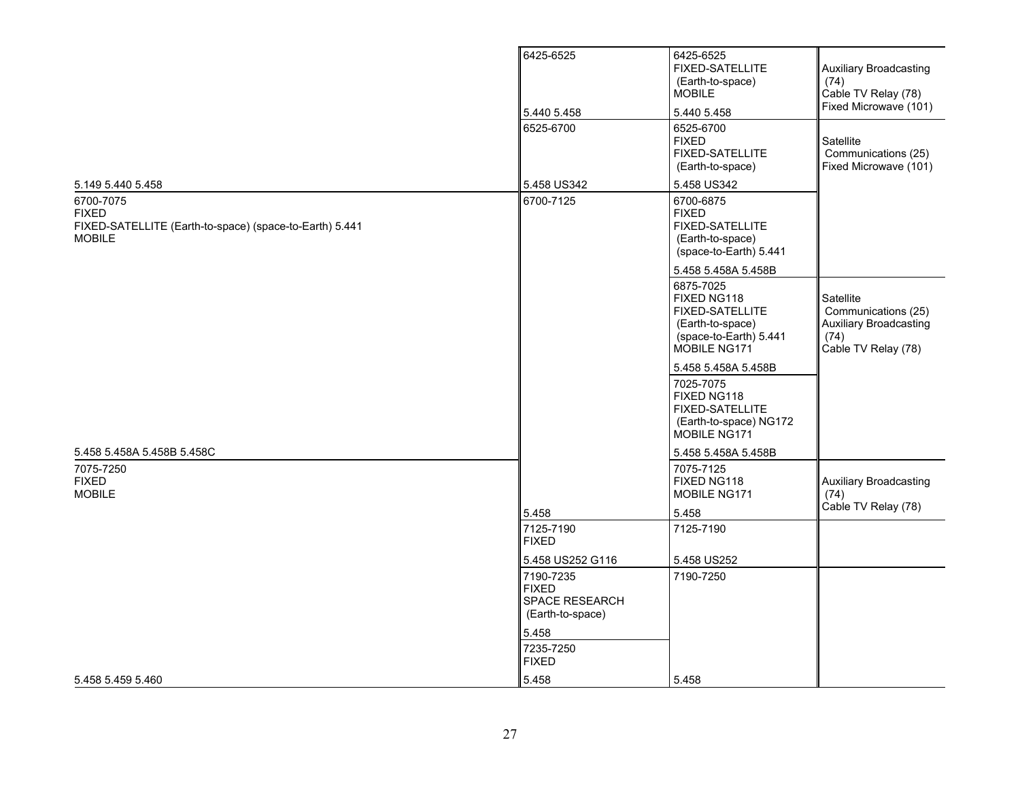|                                                                                                       | 6425-6525                                                              | 6425-6525<br><b>FIXED-SATELLITE</b><br>(Earth-to-space)<br><b>MOBILE</b>                                  | <b>Auxiliary Broadcasting</b><br>(74)<br>Cable TV Relay (78)                                     |
|-------------------------------------------------------------------------------------------------------|------------------------------------------------------------------------|-----------------------------------------------------------------------------------------------------------|--------------------------------------------------------------------------------------------------|
|                                                                                                       | 5.440 5.458                                                            | 5.440 5.458                                                                                               | Fixed Microwave (101)                                                                            |
|                                                                                                       | 6525-6700                                                              | 6525-6700<br><b>FIXED</b><br><b>FIXED-SATELLITE</b><br>(Earth-to-space)                                   | Satellite<br>Communications (25)<br>Fixed Microwave (101)                                        |
| 5.149 5.440 5.458                                                                                     | 5.458 US342                                                            | 5.458 US342                                                                                               |                                                                                                  |
| 6700-7075<br><b>FIXED</b><br>FIXED-SATELLITE (Earth-to-space) (space-to-Earth) 5.441<br><b>MOBILE</b> | 6700-7125                                                              | 6700-6875<br><b>FIXED</b><br>FIXED-SATELLITE<br>(Earth-to-space)<br>(space-to-Earth) 5.441                |                                                                                                  |
|                                                                                                       |                                                                        | 5.458 5.458A 5.458B                                                                                       |                                                                                                  |
|                                                                                                       |                                                                        | 6875-7025<br>FIXED NG118<br>FIXED-SATELLITE<br>(Earth-to-space)<br>(space-to-Earth) 5.441<br>MOBILE NG171 | Satellite<br>Communications (25)<br><b>Auxiliary Broadcasting</b><br>(74)<br>Cable TV Relay (78) |
|                                                                                                       |                                                                        | 5.458 5.458A 5.458B                                                                                       |                                                                                                  |
|                                                                                                       |                                                                        | 7025-7075<br>FIXED NG118<br>FIXED-SATELLITE<br>(Earth-to-space) NG172<br>MOBILE NG171                     |                                                                                                  |
| 5.458 5.458A 5.458B 5.458C                                                                            |                                                                        | 5.458 5.458A 5.458B                                                                                       |                                                                                                  |
| 7075-7250<br><b>FIXED</b><br><b>MOBILE</b>                                                            |                                                                        | 7075-7125<br>FIXED NG118<br>MOBILE NG171                                                                  | <b>Auxiliary Broadcasting</b><br>(74)                                                            |
|                                                                                                       | 5.458                                                                  | 5.458                                                                                                     | Cable TV Relay (78)                                                                              |
|                                                                                                       | 7125-7190<br><b>FIXED</b>                                              | 7125-7190                                                                                                 |                                                                                                  |
|                                                                                                       | 5.458 US252 G116                                                       | 5.458 US252                                                                                               |                                                                                                  |
|                                                                                                       | 7190-7235<br><b>FIXED</b><br><b>SPACE RESEARCH</b><br>(Earth-to-space) | 7190-7250                                                                                                 |                                                                                                  |
|                                                                                                       | 5.458                                                                  |                                                                                                           |                                                                                                  |
|                                                                                                       | 7235-7250<br><b>FIXED</b>                                              |                                                                                                           |                                                                                                  |
| 5.458 5.459 5.460                                                                                     | 5.458                                                                  | 5.458                                                                                                     |                                                                                                  |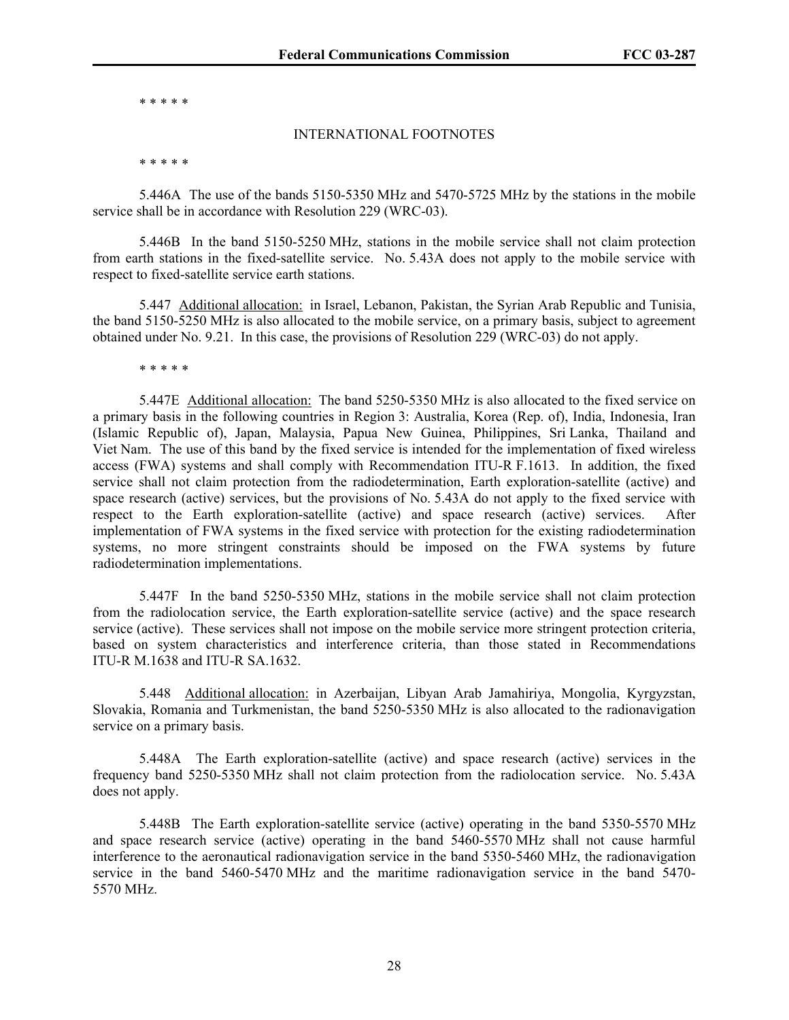\* \* \* \* \*

#### INTERNATIONAL FOOTNOTES

\* \* \* \* \*

 5.446A The use of the bands 5150-5350 MHz and 5470-5725 MHz by the stations in the mobile service shall be in accordance with Resolution 229 (WRC-03).

 5.446B In the band 5150-5250 MHz, stations in the mobile service shall not claim protection from earth stations in the fixed-satellite service. No. 5.43A does not apply to the mobile service with respect to fixed-satellite service earth stations.

 5.447Additional allocation:in Israel, Lebanon, Pakistan, the Syrian Arab Republic and Tunisia, the band 5150-5250 MHz is also allocated to the mobile service, on a primary basis, subject to agreement obtained under No. 9.21. In this case, the provisions of Resolution 229 (WRC-03) do not apply.

\* \* \* \* \*

 5.447E Additional allocation:The band 5250-5350 MHz is also allocated to the fixed service on a primary basis in the following countries in Region 3: Australia, Korea (Rep. of), India, Indonesia, Iran (Islamic Republic of), Japan, Malaysia, Papua New Guinea, Philippines, Sri Lanka, Thailand and Viet Nam. The use of this band by the fixed service is intended for the implementation of fixed wireless access (FWA) systems and shall comply with Recommendation ITU-R F.1613. In addition, the fixed service shall not claim protection from the radiodetermination, Earth exploration-satellite (active) and space research (active) services, but the provisions of No. 5.43A do not apply to the fixed service with respect to the Earth exploration-satellite (active) and space research (active) services. After implementation of FWA systems in the fixed service with protection for the existing radiodetermination systems, no more stringent constraints should be imposed on the FWA systems by future radiodetermination implementations.

 5.447F In the band 5250-5350 MHz, stations in the mobile service shall not claim protection from the radiolocation service, the Earth exploration-satellite service (active) and the space research service (active). These services shall not impose on the mobile service more stringent protection criteria, based on system characteristics and interference criteria, than those stated in Recommendations ITU-R M.1638 and ITU-R SA.1632.

5.448 Additional allocation:in Azerbaijan, Libyan Arab Jamahiriya, Mongolia, Kyrgyzstan, Slovakia, Romania and Turkmenistan, the band 5250-5350 MHz is also allocated to the radionavigation service on a primary basis.

5.448A The Earth exploration-satellite (active) and space research (active) services in the frequency band 5250-5350 MHz shall not claim protection from the radiolocation service. No. 5.43A does not apply.

 5.448B The Earth exploration-satellite service (active) operating in the band 5350-5570 MHz and space research service (active) operating in the band 5460-5570 MHz shall not cause harmful interference to the aeronautical radionavigation service in the band 5350-5460 MHz, the radionavigation service in the band 5460-5470 MHz and the maritime radionavigation service in the band 5470- 5570 MHz.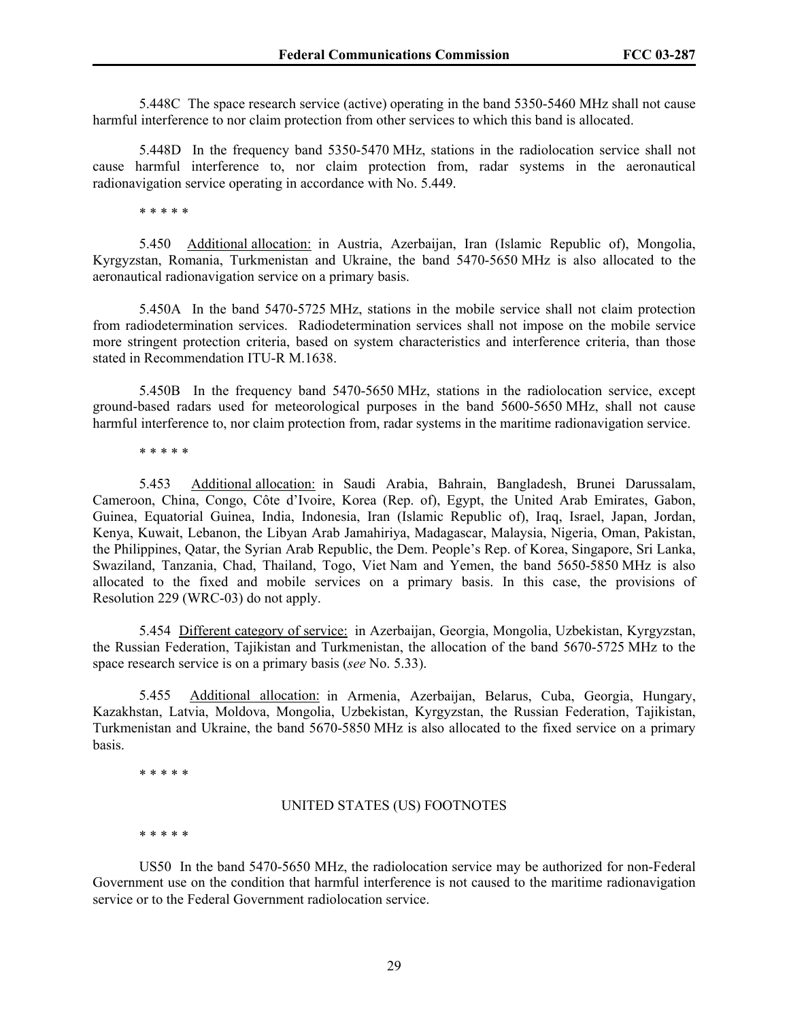5.448C The space research service (active) operating in the band 5350-5460 MHz shall not cause harmful interference to nor claim protection from other services to which this band is allocated.

 5.448D In the frequency band 5350-5470 MHz, stations in the radiolocation service shall not cause harmful interference to, nor claim protection from, radar systems in the aeronautical radionavigation service operating in accordance with No. 5.449.

\* \* \* \* \*

5.450 Additional allocation:in Austria, Azerbaijan, Iran (Islamic Republic of), Mongolia, Kyrgyzstan, Romania, Turkmenistan and Ukraine, the band 5470-5650 MHz is also allocated to the aeronautical radionavigation service on a primary basis.

5.450A In the band 5470-5725 MHz, stations in the mobile service shall not claim protection from radiodetermination services. Radiodetermination services shall not impose on the mobile service more stringent protection criteria, based on system characteristics and interference criteria, than those stated in Recommendation ITU-R M.1638.

 5.450B In the frequency band 5470-5650 MHz, stations in the radiolocation service, except ground-based radars used for meteorological purposes in the band 5600-5650 MHz, shall not cause harmful interference to, nor claim protection from, radar systems in the maritime radionavigation service.

\* \* \* \* \*

 5.453 Additional allocation:in Saudi Arabia, Bahrain, Bangladesh, Brunei Darussalam, Cameroon, China, Congo, Côte d'Ivoire, Korea (Rep. of), Egypt, the United Arab Emirates, Gabon, Guinea, Equatorial Guinea, India, Indonesia, Iran (Islamic Republic of), Iraq, Israel, Japan, Jordan, Kenya, Kuwait, Lebanon, the Libyan Arab Jamahiriya, Madagascar, Malaysia, Nigeria, Oman, Pakistan, the Philippines, Qatar, the Syrian Arab Republic, the Dem. People's Rep. of Korea, Singapore, Sri Lanka, Swaziland, Tanzania, Chad, Thailand, Togo, Viet Nam and Yemen, the band 5650-5850 MHz is also allocated to the fixed and mobile services on a primary basis. In this case, the provisions of Resolution 229 (WRC-03) do not apply.

5.454 Different category of service:in Azerbaijan, Georgia, Mongolia, Uzbekistan, Kyrgyzstan, the Russian Federation, Tajikistan and Turkmenistan, the allocation of the band 5670-5725 MHz to the space research service is on a primary basis (*see* No. 5.33).

5.455 Additional allocation:in Armenia, Azerbaijan, Belarus, Cuba, Georgia, Hungary, Kazakhstan, Latvia, Moldova, Mongolia, Uzbekistan, Kyrgyzstan, the Russian Federation, Tajikistan, Turkmenistan and Ukraine, the band 5670-5850 MHz is also allocated to the fixed service on a primary basis.

\* \* \* \* \*

#### UNITED STATES (US) FOOTNOTES

\* \* \* \* \*

 US50 In the band 5470-5650 MHz, the radiolocation service may be authorized for non-Federal Government use on the condition that harmful interference is not caused to the maritime radionavigation service or to the Federal Government radiolocation service.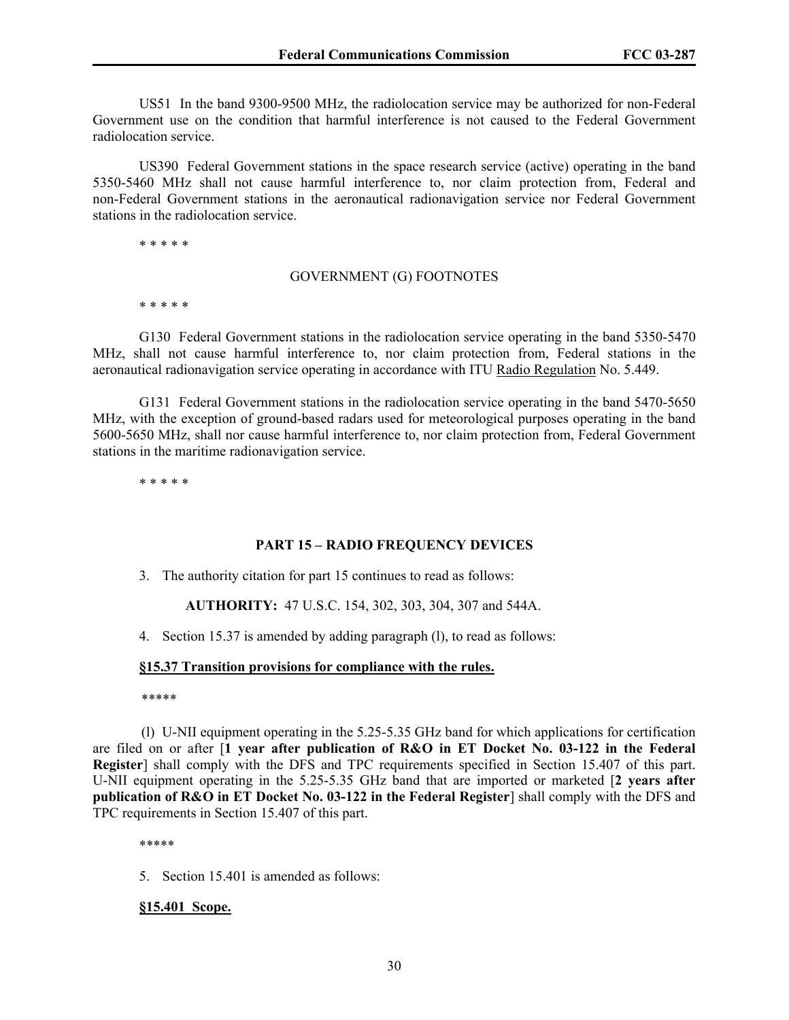US51 In the band 9300-9500 MHz, the radiolocation service may be authorized for non-Federal Government use on the condition that harmful interference is not caused to the Federal Government radiolocation service.

 US390 Federal Government stations in the space research service (active) operating in the band 5350-5460 MHz shall not cause harmful interference to, nor claim protection from, Federal and non-Federal Government stations in the aeronautical radionavigation service nor Federal Government stations in the radiolocation service.

\* \* \* \* \*

#### GOVERNMENT (G) FOOTNOTES

\* \* \* \* \*

 G130Federal Government stations in the radiolocation service operating in the band 5350-5470 MHz, shall not cause harmful interference to, nor claim protection from, Federal stations in the aeronautical radionavigation service operating in accordance with ITU Radio Regulation No. 5.449.

 G131 Federal Government stations in the radiolocation service operating in the band 5470-5650 MHz, with the exception of ground-based radars used for meteorological purposes operating in the band 5600-5650 MHz, shall nor cause harmful interference to, nor claim protection from, Federal Government stations in the maritime radionavigation service.

\* \* \* \* \*

#### **PART 15 – RADIO FREQUENCY DEVICES**

3. The authority citation for part 15 continues to read as follows:

**AUTHORITY:** 47 U.S.C. 154, 302, 303, 304, 307 and 544A.

4. Section 15.37 is amended by adding paragraph (l), to read as follows:

#### **§15.37 Transition provisions for compliance with the rules.**

\*\*\*\*\*

 (l) U-NII equipment operating in the 5.25-5.35 GHz band for which applications for certification are filed on or after [**1 year after publication of R&O in ET Docket No. 03-122 in the Federal Register**] shall comply with the DFS and TPC requirements specified in Section 15.407 of this part. U-NII equipment operating in the 5.25-5.35 GHz band that are imported or marketed [**2 years after publication of R&O in ET Docket No. 03-122 in the Federal Register**] shall comply with the DFS and TPC requirements in Section 15.407 of this part.

\*\*\*\*\*

5. Section 15.401 is amended as follows:

#### **§15.401 Scope.**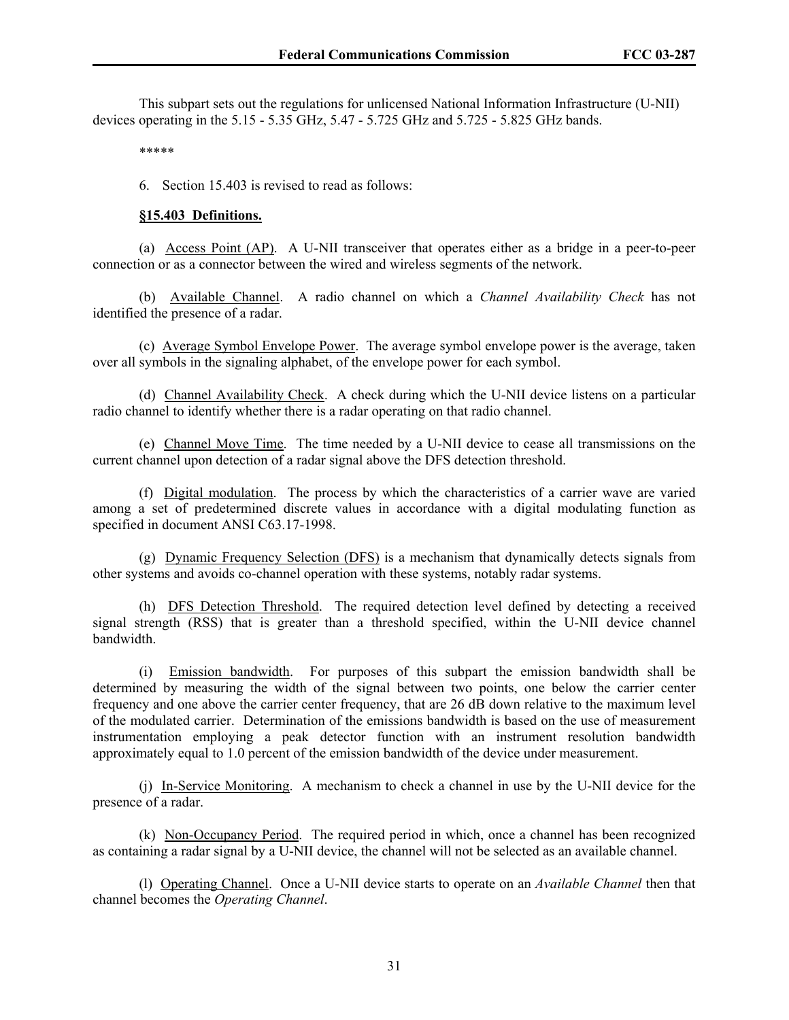This subpart sets out the regulations for unlicensed National Information Infrastructure (U-NII) devices operating in the 5.15 - 5.35 GHz, 5.47 - 5.725 GHz and 5.725 - 5.825 GHz bands.

\*\*\*\*\*

6. Section 15.403 is revised to read as follows:

#### **§15.403 Definitions.**

 (a) Access Point (AP). A U-NII transceiver that operates either as a bridge in a peer-to-peer connection or as a connector between the wired and wireless segments of the network.

 (b) Available Channel. A radio channel on which a *Channel Availability Check* has not identified the presence of a radar.

 (c) Average Symbol Envelope Power. The average symbol envelope power is the average, taken over all symbols in the signaling alphabet, of the envelope power for each symbol.

 (d) Channel Availability Check. A check during which the U-NII device listens on a particular radio channel to identify whether there is a radar operating on that radio channel.

 (e) Channel Move Time. The time needed by a U-NII device to cease all transmissions on the current channel upon detection of a radar signal above the DFS detection threshold.

 (f) Digital modulation. The process by which the characteristics of a carrier wave are varied among a set of predetermined discrete values in accordance with a digital modulating function as specified in document ANSI C63.17-1998.

 (g) Dynamic Frequency Selection (DFS) is a mechanism that dynamically detects signals from other systems and avoids co-channel operation with these systems, notably radar systems.

 (h) DFS Detection Threshold. The required detection level defined by detecting a received signal strength (RSS) that is greater than a threshold specified, within the U-NII device channel bandwidth.

 (i) Emission bandwidth. For purposes of this subpart the emission bandwidth shall be determined by measuring the width of the signal between two points, one below the carrier center frequency and one above the carrier center frequency, that are 26 dB down relative to the maximum level of the modulated carrier. Determination of the emissions bandwidth is based on the use of measurement instrumentation employing a peak detector function with an instrument resolution bandwidth approximately equal to 1.0 percent of the emission bandwidth of the device under measurement.

 (j) In-Service Monitoring. A mechanism to check a channel in use by the U-NII device for the presence of a radar.

 (k) Non-Occupancy Period. The required period in which, once a channel has been recognized as containing a radar signal by a U-NII device, the channel will not be selected as an available channel.

 (l) Operating Channel. Once a U-NII device starts to operate on an *Available Channel* then that channel becomes the *Operating Channel*.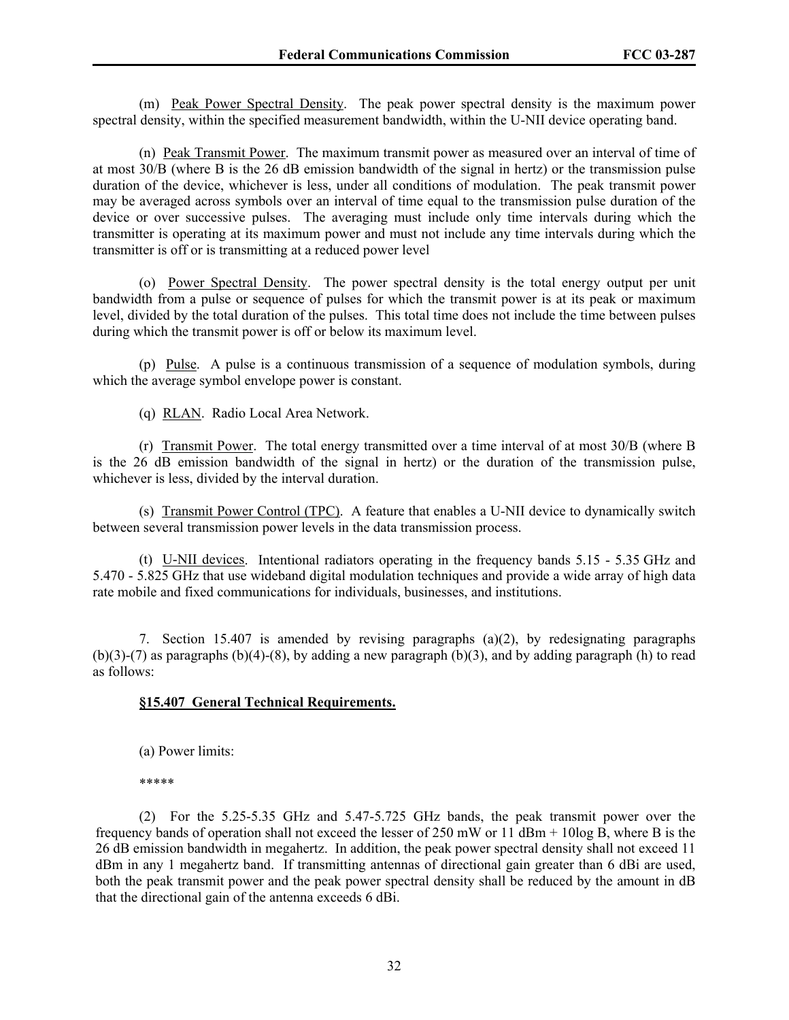(m) Peak Power Spectral Density. The peak power spectral density is the maximum power spectral density, within the specified measurement bandwidth, within the U-NII device operating band.

 (n) Peak Transmit Power. The maximum transmit power as measured over an interval of time of at most 30/B (where B is the 26 dB emission bandwidth of the signal in hertz) or the transmission pulse duration of the device, whichever is less, under all conditions of modulation. The peak transmit power may be averaged across symbols over an interval of time equal to the transmission pulse duration of the device or over successive pulses. The averaging must include only time intervals during which the transmitter is operating at its maximum power and must not include any time intervals during which the transmitter is off or is transmitting at a reduced power level

 (o) Power Spectral Density. The power spectral density is the total energy output per unit bandwidth from a pulse or sequence of pulses for which the transmit power is at its peak or maximum level, divided by the total duration of the pulses. This total time does not include the time between pulses during which the transmit power is off or below its maximum level.

 (p) Pulse. A pulse is a continuous transmission of a sequence of modulation symbols, during which the average symbol envelope power is constant.

(q) RLAN. Radio Local Area Network.

 (r) Transmit Power. The total energy transmitted over a time interval of at most 30/B (where B is the 26 dB emission bandwidth of the signal in hertz) or the duration of the transmission pulse, whichever is less, divided by the interval duration.

 (s) Transmit Power Control (TPC). A feature that enables a U-NII device to dynamically switch between several transmission power levels in the data transmission process.

 (t) U-NII devices. Intentional radiators operating in the frequency bands 5.15 - 5.35 GHz and 5.470 - 5.825 GHz that use wideband digital modulation techniques and provide a wide array of high data rate mobile and fixed communications for individuals, businesses, and institutions.

7. Section 15.407 is amended by revising paragraphs (a)(2), by redesignating paragraphs  $(b)(3)-(7)$  as paragraphs  $(b)(4)-(8)$ , by adding a new paragraph  $(b)(3)$ , and by adding paragraph (h) to read as follows:

#### **§15.407 General Technical Requirements.**

(a) Power limits:

\*\*\*\*\*

(2) For the 5.25-5.35 GHz and 5.47-5.725 GHz bands, the peak transmit power over the frequency bands of operation shall not exceed the lesser of 250 mW or 11 dBm + 10log B, where B is the 26 dB emission bandwidth in megahertz. In addition, the peak power spectral density shall not exceed 11 dBm in any 1 megahertz band. If transmitting antennas of directional gain greater than 6 dBi are used, both the peak transmit power and the peak power spectral density shall be reduced by the amount in dB that the directional gain of the antenna exceeds 6 dBi.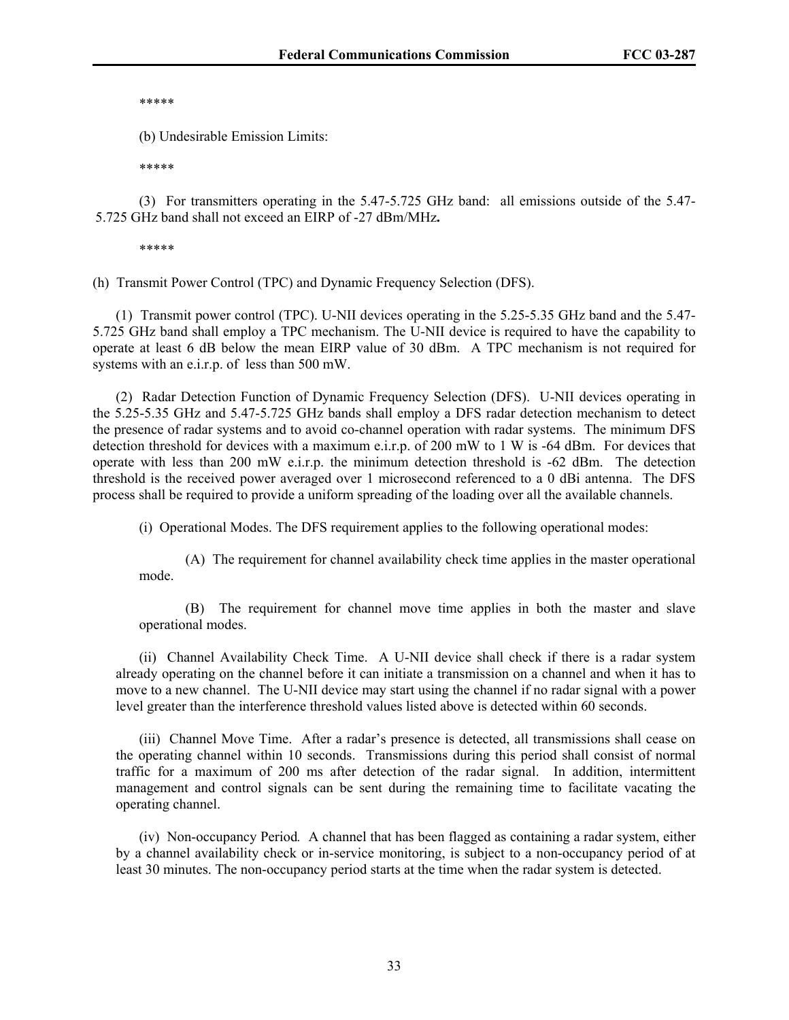\*\*\*\*\*

(b) Undesirable Emission Limits:

\*\*\*\*\*

 (3) For transmitters operating in the 5.47-5.725 GHz band: all emissions outside of the 5.47- 5.725 GHz band shall not exceed an EIRP of -27 dBm/MHz**.** 

\*\*\*\*\*

(h) Transmit Power Control (TPC) and Dynamic Frequency Selection (DFS).

(1) Transmit power control (TPC). U-NII devices operating in the 5.25-5.35 GHz band and the 5.47- 5.725 GHz band shall employ a TPC mechanism. The U-NII device is required to have the capability to operate at least 6 dB below the mean EIRP value of 30 dBm. A TPC mechanism is not required for systems with an e.i.r.p. of less than 500 mW.

(2) Radar Detection Function of Dynamic Frequency Selection (DFS). U-NII devices operating in the 5.25-5.35 GHz and 5.47-5.725 GHz bands shall employ a DFS radar detection mechanism to detect the presence of radar systems and to avoid co-channel operation with radar systems. The minimum DFS detection threshold for devices with a maximum e.i.r.p. of 200 mW to 1 W is -64 dBm. For devices that operate with less than 200 mW e.i.r.p. the minimum detection threshold is -62 dBm. The detection threshold is the received power averaged over 1 microsecond referenced to a 0 dBi antenna. The DFS process shall be required to provide a uniform spreading of the loading over all the available channels.

(i) Operational Modes. The DFS requirement applies to the following operational modes:

(A) The requirement for channel availability check time applies in the master operational mode.

(B) The requirement for channel move time applies in both the master and slave operational modes.

(ii) Channel Availability Check Time. A U-NII device shall check if there is a radar system already operating on the channel before it can initiate a transmission on a channel and when it has to move to a new channel. The U-NII device may start using the channel if no radar signal with a power level greater than the interference threshold values listed above is detected within 60 seconds.

(iii) Channel Move Time. After a radar's presence is detected, all transmissions shall cease on the operating channel within 10 seconds. Transmissions during this period shall consist of normal traffic for a maximum of 200 ms after detection of the radar signal. In addition, intermittent management and control signals can be sent during the remaining time to facilitate vacating the operating channel.

(iv) Non-occupancy Period*.* A channel that has been flagged as containing a radar system, either by a channel availability check or in-service monitoring, is subject to a non-occupancy period of at least 30 minutes. The non-occupancy period starts at the time when the radar system is detected.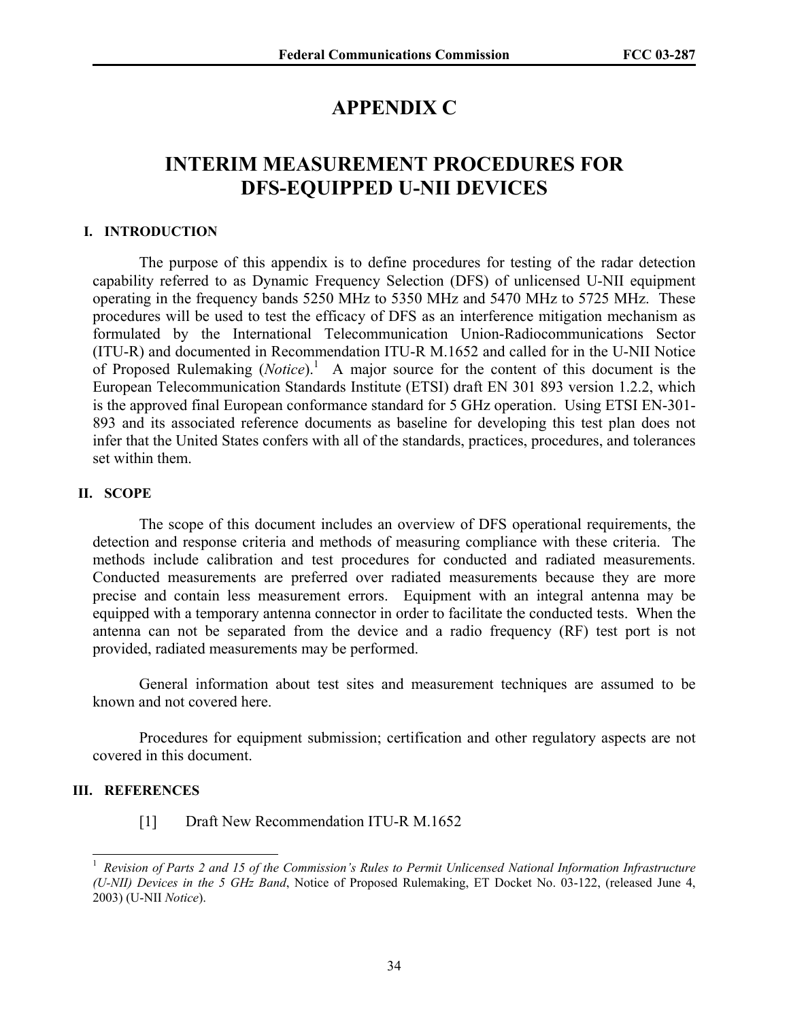# **APPENDIX C**

# **INTERIM MEASUREMENT PROCEDURES FOR DFS-EQUIPPED U-NII DEVICES**

#### **I. INTRODUCTION**

 The purpose of this appendix is to define procedures for testing of the radar detection capability referred to as Dynamic Frequency Selection (DFS) of unlicensed U-NII equipment operating in the frequency bands 5250 MHz to 5350 MHz and 5470 MHz to 5725 MHz. These procedures will be used to test the efficacy of DFS as an interference mitigation mechanism as formulated by the International Telecommunication Union-Radiocommunications Sector (ITU-R) and documented in Recommendation ITU-R M.1652 and called for in the U-NII Notice of Proposed Rulemaking (*Notice*).<sup>1</sup> A major source for the content of this document is the European Telecommunication Standards Institute (ETSI) draft EN 301 893 version 1.2.2, which is the approved final European conformance standard for 5 GHz operation. Using ETSI EN-301- 893 and its associated reference documents as baseline for developing this test plan does not infer that the United States confers with all of the standards, practices, procedures, and tolerances set within them.

### **II. SCOPE**

 The scope of this document includes an overview of DFS operational requirements, the detection and response criteria and methods of measuring compliance with these criteria. The methods include calibration and test procedures for conducted and radiated measurements. Conducted measurements are preferred over radiated measurements because they are more precise and contain less measurement errors. Equipment with an integral antenna may be equipped with a temporary antenna connector in order to facilitate the conducted tests. When the antenna can not be separated from the device and a radio frequency (RF) test port is not provided, radiated measurements may be performed.

 General information about test sites and measurement techniques are assumed to be known and not covered here.

 Procedures for equipment submission; certification and other regulatory aspects are not covered in this document.

### **III. REFERENCES**

 $\overline{a}$ 

[1] Draft New Recommendation ITU-R M.1652

<sup>1</sup>*Revision of Parts 2 and 15 of the Commission's Rules to Permit Unlicensed National Information Infrastructure (U-NII) Devices in the 5 GHz Band*, Notice of Proposed Rulemaking, ET Docket No. 03-122, (released June 4, 2003) (U-NII *Notice*).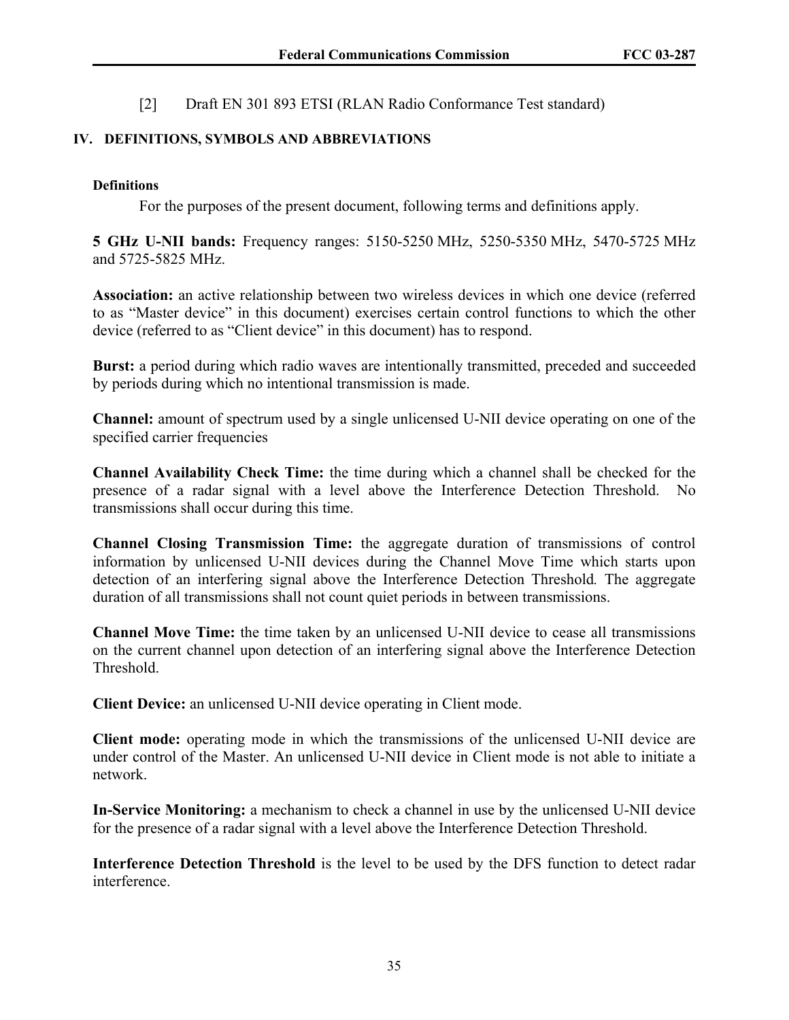[2] Draft EN 301 893 ETSI (RLAN Radio Conformance Test standard)

## **IV. DEFINITIONS, SYMBOLS AND ABBREVIATIONS**

## **Definitions**

For the purposes of the present document, following terms and definitions apply.

**5 GHz U-NII bands:** Frequency ranges: 5150-5250 MHz, 5250-5350 MHz, 5470-5725 MHz and 5725-5825 MHz.

**Association:** an active relationship between two wireless devices in which one device (referred to as "Master device" in this document) exercises certain control functions to which the other device (referred to as "Client device" in this document) has to respond.

**Burst:** a period during which radio waves are intentionally transmitted, preceded and succeeded by periods during which no intentional transmission is made.

**Channel:** amount of spectrum used by a single unlicensed U-NII device operating on one of the specified carrier frequencies

**Channel Availability Check Time:** the time during which a channel shall be checked for the presence of a radar signal with a level above the Interference Detection Threshold. No transmissions shall occur during this time.

**Channel Closing Transmission Time:** the aggregate duration of transmissions of control information by unlicensed U-NII devices during the Channel Move Time which starts upon detection of an interfering signal above the Interference Detection Threshold*.* The aggregate duration of all transmissions shall not count quiet periods in between transmissions.

**Channel Move Time:** the time taken by an unlicensed U-NII device to cease all transmissions on the current channel upon detection of an interfering signal above the Interference Detection **Threshold** 

**Client Device:** an unlicensed U-NII device operating in Client mode.

**Client mode:** operating mode in which the transmissions of the unlicensed U-NII device are under control of the Master. An unlicensed U-NII device in Client mode is not able to initiate a network.

**In-Service Monitoring:** a mechanism to check a channel in use by the unlicensed U-NII device for the presence of a radar signal with a level above the Interference Detection Threshold.

**Interference Detection Threshold** is the level to be used by the DFS function to detect radar interference.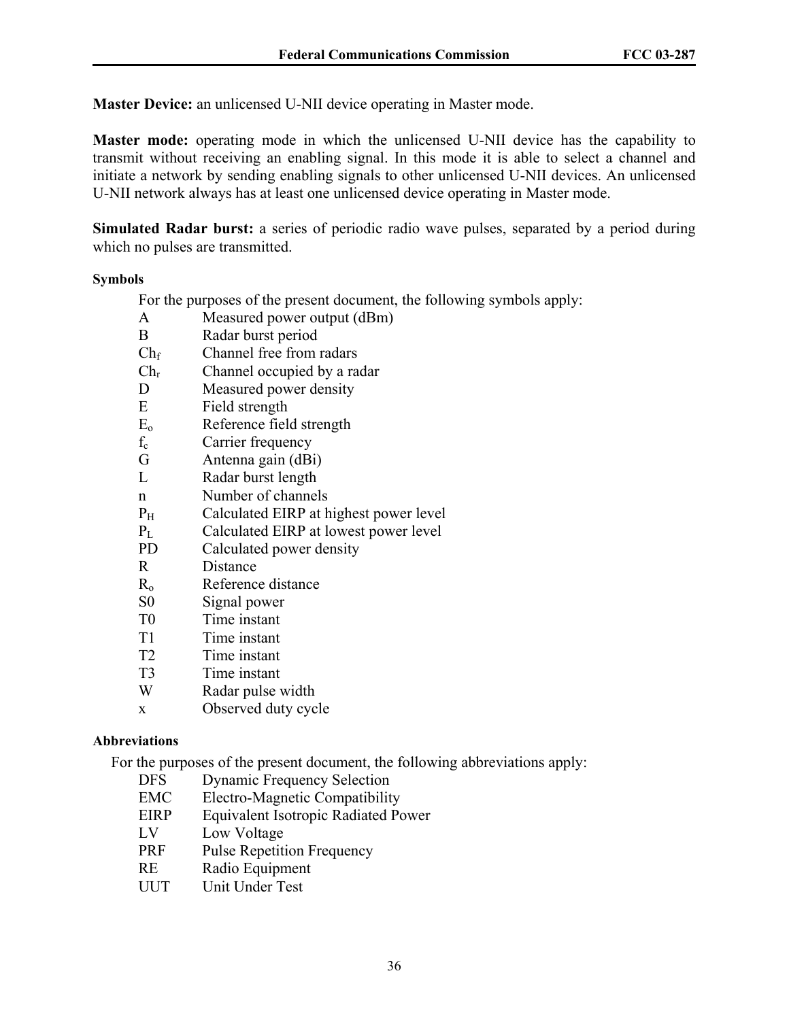**Master Device:** an unlicensed U-NII device operating in Master mode.

**Master mode:** operating mode in which the unlicensed U-NII device has the capability to transmit without receiving an enabling signal. In this mode it is able to select a channel and initiate a network by sending enabling signals to other unlicensed U-NII devices. An unlicensed U-NII network always has at least one unlicensed device operating in Master mode.

**Simulated Radar burst:** a series of periodic radio wave pulses, separated by a period during which no pulses are transmitted.

## **Symbols**

For the purposes of the present document, the following symbols apply:

- A Measured power output (dBm)
- B Radar burst period
- $Ch_f$  Channel free from radars
- Ch<sub>r</sub> Channel occupied by a radar
- D Measured power density
- E Field strength
- Eo Reference field strength
- f<sub>c</sub> Carrier frequency
- G Antenna gain (dBi)
- L Radar burst length
- n Number of channels
- P<sub>H</sub> Calculated EIRP at highest power level
- PL Calculated EIRP at lowest power level
- PD Calculated power density
- R Distance
- R<sub>o</sub> Reference distance
- S0 Signal power
- T0 Time instant
- T<sub>1</sub> Time instant
- T2 Time instant
- T3 Time instant
- W Radar pulse width
- x Observed duty cycle

## **Abbreviations**

For the purposes of the present document, the following abbreviations apply:

- DFS Dynamic Frequency Selection
- EMC Electro-Magnetic Compatibility
- EIRP Equivalent Isotropic Radiated Power
- LV Low Voltage
- PRF Pulse Repetition Frequency
- RE Radio Equipment
- UUT Unit Under Test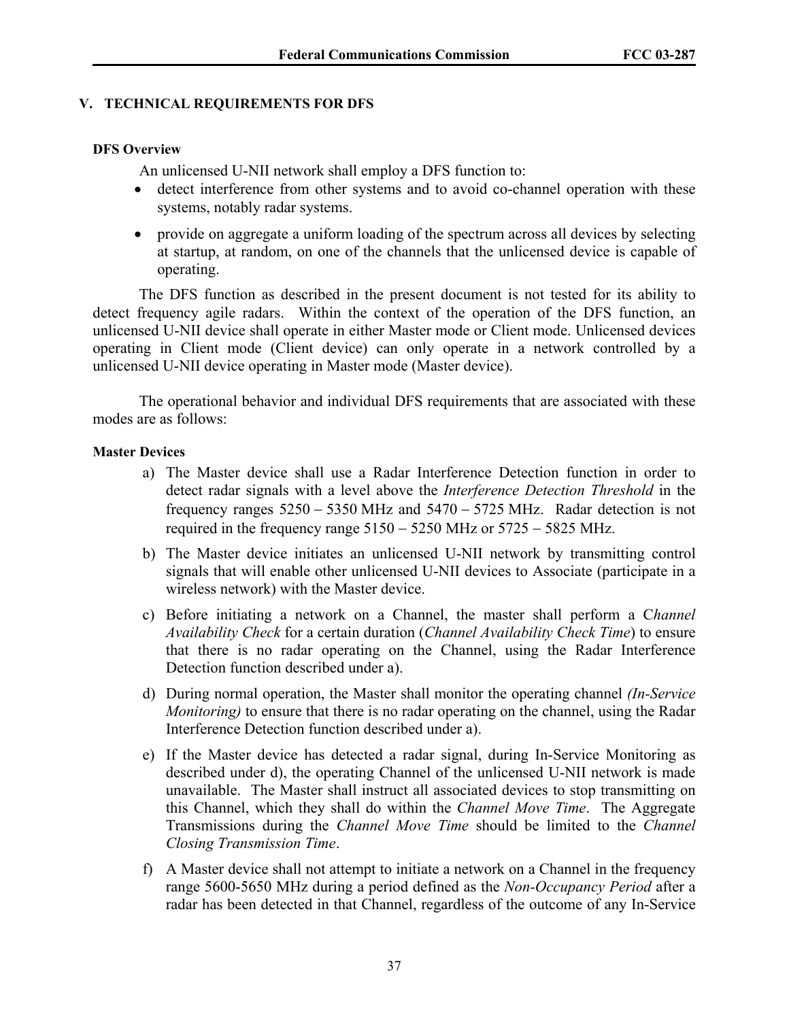## **V. TECHNICAL REQUIREMENTS FOR DFS**

### **DFS Overview**

An unlicensed U-NII network shall employ a DFS function to:

- detect interference from other systems and to avoid co-channel operation with these systems, notably radar systems.
- provide on aggregate a uniform loading of the spectrum across all devices by selecting at startup, at random, on one of the channels that the unlicensed device is capable of operating.

 The DFS function as described in the present document is not tested for its ability to detect frequency agile radars. Within the context of the operation of the DFS function, an unlicensed U-NII device shall operate in either Master mode or Client mode. Unlicensed devices operating in Client mode (Client device) can only operate in a network controlled by a unlicensed U-NII device operating in Master mode (Master device).

 The operational behavior and individual DFS requirements that are associated with these modes are as follows:

## **Master Devices**

- a) The Master device shall use a Radar Interference Detection function in order to detect radar signals with a level above the *Interference Detection Threshold* in the frequency ranges 5250 − 5350 MHz and 5470 − 5725 MHz. Radar detection is not required in the frequency range 5150 − 5250 MHz or 5725 − 5825 MHz.
- b) The Master device initiates an unlicensed U-NII network by transmitting control signals that will enable other unlicensed U-NII devices to Associate (participate in a wireless network) with the Master device.
- c) Before initiating a network on a Channel, the master shall perform a C*hannel Availability Check* for a certain duration (*Channel Availability Check Time*) to ensure that there is no radar operating on the Channel, using the Radar Interference Detection function described under a).
- d) During normal operation, the Master shall monitor the operating channel *(In-Service Monitoring*) to ensure that there is no radar operating on the channel, using the Radar Interference Detection function described under a).
- e) If the Master device has detected a radar signal, during In-Service Monitoring as described under d), the operating Channel of the unlicensed U-NII network is made unavailable. The Master shall instruct all associated devices to stop transmitting on this Channel, which they shall do within the *Channel Move Time*. The Aggregate Transmissions during the *Channel Move Time* should be limited to the *Channel Closing Transmission Time*.
- f) A Master device shall not attempt to initiate a network on a Channel in the frequency range 5600-5650 MHz during a period defined as the *Non-Occupancy Period* after a radar has been detected in that Channel, regardless of the outcome of any In-Service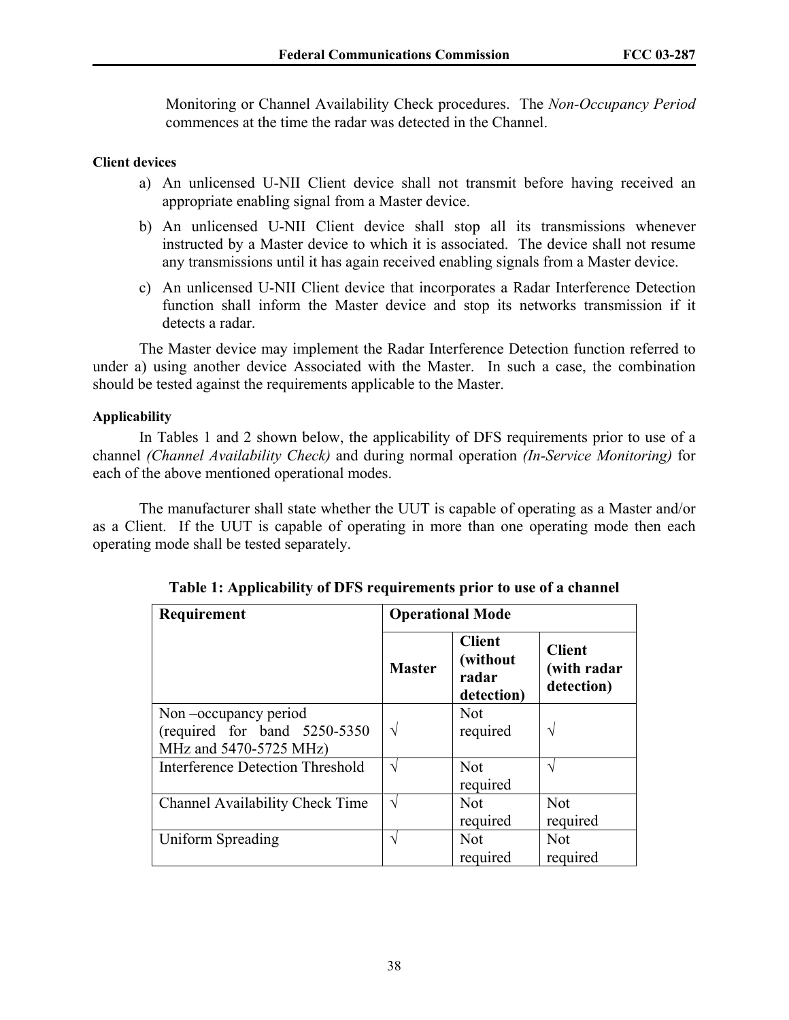Monitoring or Channel Availability Check procedures. The *Non-Occupancy Period* commences at the time the radar was detected in the Channel.

## **Client devices**

- a) An unlicensed U-NII Client device shall not transmit before having received an appropriate enabling signal from a Master device.
- b) An unlicensed U-NII Client device shall stop all its transmissions whenever instructed by a Master device to which it is associated. The device shall not resume any transmissions until it has again received enabling signals from a Master device.
- c) An unlicensed U-NII Client device that incorporates a Radar Interference Detection function shall inform the Master device and stop its networks transmission if it detects a radar.

 The Master device may implement the Radar Interference Detection function referred to under a) using another device Associated with the Master. In such a case, the combination should be tested against the requirements applicable to the Master.

## **Applicability**

 In Tables 1 and 2 shown below, the applicability of DFS requirements prior to use of a channel *(Channel Availability Check)* and during normal operation *(In-Service Monitoring)* for each of the above mentioned operational modes.

 The manufacturer shall state whether the UUT is capable of operating as a Master and/or as a Client. If the UUT is capable of operating in more than one operating mode then each operating mode shall be tested separately.

| Requirement                                                                     | <b>Operational Mode</b> |                                                  |                                            |
|---------------------------------------------------------------------------------|-------------------------|--------------------------------------------------|--------------------------------------------|
|                                                                                 | <b>Master</b>           | <b>Client</b><br>(without<br>radar<br>detection) | <b>Client</b><br>(with radar<br>detection) |
| Non-occupancy period<br>(required for band 5250-5350)<br>MHz and 5470-5725 MHz) | V                       | <b>Not</b><br>required                           | $\sqrt{}$                                  |
| Interference Detection Threshold                                                |                         | <b>Not</b><br>required                           | $\mathcal{A}$                              |
| <b>Channel Availability Check Time</b>                                          | ٦                       | <b>Not</b><br>required                           | <b>Not</b><br>required                     |
| Uniform Spreading                                                               |                         | <b>Not</b><br>required                           | <b>Not</b><br>required                     |

**Table 1: Applicability of DFS requirements prior to use of a channel**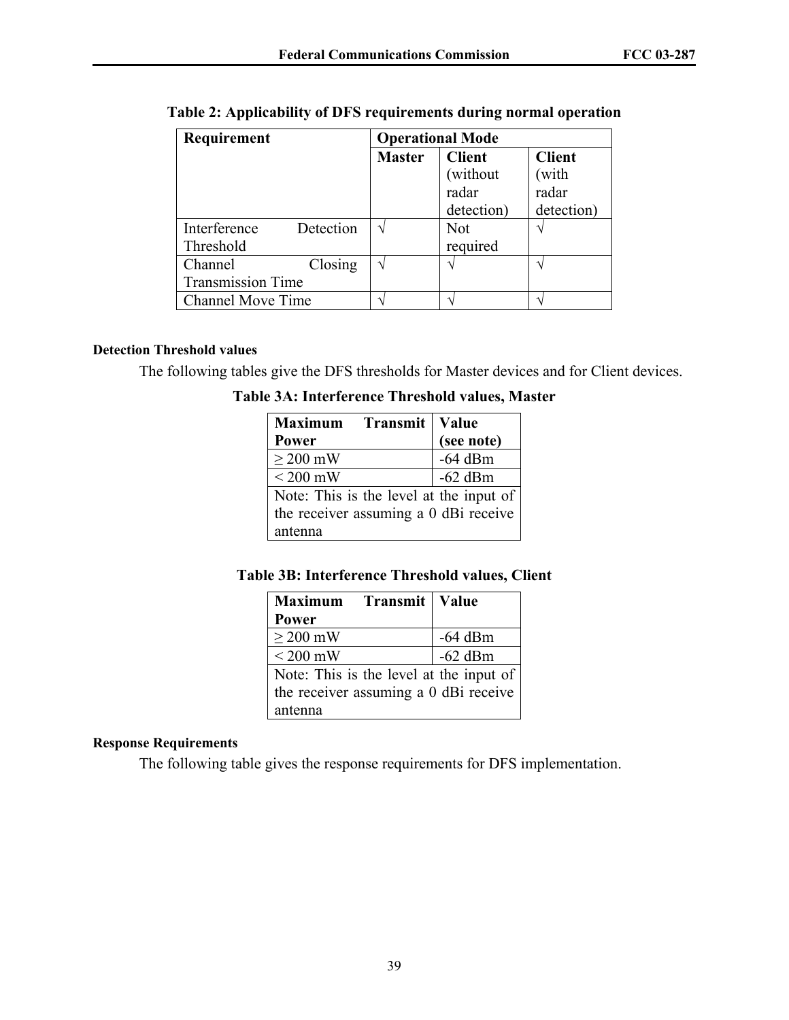| Requirement               | <b>Operational Mode</b> |               |               |  |
|---------------------------|-------------------------|---------------|---------------|--|
|                           | <b>Master</b>           | <b>Client</b> | <b>Client</b> |  |
|                           |                         | (without      | (with         |  |
|                           |                         | radar         | radar         |  |
|                           |                         | detection)    | detection)    |  |
| Interference<br>Detection |                         | <b>Not</b>    |               |  |
| Threshold                 |                         | required      |               |  |
| Closing<br>Channel        |                         |               |               |  |
| <b>Transmission Time</b>  |                         |               |               |  |
| <b>Channel Move Time</b>  |                         |               |               |  |

| Table 2: Applicability of DFS requirements during normal operation |  |  |  |  |  |  |  |  |
|--------------------------------------------------------------------|--|--|--|--|--|--|--|--|
|--------------------------------------------------------------------|--|--|--|--|--|--|--|--|

## **Detection Threshold values**

The following tables give the DFS thresholds for Master devices and for Client devices.

**Table 3A: Interference Threshold values, Master** 

| <b>Maximum</b> Transmit                 | Value      |  |  |  |  |
|-----------------------------------------|------------|--|--|--|--|
| Power                                   | (see note) |  |  |  |  |
| $>$ 200 mW                              | $-64$ dBm  |  |  |  |  |
| $<$ 200 mW                              | $-62$ dBm  |  |  |  |  |
| Note: This is the level at the input of |            |  |  |  |  |
| the receiver assuming a 0 dBi receive   |            |  |  |  |  |
| antenna                                 |            |  |  |  |  |

**Table 3B: Interference Threshold values, Client** 

| Maximum Transmit   Value                |           |  |  |  |  |
|-----------------------------------------|-----------|--|--|--|--|
| <b>Power</b>                            |           |  |  |  |  |
| $\geq$ 200 mW                           | $-64$ dBm |  |  |  |  |
| $<$ 200 mW                              | $-62$ dBm |  |  |  |  |
| Note: This is the level at the input of |           |  |  |  |  |
| the receiver assuming a 0 dBi receive   |           |  |  |  |  |
| antenna                                 |           |  |  |  |  |

### **Response Requirements**

The following table gives the response requirements for DFS implementation.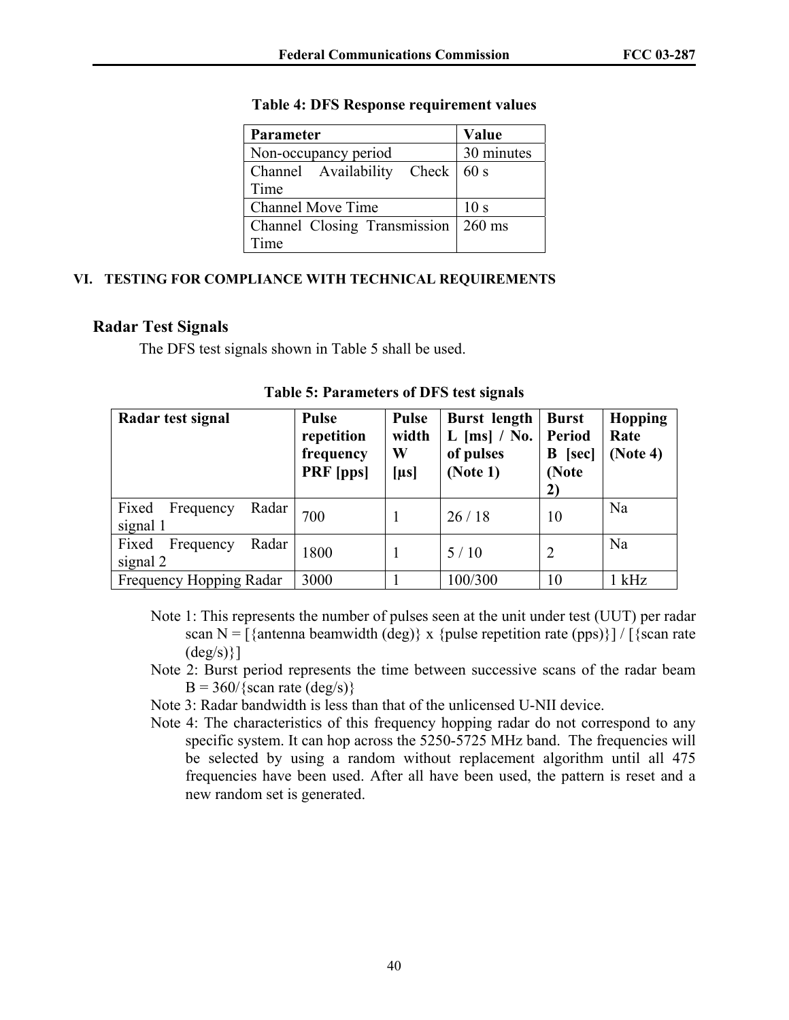| Parameter                             | Value           |
|---------------------------------------|-----------------|
| Non-occupancy period                  | 30 minutes      |
| Channel Availability Check   60 s     |                 |
| Time                                  |                 |
| <b>Channel Move Time</b>              | 10 <sub>s</sub> |
| Channel Closing Transmission   260 ms |                 |
| Time                                  |                 |

**Table 4: DFS Response requirement values** 

## **VI. TESTING FOR COMPLIANCE WITH TECHNICAL REQUIREMENTS**

## **Radar Test Signals**

The DFS test signals shown in Table 5 shall be used.

| Radar test signal                       | <b>Pulse</b><br>repetition<br>frequency<br><b>PRF</b> [pps] | <b>Pulse</b><br>width<br>W<br>$[\mu s]$ | <b>Burst</b> length<br>L $[ms] / No.$<br>of pulses<br>(Note 1) | <b>Burst</b><br>Period<br>[sec]<br>В<br>(Note<br>2) | <b>Hopping</b><br>Rate<br>(Note 4) |
|-----------------------------------------|-------------------------------------------------------------|-----------------------------------------|----------------------------------------------------------------|-----------------------------------------------------|------------------------------------|
| Fixed<br>Radar<br>Frequency<br>signal 1 | 700                                                         |                                         | 26/18                                                          | 10                                                  | Na                                 |
| Fixed<br>Radar<br>Frequency<br>signal 2 | 1800                                                        |                                         | 5/10                                                           | 2                                                   | Na                                 |
| Frequency Hopping Radar                 | 3000                                                        |                                         | 100/300                                                        | 10                                                  | $1$ kHz                            |

#### **Table 5: Parameters of DFS test signals**

Note 1: This represents the number of pulses seen at the unit under test (UUT) per radar scan N =  $[\{\text{antenna beamwidth (deg)}\} \times \{\text{pulse repetition rate (pps)}\}]/[\{\text{scan rate}$  $(\text{deg/s})\}$ ]

Note 2: Burst period represents the time between successive scans of the radar beam  $B = 360/\{scan\ rate\ (deg/s)\}$ 

- Note 3: Radar bandwidth is less than that of the unlicensed U-NII device.
- Note 4: The characteristics of this frequency hopping radar do not correspond to any specific system. It can hop across the 5250-5725 MHz band. The frequencies will be selected by using a random without replacement algorithm until all 475 frequencies have been used. After all have been used, the pattern is reset and a new random set is generated.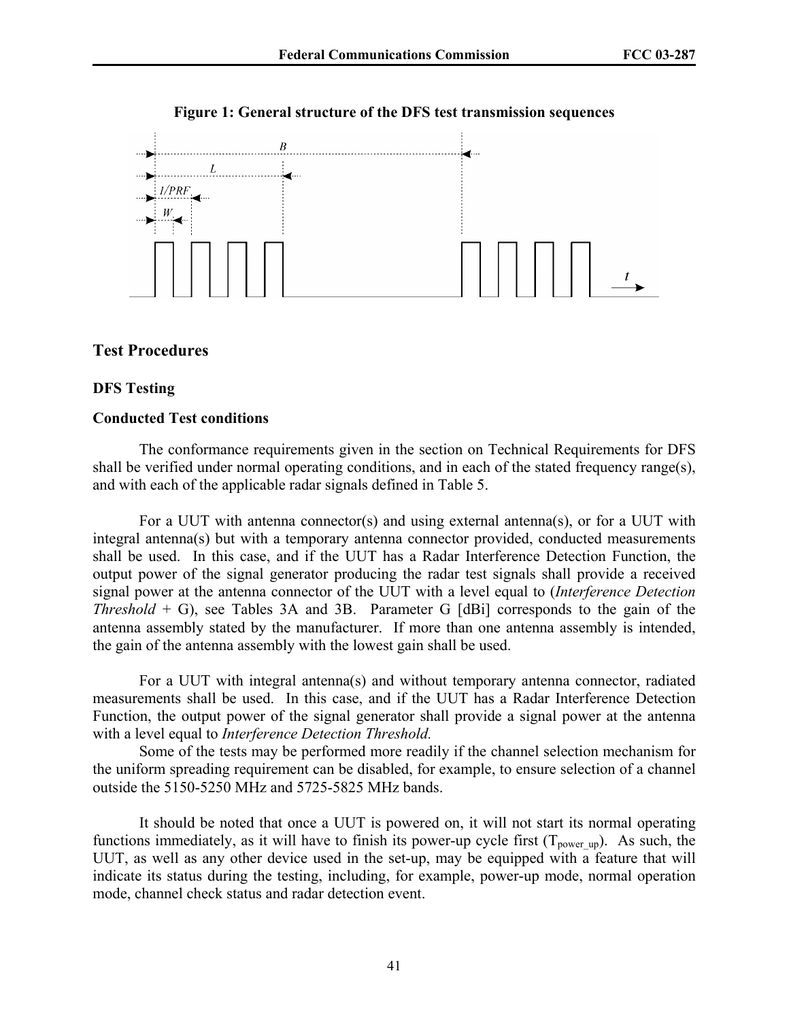

**Figure 1: General structure of the DFS test transmission sequences** 

## **Test Procedures**

### **DFS Testing**

### **Conducted Test conditions**

 The conformance requirements given in the section on Technical Requirements for DFS shall be verified under normal operating conditions, and in each of the stated frequency range(s), and with each of the applicable radar signals defined in Table 5.

 For a UUT with antenna connector(s) and using external antenna(s), or for a UUT with integral antenna(s) but with a temporary antenna connector provided, conducted measurements shall be used. In this case, and if the UUT has a Radar Interference Detection Function, the output power of the signal generator producing the radar test signals shall provide a received signal power at the antenna connector of the UUT with a level equal to (*Interference Detection Threshold* + G), see Tables 3A and 3B. Parameter G  $[dBi]$  corresponds to the gain of the antenna assembly stated by the manufacturer. If more than one antenna assembly is intended, the gain of the antenna assembly with the lowest gain shall be used.

 For a UUT with integral antenna(s) and without temporary antenna connector, radiated measurements shall be used. In this case, and if the UUT has a Radar Interference Detection Function, the output power of the signal generator shall provide a signal power at the antenna with a level equal to *Interference Detection Threshold.* 

 Some of the tests may be performed more readily if the channel selection mechanism for the uniform spreading requirement can be disabled, for example, to ensure selection of a channel outside the 5150-5250 MHz and 5725-5825 MHz bands.

 It should be noted that once a UUT is powered on, it will not start its normal operating functions immediately, as it will have to finish its power-up cycle first  $(T_{power\text{ up}})$ . As such, the UUT, as well as any other device used in the set-up, may be equipped with a feature that will indicate its status during the testing, including, for example, power-up mode, normal operation mode, channel check status and radar detection event.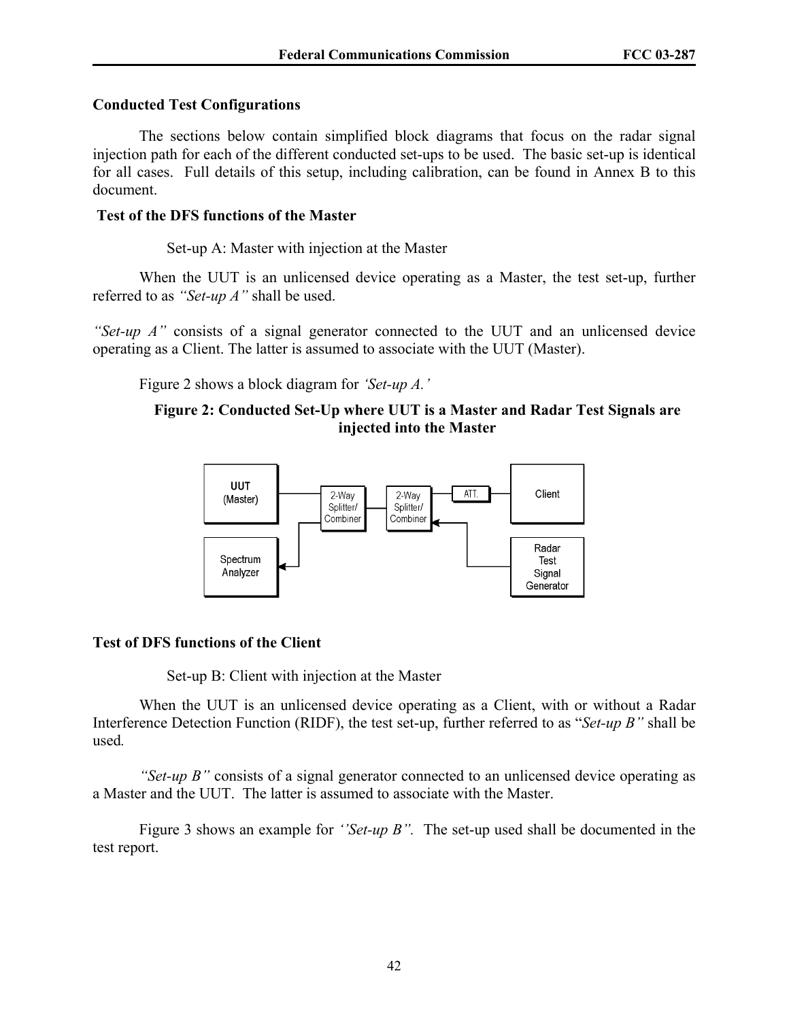## **Conducted Test Configurations**

 The sections below contain simplified block diagrams that focus on the radar signal injection path for each of the different conducted set-ups to be used. The basic set-up is identical for all cases. Full details of this setup, including calibration, can be found in Annex B to this document.

## **Test of the DFS functions of the Master**

Set-up A: Master with injection at the Master

 When the UUT is an unlicensed device operating as a Master, the test set-up, further referred to as *"Set-up A"* shall be used.

*"Set-up A"* consists of a signal generator connected to the UUT and an unlicensed device operating as a Client. The latter is assumed to associate with the UUT (Master).

Figure 2 shows a block diagram for *'Set-up A.'*

## **Figure 2: Conducted Set-Up where UUT is a Master and Radar Test Signals are injected into the Master**



## **Test of DFS functions of the Client**

Set-up B: Client with injection at the Master

When the UUT is an unlicensed device operating as a Client, with or without a Radar Interference Detection Function (RIDF), the test set-up, further referred to as "*Set-up B"* shall be used*.* 

 *"Set-up B"* consists of a signal generator connected to an unlicensed device operating as a Master and the UUT. The latter is assumed to associate with the Master.

 Figure 3 shows an example for *''Set-up B".* The set-up used shall be documented in the test report.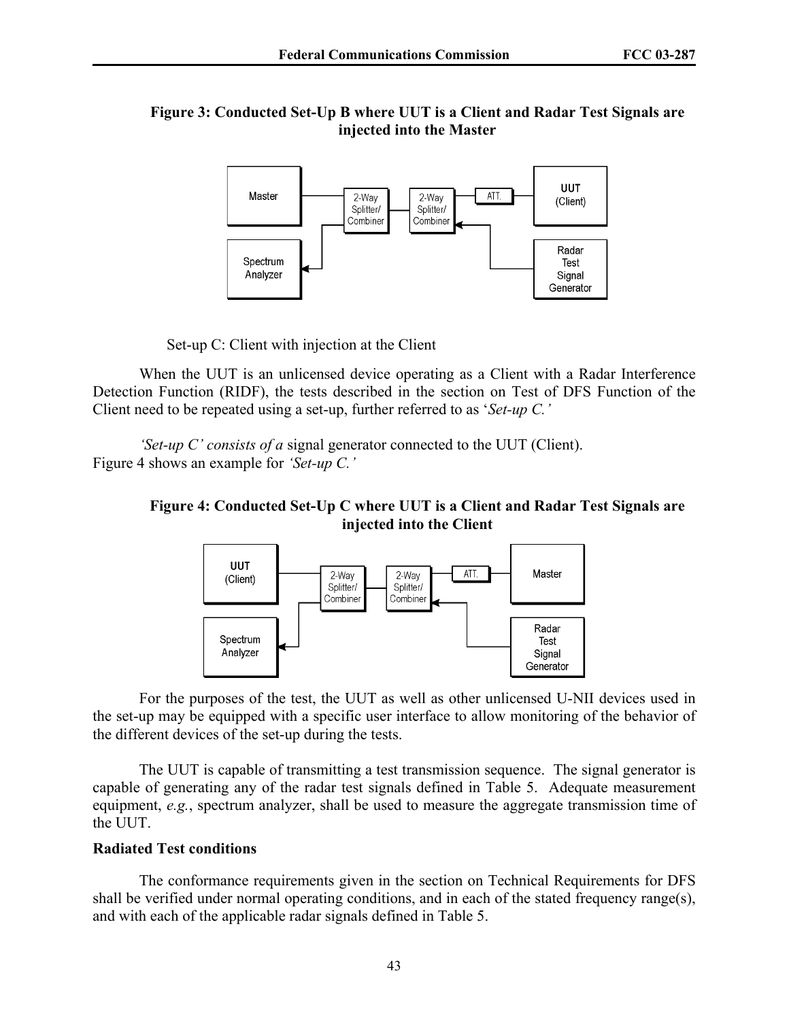## **Figure 3: Conducted Set-Up B where UUT is a Client and Radar Test Signals are injected into the Master**



Set-up C: Client with injection at the Client

When the UUT is an unlicensed device operating as a Client with a Radar Interference Detection Function (RIDF), the tests described in the section on Test of DFS Function of the Client need to be repeated using a set-up, further referred to as '*Set-up C.'* 

 *'Set-up C' consists of a* signal generator connected to the UUT (Client). Figure 4 shows an example for *'Set-up C.'*

**Figure 4: Conducted Set-Up C where UUT is a Client and Radar Test Signals are injected into the Client**



 For the purposes of the test, the UUT as well as other unlicensed U-NII devices used in the set-up may be equipped with a specific user interface to allow monitoring of the behavior of the different devices of the set-up during the tests.

 The UUT is capable of transmitting a test transmission sequence. The signal generator is capable of generating any of the radar test signals defined in Table 5. Adequate measurement equipment, *e.g.*, spectrum analyzer, shall be used to measure the aggregate transmission time of the UUT.

## **Radiated Test conditions**

 The conformance requirements given in the section on Technical Requirements for DFS shall be verified under normal operating conditions, and in each of the stated frequency range(s), and with each of the applicable radar signals defined in Table 5.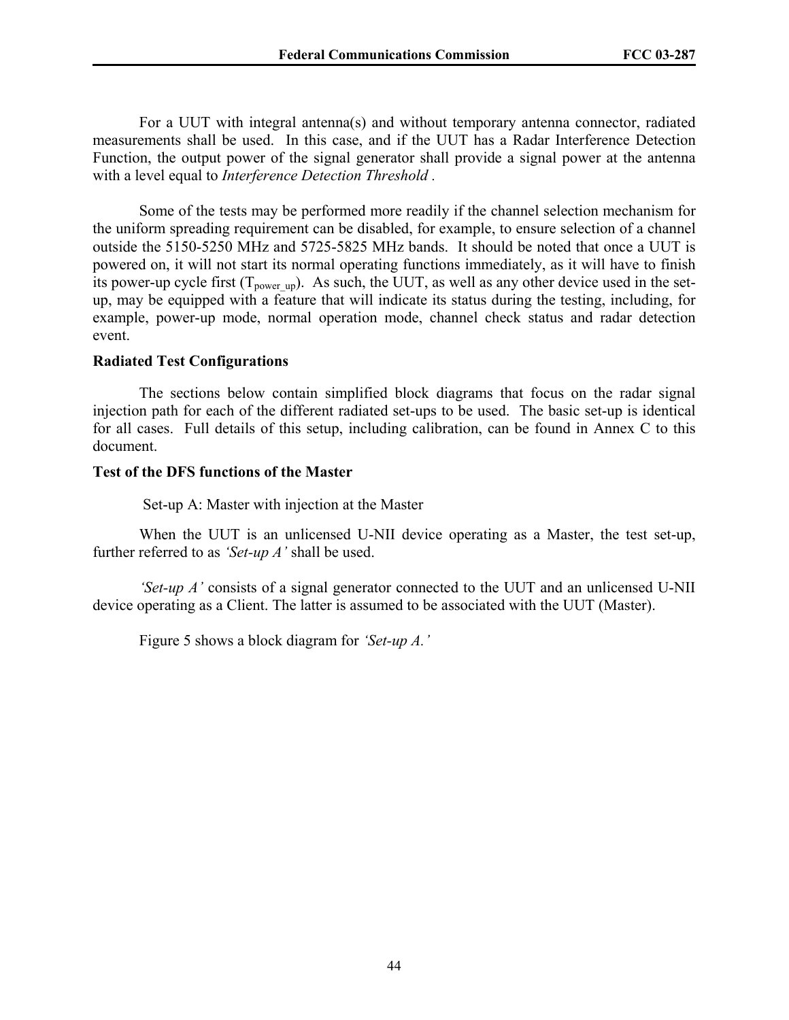For a UUT with integral antenna(s) and without temporary antenna connector, radiated measurements shall be used. In this case, and if the UUT has a Radar Interference Detection Function, the output power of the signal generator shall provide a signal power at the antenna with a level equal to *Interference Detection Threshold .* 

 Some of the tests may be performed more readily if the channel selection mechanism for the uniform spreading requirement can be disabled, for example, to ensure selection of a channel outside the 5150-5250 MHz and 5725-5825 MHz bands. It should be noted that once a UUT is powered on, it will not start its normal operating functions immediately, as it will have to finish its power-up cycle first  $(T_{power up})$ . As such, the UUT, as well as any other device used in the setup, may be equipped with a feature that will indicate its status during the testing, including, for example, power-up mode, normal operation mode, channel check status and radar detection event.

## **Radiated Test Configurations**

 The sections below contain simplified block diagrams that focus on the radar signal injection path for each of the different radiated set-ups to be used. The basic set-up is identical for all cases. Full details of this setup, including calibration, can be found in Annex C to this document.

## **Test of the DFS functions of the Master**

Set-up A: Master with injection at the Master

When the UUT is an unlicensed U-NII device operating as a Master, the test set-up, further referred to as *'Set-up A'* shall be used.

 *'Set-up A'* consists of a signal generator connected to the UUT and an unlicensed U-NII device operating as a Client. The latter is assumed to be associated with the UUT (Master).

Figure 5 shows a block diagram for *'Set-up A.'*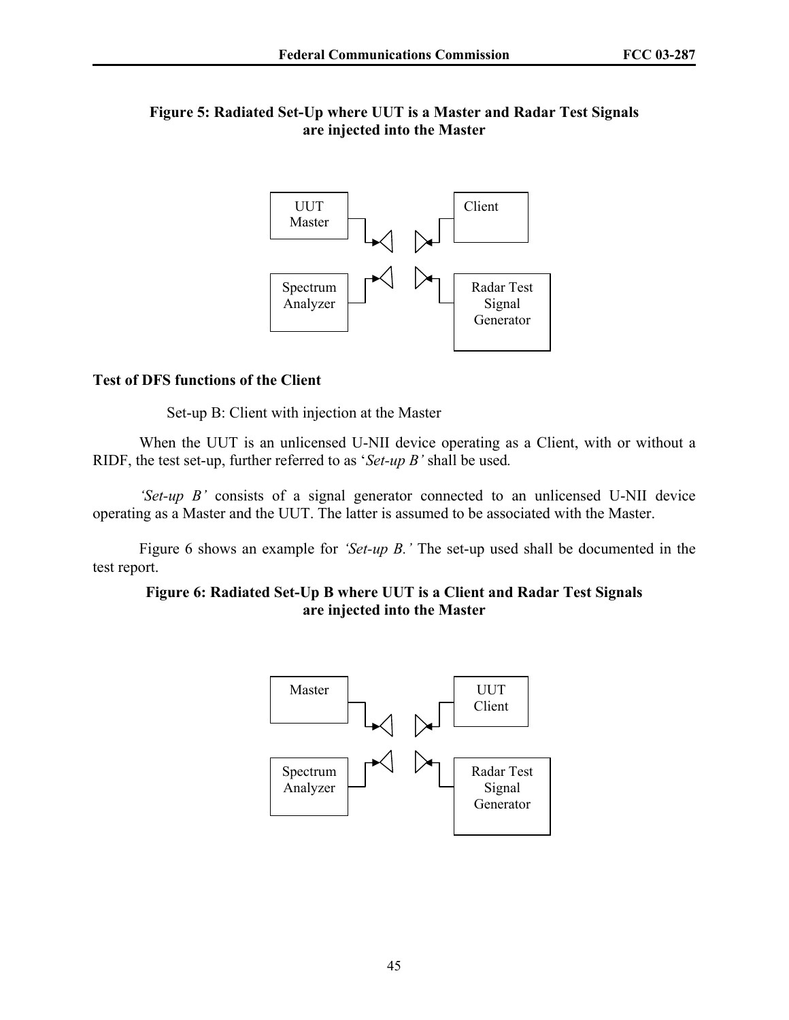## **Figure 5: Radiated Set-Up where UUT is a Master and Radar Test Signals are injected into the Master**



## **Test of DFS functions of the Client**

Set-up B: Client with injection at the Master

 When the UUT is an unlicensed U-NII device operating as a Client, with or without a RIDF, the test set-up, further referred to as '*Set-up B'* shall be used*.* 

 *'Set-up B'* consists of a signal generator connected to an unlicensed U-NII device operating as a Master and the UUT. The latter is assumed to be associated with the Master.

 Figure 6 shows an example for *'Set-up B.'* The set-up used shall be documented in the test report.

## **Figure 6: Radiated Set-Up B where UUT is a Client and Radar Test Signals are injected into the Master**

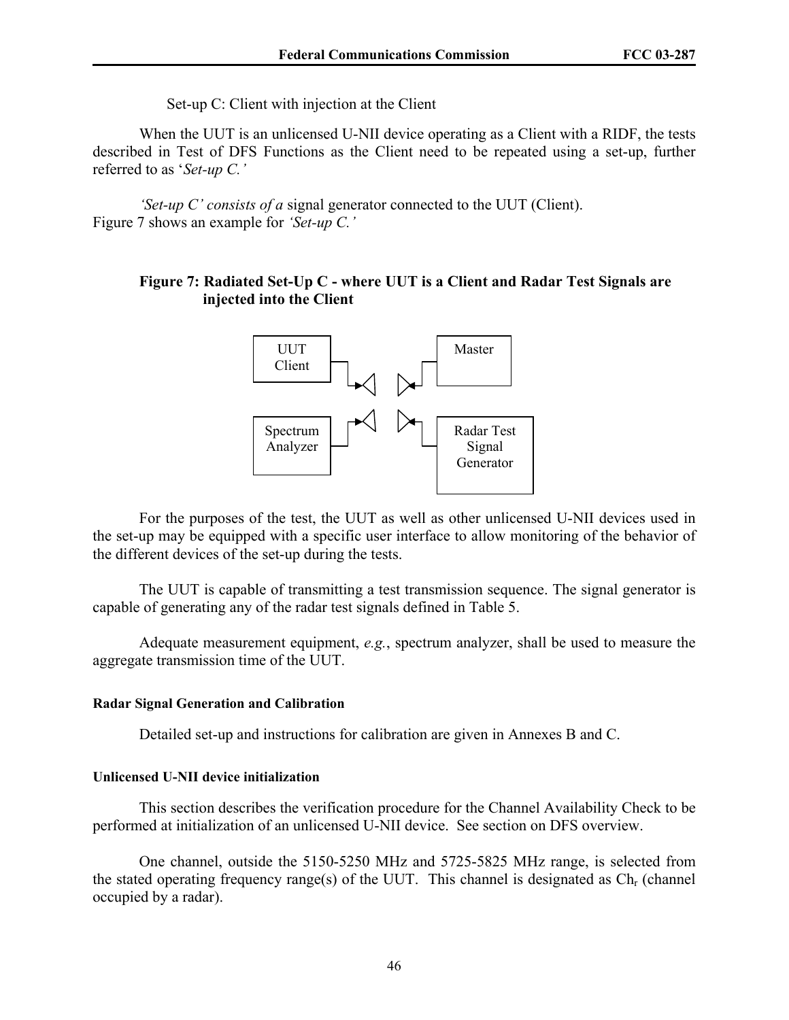Set-up C: Client with injection at the Client

When the UUT is an unlicensed U-NII device operating as a Client with a RIDF, the tests described in Test of DFS Functions as the Client need to be repeated using a set-up, further referred to as '*Set-up C.'* 

 *'Set-up C' consists of a* signal generator connected to the UUT (Client). Figure 7 shows an example for *'Set-up C.'*

## **Figure 7: Radiated Set-Up C - where UUT is a Client and Radar Test Signals are injected into the Client**



 For the purposes of the test, the UUT as well as other unlicensed U-NII devices used in the set-up may be equipped with a specific user interface to allow monitoring of the behavior of the different devices of the set-up during the tests.

 The UUT is capable of transmitting a test transmission sequence. The signal generator is capable of generating any of the radar test signals defined in Table 5.

 Adequate measurement equipment, *e.g.*, spectrum analyzer, shall be used to measure the aggregate transmission time of the UUT.

## **Radar Signal Generation and Calibration**

Detailed set-up and instructions for calibration are given in Annexes B and C.

## **Unlicensed U-NII device initialization**

 This section describes the verification procedure for the Channel Availability Check to be performed at initialization of an unlicensed U-NII device. See section on DFS overview.

 One channel, outside the 5150-5250 MHz and 5725-5825 MHz range, is selected from the stated operating frequency range(s) of the UUT. This channel is designated as  $Ch<sub>r</sub>$  (channel occupied by a radar).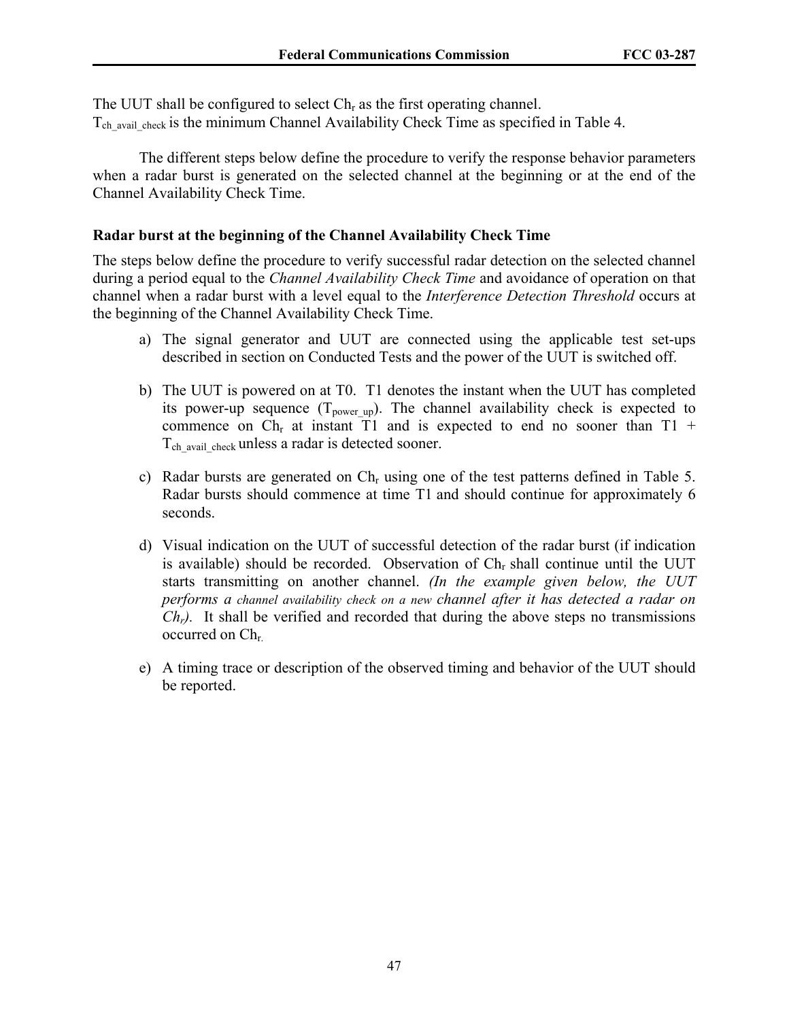The UUT shall be configured to select  $Ch<sub>r</sub>$  as the first operating channel. T<sub>ch avail check</sub> is the minimum Channel Availability Check Time as specified in Table 4.

 The different steps below define the procedure to verify the response behavior parameters when a radar burst is generated on the selected channel at the beginning or at the end of the Channel Availability Check Time.

## **Radar burst at the beginning of the Channel Availability Check Time**

The steps below define the procedure to verify successful radar detection on the selected channel during a period equal to the *Channel Availability Check Time* and avoidance of operation on that channel when a radar burst with a level equal to the *Interference Detection Threshold* occurs at the beginning of the Channel Availability Check Time.

- a) The signal generator and UUT are connected using the applicable test set-ups described in section on Conducted Tests and the power of the UUT is switched off.
- b) The UUT is powered on at T0. T1 denotes the instant when the UUT has completed its power-up sequence  $(T_{power up})$ . The channel availability check is expected to commence on  $Ch_r$  at instant T1 and is expected to end no sooner than T1 + T<sub>ch</sub> avail check unless a radar is detected sooner.
- c) Radar bursts are generated on Chr using one of the test patterns defined in Table 5. Radar bursts should commence at time T1 and should continue for approximately 6 seconds.
- d) Visual indication on the UUT of successful detection of the radar burst (if indication is available) should be recorded. Observation of  $Ch<sub>r</sub>$  shall continue until the UUT starts transmitting on another channel. *(In the example given below, the UUT performs a channel availability check on a new channel after it has detected a radar on Chr).* It shall be verified and recorded that during the above steps no transmissions occurred on Chr.
- e) A timing trace or description of the observed timing and behavior of the UUT should be reported.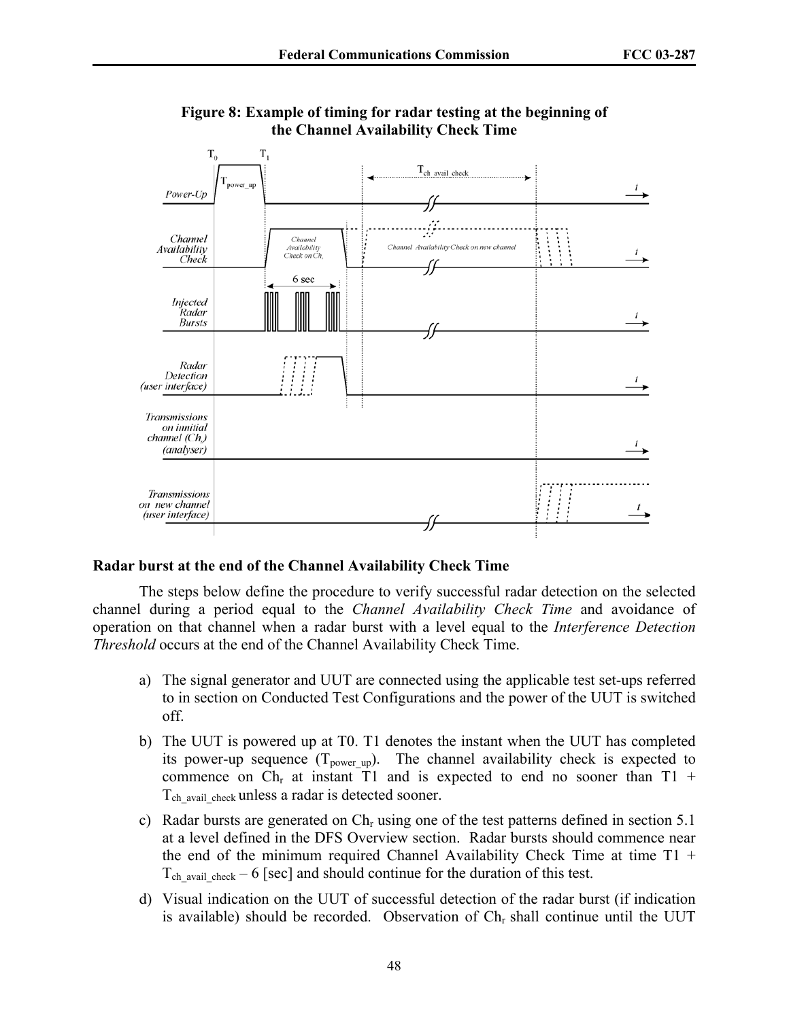

## **Figure 8: Example of timing for radar testing at the beginning of the Channel Availability Check Time**

### **Radar burst at the end of the Channel Availability Check Time**

 The steps below define the procedure to verify successful radar detection on the selected channel during a period equal to the *Channel Availability Check Time* and avoidance of operation on that channel when a radar burst with a level equal to the *Interference Detection Threshold* occurs at the end of the Channel Availability Check Time.

- a) The signal generator and UUT are connected using the applicable test set-ups referred to in section on Conducted Test Configurations and the power of the UUT is switched off.
- b) The UUT is powered up at T0. T1 denotes the instant when the UUT has completed its power-up sequence  $(T_{power\text{ up}})$ . The channel availability check is expected to commence on  $Ch_r$  at instant T1 and is expected to end no sooner than T1 + T<sub>ch</sub> avail check unless a radar is detected sooner.
- c) Radar bursts are generated on  $Ch<sub>r</sub>$  using one of the test patterns defined in section 5.1 at a level defined in the DFS Overview section. Radar bursts should commence near the end of the minimum required Channel Availability Check Time at time T1 +  $T_{ch}$  avail check – 6 [sec] and should continue for the duration of this test.
- d) Visual indication on the UUT of successful detection of the radar burst (if indication is available) should be recorded. Observation of  $Ch<sub>r</sub>$  shall continue until the UUT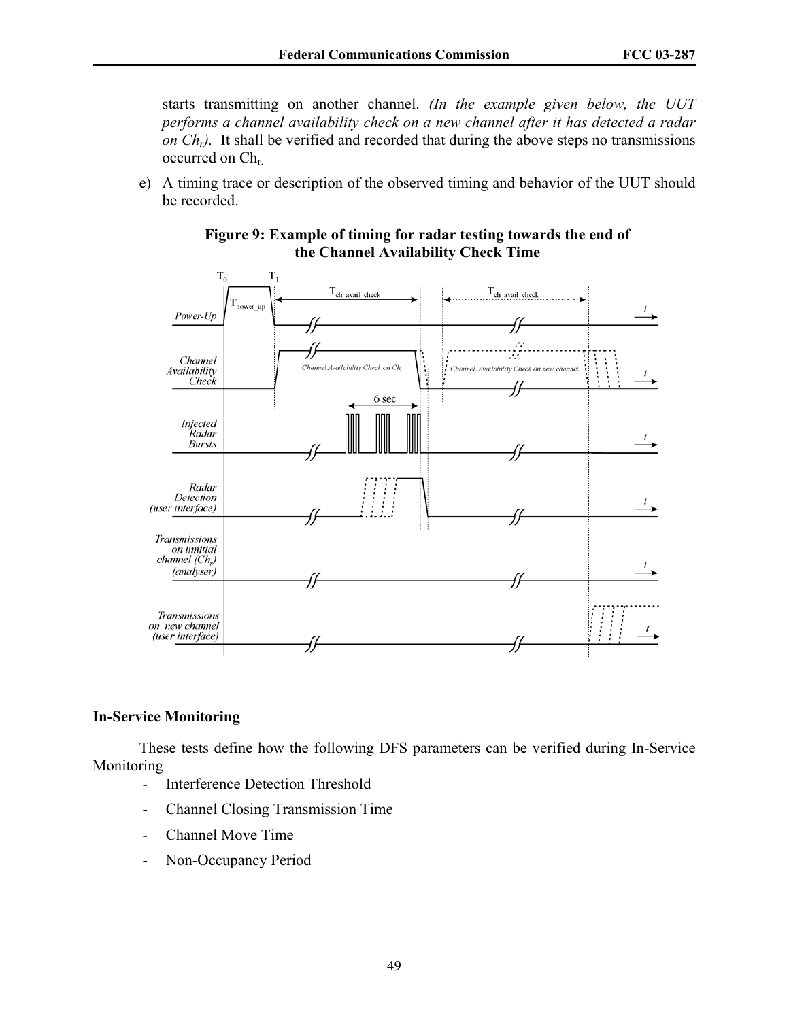starts transmitting on another channel. *(In the example given below, the UUT performs a channel availability check on a new channel after it has detected a radar on Chr).* It shall be verified and recorded that during the above steps no transmissions occurred on Chr.

e) A timing trace or description of the observed timing and behavior of the UUT should be recorded.

## **Figure 9: Example of timing for radar testing towards the end of the Channel Availability Check Time**



## **In-Service Monitoring**

 These tests define how the following DFS parameters can be verified during In-Service Monitoring

- Interference Detection Threshold
- Channel Closing Transmission Time
- Channel Move Time
- Non-Occupancy Period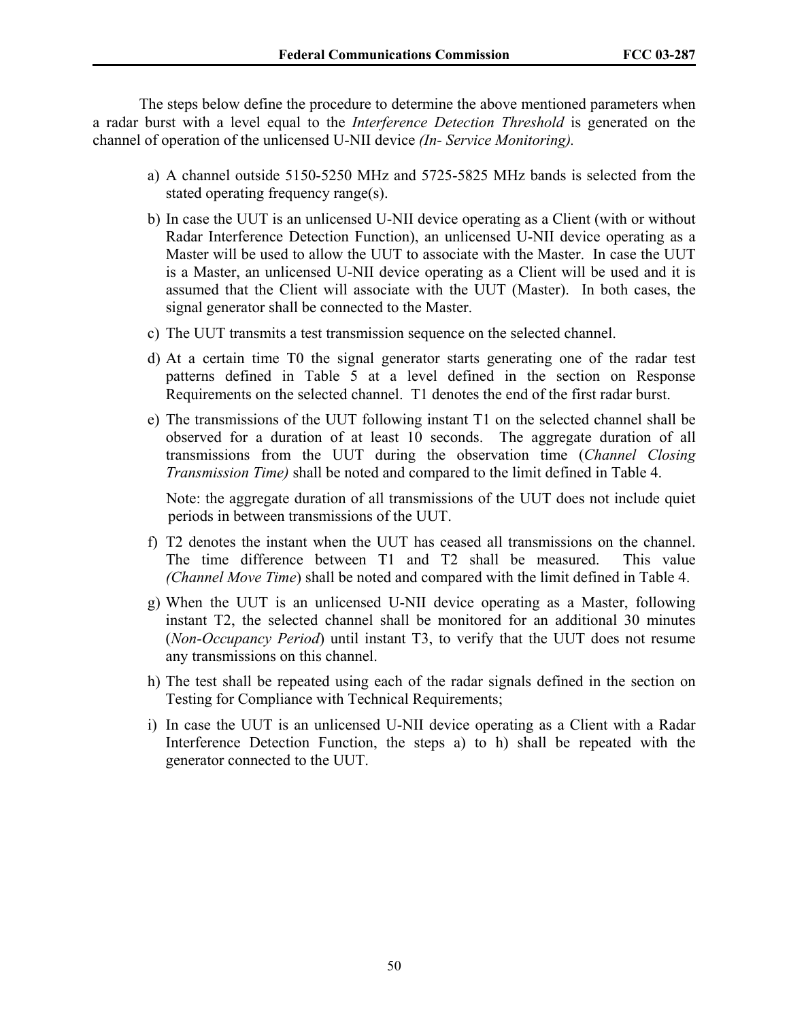The steps below define the procedure to determine the above mentioned parameters when a radar burst with a level equal to the *Interference Detection Threshold* is generated on the channel of operation of the unlicensed U-NII device *(In- Service Monitoring).* 

- a) A channel outside 5150-5250 MHz and 5725-5825 MHz bands is selected from the stated operating frequency range(s).
- b) In case the UUT is an unlicensed U-NII device operating as a Client (with or without Radar Interference Detection Function), an unlicensed U-NII device operating as a Master will be used to allow the UUT to associate with the Master. In case the UUT is a Master, an unlicensed U-NII device operating as a Client will be used and it is assumed that the Client will associate with the UUT (Master). In both cases, the signal generator shall be connected to the Master.
- c) The UUT transmits a test transmission sequence on the selected channel.
- d) At a certain time T0 the signal generator starts generating one of the radar test patterns defined in Table 5 at a level defined in the section on Response Requirements on the selected channel. T1 denotes the end of the first radar burst.
- e) The transmissions of the UUT following instant T1 on the selected channel shall be observed for a duration of at least 10 seconds. The aggregate duration of all transmissions from the UUT during the observation time (*Channel Closing Transmission Time)* shall be noted and compared to the limit defined in Table 4.

 Note: the aggregate duration of all transmissions of the UUT does not include quiet periods in between transmissions of the UUT.

- f) T2 denotes the instant when the UUT has ceased all transmissions on the channel. The time difference between T1 and T2 shall be measured. This value *(Channel Move Time*) shall be noted and compared with the limit defined in Table 4.
- g) When the UUT is an unlicensed U-NII device operating as a Master, following instant T2, the selected channel shall be monitored for an additional 30 minutes (*Non-Occupancy Period*) until instant T3, to verify that the UUT does not resume any transmissions on this channel.
- h) The test shall be repeated using each of the radar signals defined in the section on Testing for Compliance with Technical Requirements;
- i) In case the UUT is an unlicensed U-NII device operating as a Client with a Radar Interference Detection Function, the steps a) to h) shall be repeated with the generator connected to the UUT.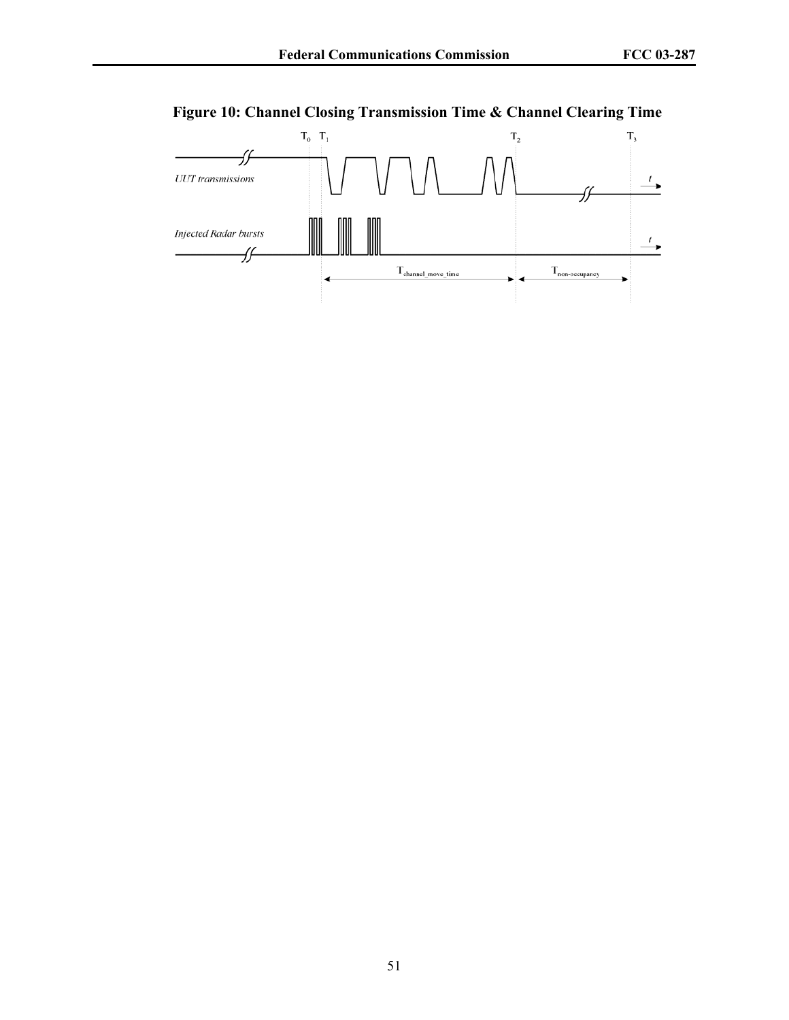

## **Figure 10: Channel Closing Transmission Time & Channel Clearing Time**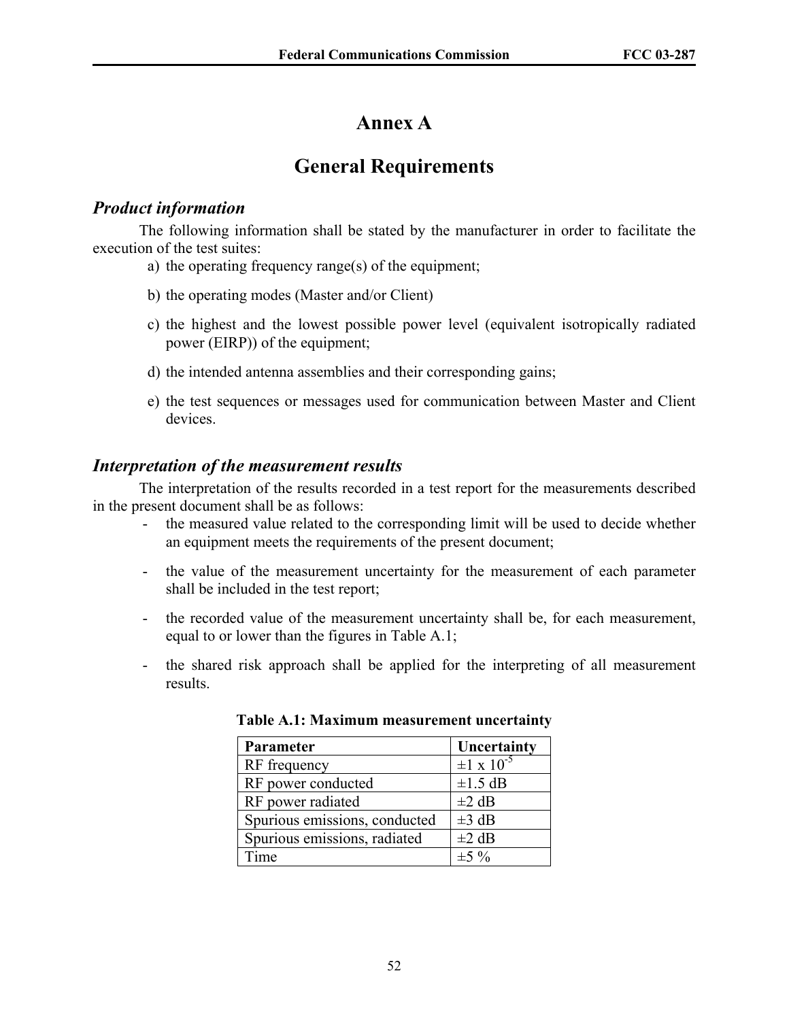# **Annex A**

# **General Requirements**

## *Product information*

 The following information shall be stated by the manufacturer in order to facilitate the execution of the test suites:

- a) the operating frequency range(s) of the equipment;
- b) the operating modes (Master and/or Client)
- c) the highest and the lowest possible power level (equivalent isotropically radiated power (EIRP)) of the equipment;
- d) the intended antenna assemblies and their corresponding gains;
- e) the test sequences or messages used for communication between Master and Client devices.

## *Interpretation of the measurement results*

 The interpretation of the results recorded in a test report for the measurements described in the present document shall be as follows:

- the measured value related to the corresponding limit will be used to decide whether an equipment meets the requirements of the present document;
- the value of the measurement uncertainty for the measurement of each parameter shall be included in the test report;
- the recorded value of the measurement uncertainty shall be, for each measurement, equal to or lower than the figures in Table A.1;
- the shared risk approach shall be applied for the interpreting of all measurement results.

| Parameter                     | Uncertainty            |
|-------------------------------|------------------------|
| RF frequency                  | $\pm 1 \times 10^{-5}$ |
| RF power conducted            | $\pm 1.5$ dB           |
| RF power radiated             | $\pm 2$ dB             |
| Spurious emissions, conducted | $\pm 3$ dB             |
| Spurious emissions, radiated  | $\pm 2$ dB             |
| Time                          | $\pm 5\%$              |

**Table A.1: Maximum measurement uncertainty**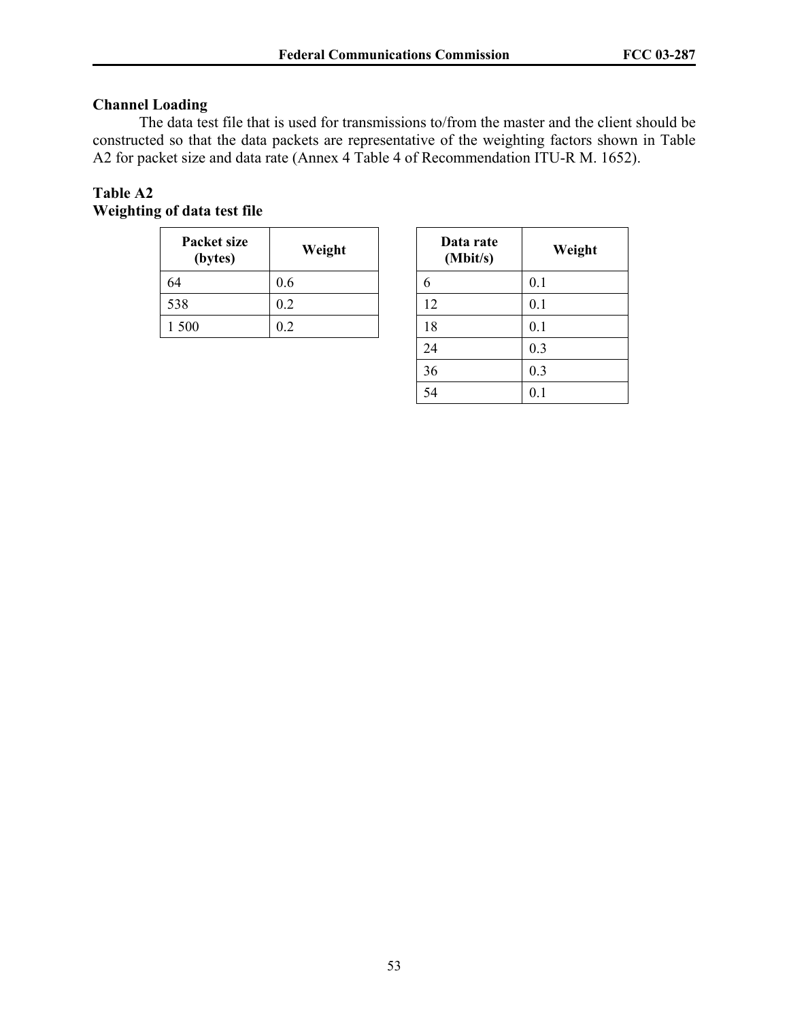## **Channel Loading**

 The data test file that is used for transmissions to/from the master and the client should be constructed so that the data packets are representative of the weighting factors shown in Table A2 for packet size and data rate (Annex 4 Table 4 of Recommendation ITU-R M. 1652).

## **Table A2 Weighting of data test file**

| Packet size<br>(bytes) | Weight | Data rate<br>(Mbit/s) |  |
|------------------------|--------|-----------------------|--|
| 64                     | 0.6    |                       |  |
| 538                    | 0.2    | 12                    |  |
| 1 500                  | 0.2    | 8 ا                   |  |

| <b>Packet size</b><br>(bytes) | Weight | Data rate<br>(Mbit/s) | Weight |
|-------------------------------|--------|-----------------------|--------|
| 64                            | 0.6    | 6                     | 0.1    |
| 538                           | 0.2    | 12                    | 0.1    |
| 1500                          | 0.2    | 18                    | 0.1    |
|                               |        | 24                    | 0.3    |
|                               |        | 36                    | 0.3    |
|                               |        | 54                    | 0.1    |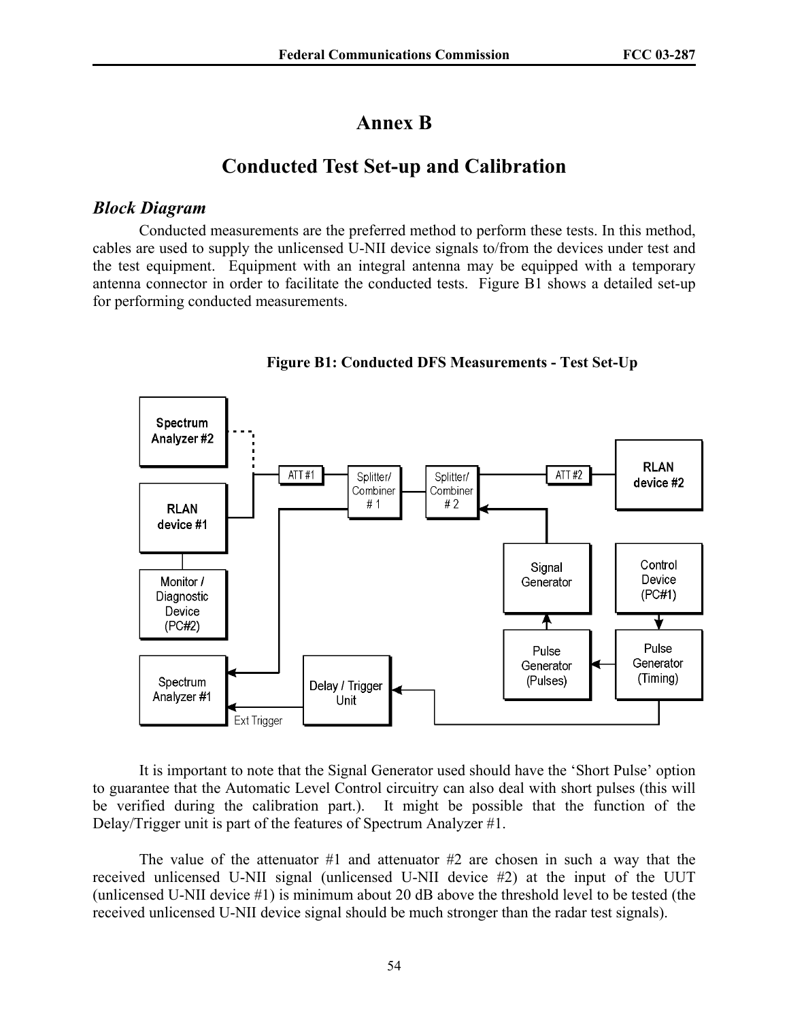## **Annex B**

## **Conducted Test Set-up and Calibration**

## *Block Diagram*

 Conducted measurements are the preferred method to perform these tests. In this method, cables are used to supply the unlicensed U-NII device signals to/from the devices under test and the test equipment. Equipment with an integral antenna may be equipped with a temporary antenna connector in order to facilitate the conducted tests. Figure B1 shows a detailed set-up for performing conducted measurements.



**Figure B1: Conducted DFS Measurements - Test Set-Up** 

 It is important to note that the Signal Generator used should have the 'Short Pulse' option to guarantee that the Automatic Level Control circuitry can also deal with short pulses (this will be verified during the calibration part.). It might be possible that the function of the Delay/Trigger unit is part of the features of Spectrum Analyzer #1.

The value of the attenuator  $#1$  and attenuator  $#2$  are chosen in such a way that the received unlicensed U-NII signal (unlicensed U-NII device #2) at the input of the UUT (unlicensed U-NII device #1) is minimum about 20 dB above the threshold level to be tested (the received unlicensed U-NII device signal should be much stronger than the radar test signals).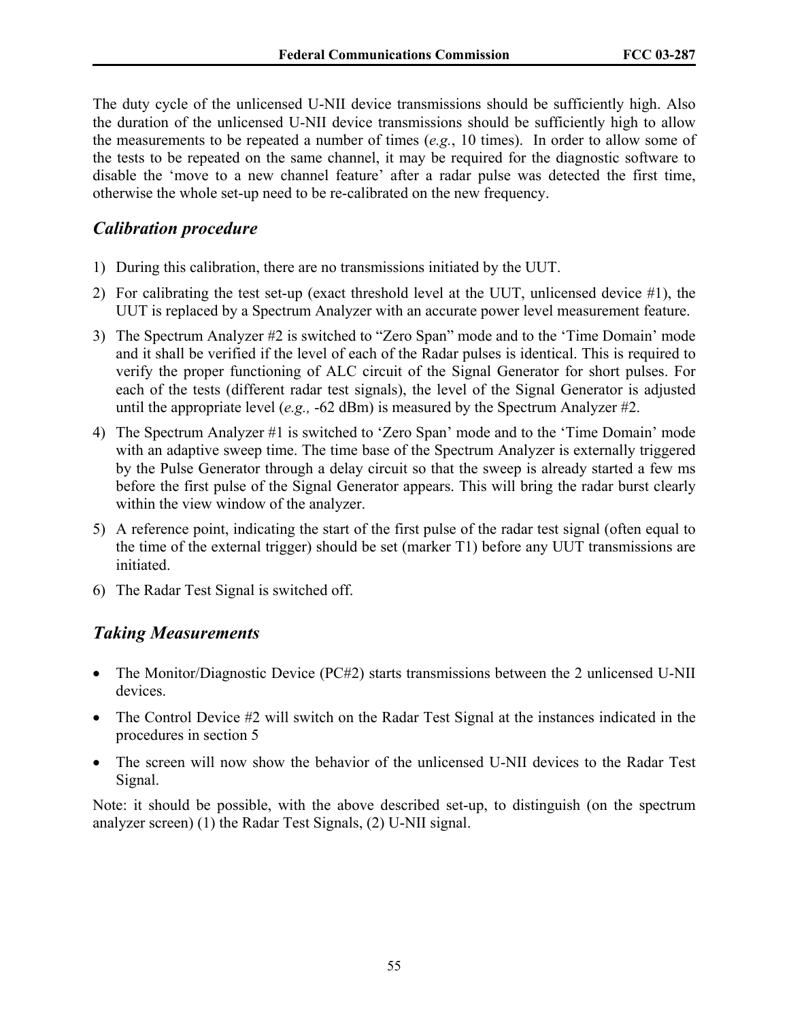The duty cycle of the unlicensed U-NII device transmissions should be sufficiently high. Also the duration of the unlicensed U-NII device transmissions should be sufficiently high to allow the measurements to be repeated a number of times (*e.g.*, 10 times). In order to allow some of the tests to be repeated on the same channel, it may be required for the diagnostic software to disable the 'move to a new channel feature' after a radar pulse was detected the first time, otherwise the whole set-up need to be re-calibrated on the new frequency.

## *Calibration procedure*

- 1) During this calibration, there are no transmissions initiated by the UUT.
- 2) For calibrating the test set-up (exact threshold level at the UUT, unlicensed device #1), the UUT is replaced by a Spectrum Analyzer with an accurate power level measurement feature.
- 3) The Spectrum Analyzer #2 is switched to "Zero Span" mode and to the 'Time Domain' mode and it shall be verified if the level of each of the Radar pulses is identical. This is required to verify the proper functioning of ALC circuit of the Signal Generator for short pulses. For each of the tests (different radar test signals), the level of the Signal Generator is adjusted until the appropriate level (*e.g.,* -62 dBm) is measured by the Spectrum Analyzer #2.
- 4) The Spectrum Analyzer #1 is switched to 'Zero Span' mode and to the 'Time Domain' mode with an adaptive sweep time. The time base of the Spectrum Analyzer is externally triggered by the Pulse Generator through a delay circuit so that the sweep is already started a few ms before the first pulse of the Signal Generator appears. This will bring the radar burst clearly within the view window of the analyzer.
- 5) A reference point, indicating the start of the first pulse of the radar test signal (often equal to the time of the external trigger) should be set (marker T1) before any UUT transmissions are initiated.
- 6) The Radar Test Signal is switched off.

## *Taking Measurements*

- The Monitor/Diagnostic Device (PC#2) starts transmissions between the 2 unlicensed U-NII devices.
- The Control Device #2 will switch on the Radar Test Signal at the instances indicated in the procedures in section 5
- The screen will now show the behavior of the unlicensed U-NII devices to the Radar Test Signal.

Note: it should be possible, with the above described set-up, to distinguish (on the spectrum analyzer screen) (1) the Radar Test Signals, (2) U-NII signal.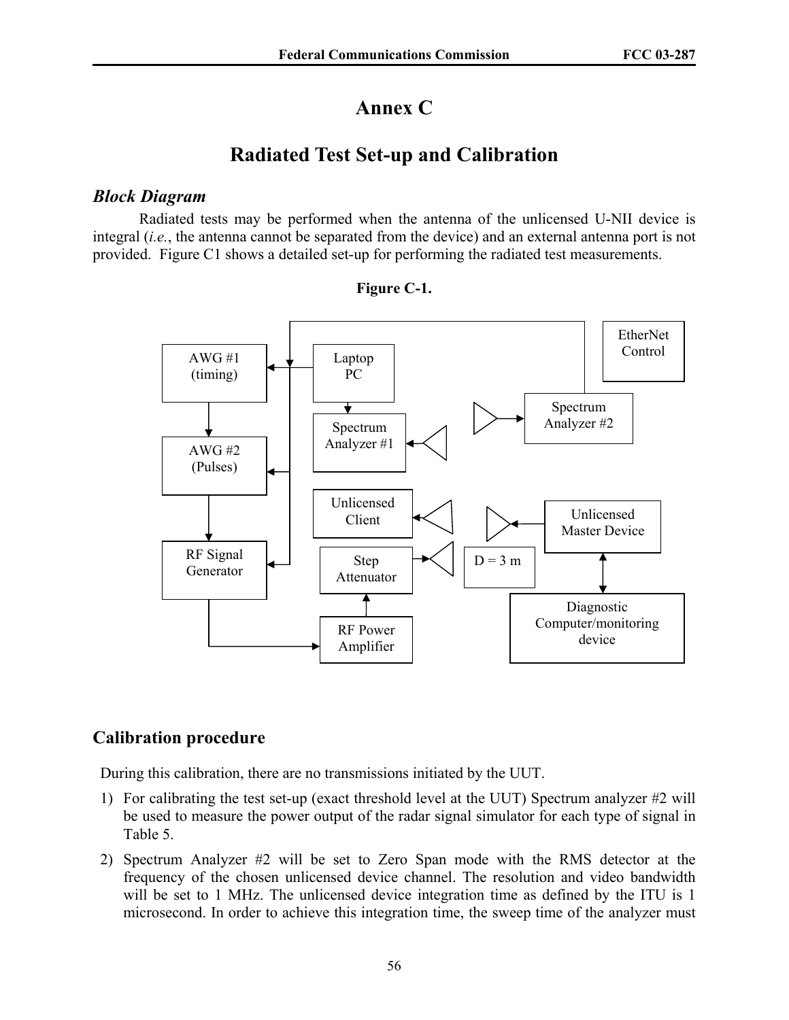# **Annex C**

# **Radiated Test Set-up and Calibration**

## *Block Diagram*

 Radiated tests may be performed when the antenna of the unlicensed U-NII device is integral (*i.e.*, the antenna cannot be separated from the device) and an external antenna port is not provided. Figure C1 shows a detailed set-up for performing the radiated test measurements.



## **Figure C-1.**

## **Calibration procedure**

During this calibration, there are no transmissions initiated by the UUT.

- 1) For calibrating the test set-up (exact threshold level at the UUT) Spectrum analyzer #2 will be used to measure the power output of the radar signal simulator for each type of signal in Table 5.
- 2) Spectrum Analyzer #2 will be set to Zero Span mode with the RMS detector at the frequency of the chosen unlicensed device channel. The resolution and video bandwidth will be set to 1 MHz. The unlicensed device integration time as defined by the ITU is 1 microsecond. In order to achieve this integration time, the sweep time of the analyzer must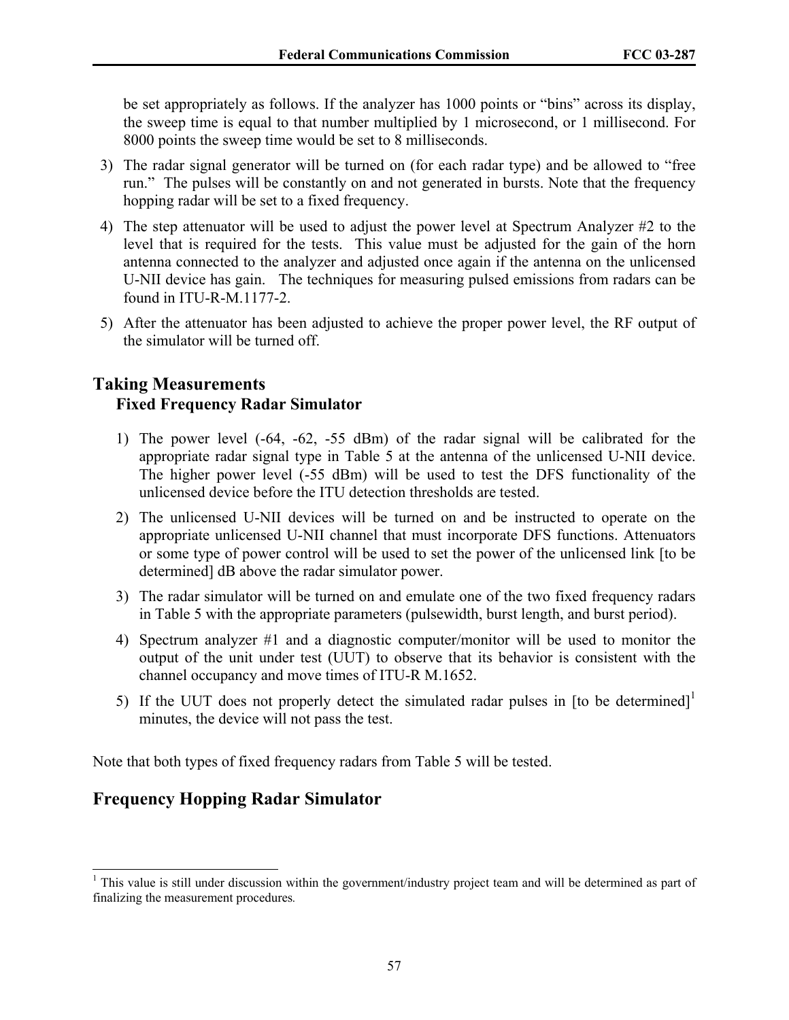be set appropriately as follows. If the analyzer has 1000 points or "bins" across its display, the sweep time is equal to that number multiplied by 1 microsecond, or 1 millisecond. For 8000 points the sweep time would be set to 8 milliseconds.

- 3) The radar signal generator will be turned on (for each radar type) and be allowed to "free run." The pulses will be constantly on and not generated in bursts. Note that the frequency hopping radar will be set to a fixed frequency.
- 4) The step attenuator will be used to adjust the power level at Spectrum Analyzer #2 to the level that is required for the tests. This value must be adjusted for the gain of the horn antenna connected to the analyzer and adjusted once again if the antenna on the unlicensed U-NII device has gain. The techniques for measuring pulsed emissions from radars can be found in ITU-R-M.1177-2.
- 5) After the attenuator has been adjusted to achieve the proper power level, the RF output of the simulator will be turned off.

## **Taking Measurements**

## **Fixed Frequency Radar Simulator**

- 1) The power level (-64, -62, -55 dBm) of the radar signal will be calibrated for the appropriate radar signal type in Table 5 at the antenna of the unlicensed U-NII device. The higher power level (-55 dBm) will be used to test the DFS functionality of the unlicensed device before the ITU detection thresholds are tested.
- 2) The unlicensed U-NII devices will be turned on and be instructed to operate on the appropriate unlicensed U-NII channel that must incorporate DFS functions. Attenuators or some type of power control will be used to set the power of the unlicensed link [to be determined] dB above the radar simulator power.
- 3) The radar simulator will be turned on and emulate one of the two fixed frequency radars in Table 5 with the appropriate parameters (pulsewidth, burst length, and burst period).
- 4) Spectrum analyzer #1 and a diagnostic computer/monitor will be used to monitor the output of the unit under test (UUT) to observe that its behavior is consistent with the channel occupancy and move times of ITU-R M.1652.
- 5) If the UUT does not properly detect the simulated radar pulses in [to be determined]<sup>1</sup> minutes, the device will not pass the test.

Note that both types of fixed frequency radars from Table 5 will be tested.

## **Frequency Hopping Radar Simulator**

<sup>&</sup>lt;sup>1</sup> This value is still under discussion within the government/industry project team and will be determined as part of finalizing the measurement procedures*.*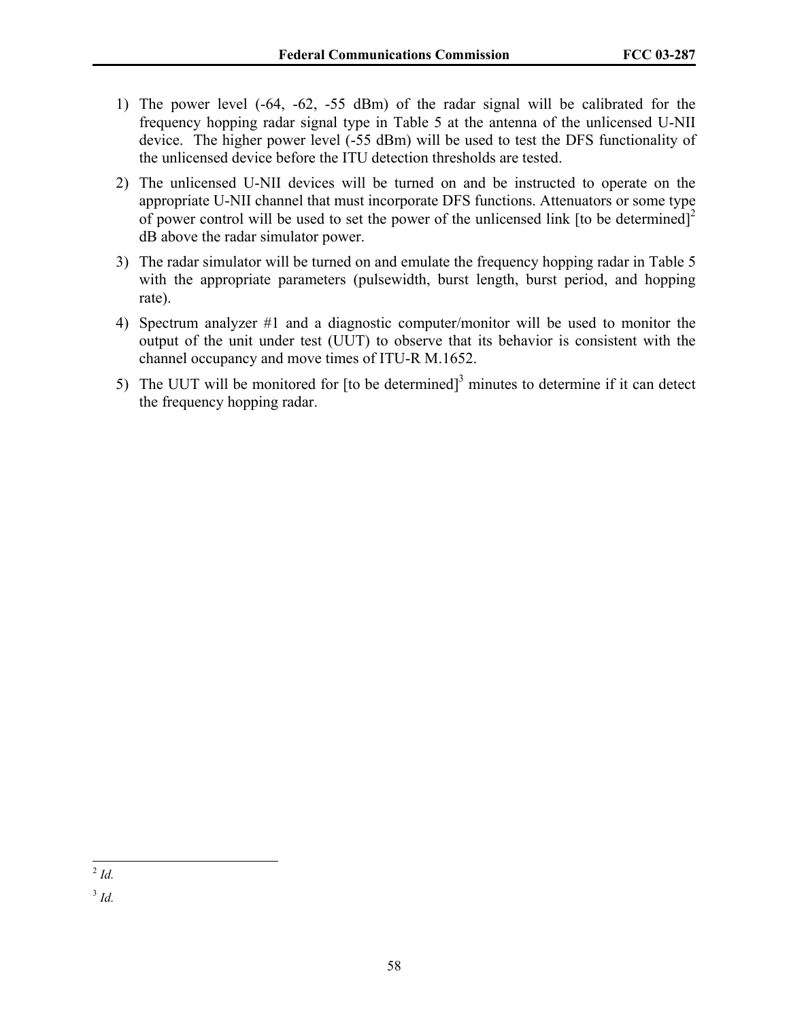- 1) The power level (-64, -62, -55 dBm) of the radar signal will be calibrated for the frequency hopping radar signal type in Table 5 at the antenna of the unlicensed U-NII device. The higher power level (-55 dBm) will be used to test the DFS functionality of the unlicensed device before the ITU detection thresholds are tested.
- 2) The unlicensed U-NII devices will be turned on and be instructed to operate on the appropriate U-NII channel that must incorporate DFS functions. Attenuators or some type of power control will be used to set the power of the unlicensed link [to be determined]<sup>2</sup> dB above the radar simulator power.
- 3) The radar simulator will be turned on and emulate the frequency hopping radar in Table 5 with the appropriate parameters (pulsewidth, burst length, burst period, and hopping rate).
- 4) Spectrum analyzer #1 and a diagnostic computer/monitor will be used to monitor the output of the unit under test (UUT) to observe that its behavior is consistent with the channel occupancy and move times of ITU-R M.1652.
- 5) The UUT will be monitored for [to be determined]<sup>3</sup> minutes to determine if it can detect the frequency hopping radar.

l <sup>2</sup> *Id.*

<sup>3</sup> *Id.*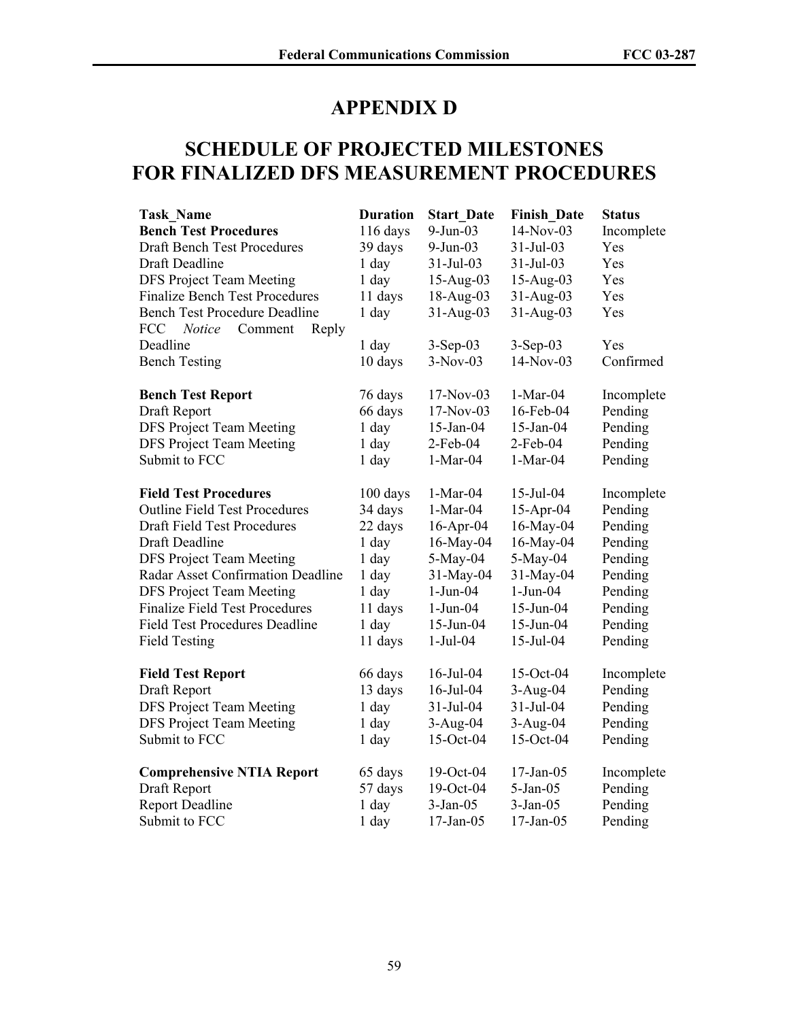# **APPENDIX D**

# **SCHEDULE OF PROJECTED MILESTONES FOR FINALIZED DFS MEASUREMENT PROCEDURES**

| <b>Task Name</b>                                | <b>Duration</b> | <b>Start Date</b> | <b>Finish Date</b> | <b>Status</b> |
|-------------------------------------------------|-----------------|-------------------|--------------------|---------------|
| <b>Bench Test Procedures</b>                    | 116 days        | $9-Jun-03$        | 14-Nov-03          | Incomplete    |
| <b>Draft Bench Test Procedures</b>              | 39 days         | $9$ -Jun-03       | $31-Jul-03$        | Yes           |
| Draft Deadline                                  | $1$ day         | $31 - Jul - 03$   | $31 - Jul - 03$    | Yes           |
| <b>DFS Project Team Meeting</b>                 | $1$ day         | $15-Aug-03$       | 15-Aug-03          | Yes           |
| <b>Finalize Bench Test Procedures</b>           | 11 days         | 18-Aug-03         | $31-Aug-03$        | Yes           |
| <b>Bench Test Procedure Deadline</b>            | $1$ day         | $31-Aug-03$       | $31-Aug-03$        | Yes           |
| <b>FCC</b><br><b>Notice</b><br>Comment<br>Reply |                 |                   |                    |               |
| Deadline                                        | $1$ day         | $3-Sep-03$        | $3-Sep-03$         | Yes           |
| <b>Bench Testing</b>                            | 10 days         | $3-Nov-03$        | $14-Nov-03$        | Confirmed     |
| <b>Bench Test Report</b>                        | 76 days         | $17-Nov-03$       | $1-Mar-04$         | Incomplete    |
| Draft Report                                    | 66 days         | 17-Nov-03         | 16-Feb-04          | Pending       |
| <b>DFS Project Team Meeting</b>                 | $1$ day         | 15-Jan-04         | 15-Jan-04          | Pending       |
| <b>DFS Project Team Meeting</b>                 | $1$ day         | 2-Feb-04          | $2$ -Feb-04        | Pending       |
| Submit to FCC                                   | 1 day           | $1-Mar-04$        | $1-Mar-04$         | Pending       |
| <b>Field Test Procedures</b>                    | 100 days        | $1-Mar-04$        | 15-Jul-04          | Incomplete    |
| <b>Outline Field Test Procedures</b>            | 34 days         | $1-Mar-04$        | $15$ -Apr-04       | Pending       |
| Draft Field Test Procedures                     | 22 days         | 16-Apr-04         | 16-May-04          | Pending       |
| Draft Deadline                                  | $1$ day         | 16-May-04         | 16-May-04          | Pending       |
| <b>DFS Project Team Meeting</b>                 | $1$ day         | $5-May-04$        | $5-May-04$         | Pending       |
| Radar Asset Confirmation Deadline               | $1$ day         | 31-May-04         | 31-May-04          | Pending       |
| <b>DFS Project Team Meeting</b>                 | $1$ day         | $1-Jun-04$        | $1-Jun-04$         | Pending       |
| <b>Finalize Field Test Procedures</b>           | 11 days         | $1-Jun-04$        | 15-Jun-04          | Pending       |
| <b>Field Test Procedures Deadline</b>           | $1$ day         | 15-Jun-04         | 15-Jun-04          | Pending       |
| <b>Field Testing</b>                            | 11 days         | $1-Jul-04$        | $15$ -Jul-04       | Pending       |
| <b>Field Test Report</b>                        | 66 days         | $16$ -Jul-04      | 15-Oct-04          | Incomplete    |
| Draft Report                                    | 13 days         | 16-Jul-04         | $3-Aug-04$         | Pending       |
| <b>DFS Project Team Meeting</b>                 | $1$ day         | 31-Jul-04         | 31-Jul-04          | Pending       |
| <b>DFS Project Team Meeting</b>                 | 1 day           | $3-Aug-04$        | $3-Aug-04$         | Pending       |
| Submit to FCC                                   | $1$ day         | 15-Oct-04         | 15-Oct-04          | Pending       |
| <b>Comprehensive NTIA Report</b>                | 65 days         | 19-Oct-04         | $17$ -Jan-05       | Incomplete    |
| Draft Report                                    | 57 days         | 19-Oct-04         | $5-Jan-05$         | Pending       |
| <b>Report Deadline</b>                          | $1$ day         | $3-Jan-05$        | $3-Jan-05$         | Pending       |
| Submit to FCC                                   | $1$ day         | 17-Jan-05         | 17-Jan-05          | Pending       |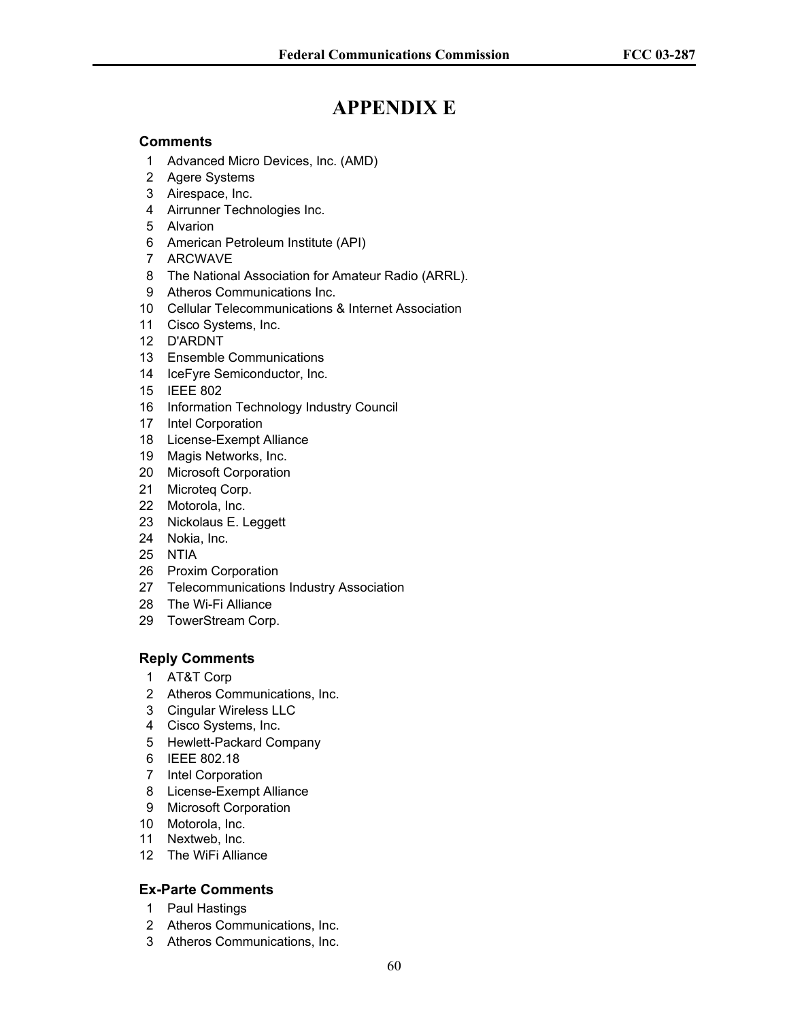# **APPENDIX E**

## **Comments**

- 1 Advanced Micro Devices, Inc. (AMD)
- 2 Agere Systems
- 3 Airespace, Inc.
- 4 Airrunner Technologies Inc.
- 5 Alvarion
- 6 American Petroleum Institute (API)
- 7 ARCWAVE
- 8 The National Association for Amateur Radio (ARRL).
- 9 Atheros Communications Inc.
- 10 Cellular Telecommunications & Internet Association
- 11 Cisco Systems, Inc.
- 12 D'ARDNT
- 13 Ensemble Communications
- 14 IceFyre Semiconductor, Inc.
- 15 IEEE 802
- 16 Information Technology Industry Council
- 17 Intel Corporation
- 18 License-Exempt Alliance
- 19 Magis Networks, Inc.
- 20 Microsoft Corporation
- 21 Microteq Corp.
- 22 Motorola, Inc.
- 23 Nickolaus E. Leggett
- 24 Nokia, Inc.
- 25 NTIA
- 26 Proxim Corporation
- 27 Telecommunications Industry Association
- 28 The Wi-Fi Alliance
- 29 TowerStream Corp.

## **Reply Comments**

- 1 AT&T Corp
- 2 Atheros Communications, Inc.
- 3 Cingular Wireless LLC
- 4 Cisco Systems, Inc.
- 5 Hewlett-Packard Company
- 6 IEEE 802.18
- 7 Intel Corporation
- 8 License-Exempt Alliance
- 9 Microsoft Corporation
- 10 Motorola, Inc.
- 11 Nextweb, Inc.
- 12 The WiFi Alliance

## **Ex-Parte Comments**

- 1 Paul Hastings
- 2 Atheros Communications, Inc.
- 3 Atheros Communications, Inc.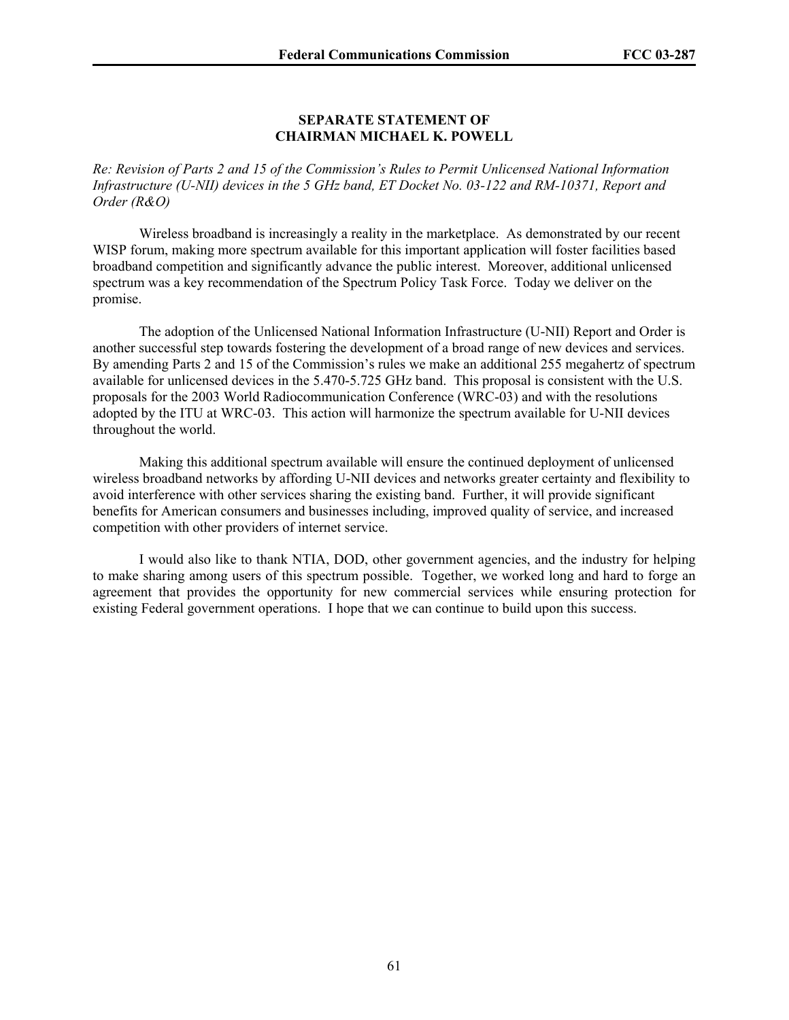#### **SEPARATE STATEMENT OF CHAIRMAN MICHAEL K. POWELL**

*Re: Revision of Parts 2 and 15 of the Commission's Rules to Permit Unlicensed National Information Infrastructure (U-NII) devices in the 5 GHz band, ET Docket No. 03-122 and RM-10371, Report and Order (R&O)* 

Wireless broadband is increasingly a reality in the marketplace. As demonstrated by our recent WISP forum, making more spectrum available for this important application will foster facilities based broadband competition and significantly advance the public interest. Moreover, additional unlicensed spectrum was a key recommendation of the Spectrum Policy Task Force. Today we deliver on the promise.

The adoption of the Unlicensed National Information Infrastructure (U-NII) Report and Order is another successful step towards fostering the development of a broad range of new devices and services. By amending Parts 2 and 15 of the Commission's rules we make an additional 255 megahertz of spectrum available for unlicensed devices in the 5.470-5.725 GHz band. This proposal is consistent with the U.S. proposals for the 2003 World Radiocommunication Conference (WRC-03) and with the resolutions adopted by the ITU at WRC-03. This action will harmonize the spectrum available for U-NII devices throughout the world.

Making this additional spectrum available will ensure the continued deployment of unlicensed wireless broadband networks by affording U-NII devices and networks greater certainty and flexibility to avoid interference with other services sharing the existing band. Further, it will provide significant benefits for American consumers and businesses including, improved quality of service, and increased competition with other providers of internet service.

I would also like to thank NTIA, DOD, other government agencies, and the industry for helping to make sharing among users of this spectrum possible. Together, we worked long and hard to forge an agreement that provides the opportunity for new commercial services while ensuring protection for existing Federal government operations. I hope that we can continue to build upon this success.